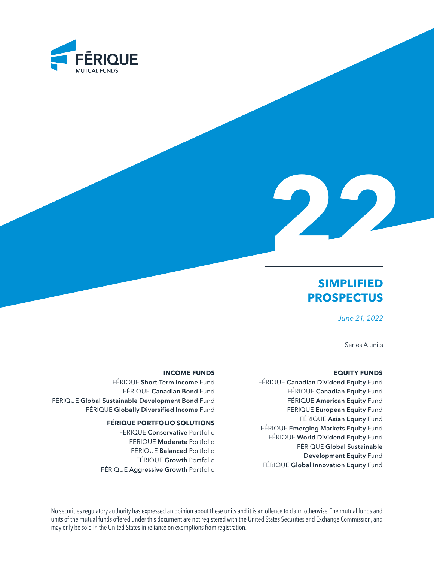



# **SIMPLIFIED PROSPECTUS**

*June 21, 2022*

Series A units

#### **EQUITY FUNDS**

FÉRIQUE Canadian Dividend Equity Fund FÉRIQUE Canadian Equity Fund FÉRIQUE American Equity Fund FÉRIQUE European Equity Fund FÉRIQUE Asian Equity Fund FÉRIQUE Emerging Markets Equity Fund FÉRIQUE World Dividend Equity Fund FÉRIQUE Global Sustainable Development Equity Fund FÉRIQUE Global Innovation Equity Fund

#### **INCOME FUNDS**

FÉRIQUE Short-Term Income Fund FÉRIQUE Canadian Bond Fund FÉRIQUE Global Sustainable Development Bond Fund FÉRIQUE Globally Diversified Income Fund

### **FÉRIQUE PORTFOLIO SOLUTIONS**

FÉRIQUE Conservative Portfolio FÉRIQUE Moderate Portfolio FÉRIQUE Balanced Portfolio FÉRIQUE Growth Portfolio FÉRIQUE Aggressive Growth Portfolio

No securities regulatory authority has expressed an opinion about these units and it is an offence to claim otherwise. The mutual funds and units of the mutual funds offered under this document are not registered with the United States Securities and Exchange Commission, and may only be sold in the United States in reliance on exemptions from registration.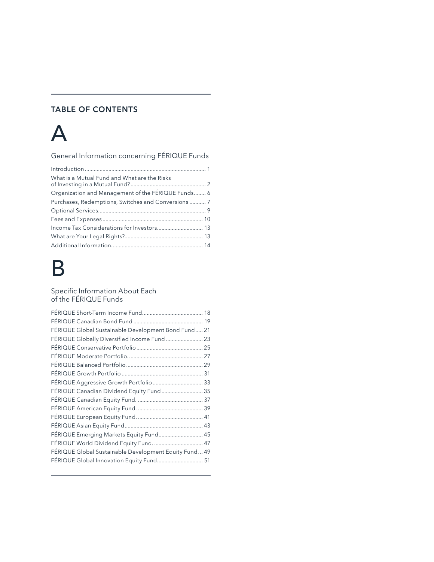# TABLE OF CONTENTS

# [A](#page-2-0)

[General Information concerning FÉRIQUE Funds](#page-2-0)

| What is a Mutual Fund and What are the Risks        |
|-----------------------------------------------------|
| Organization and Management of the FÉRIQUE Funds 6  |
| Purchases, Redemptions, Switches and Conversions  7 |
|                                                     |
|                                                     |
|                                                     |
|                                                     |
|                                                     |

# [B](#page-18-0)

# [Specific Information About Each](#page-18-0)  [of the FÉRIQUE Funds](#page-18-0)

| FÉRIQUE Global Sustainable Development Bond Fund 21   |  |
|-------------------------------------------------------|--|
| FÉRIQUE Globally Diversified Income Fund  23          |  |
|                                                       |  |
|                                                       |  |
|                                                       |  |
|                                                       |  |
| FÉRIQUE Aggressive Growth Portfolio  33               |  |
| FÉRIQUE Canadian Dividend Equity Fund  35             |  |
|                                                       |  |
|                                                       |  |
|                                                       |  |
|                                                       |  |
| FÉRIQUE Emerging Markets Equity Fund 45               |  |
| FÉRIQUE World Dividend Equity Fund.  47               |  |
| FÉRIQUE Global Sustainable Development Equity Fund 49 |  |
| FÉRIQUE Global Innovation Equity Fund 51              |  |
|                                                       |  |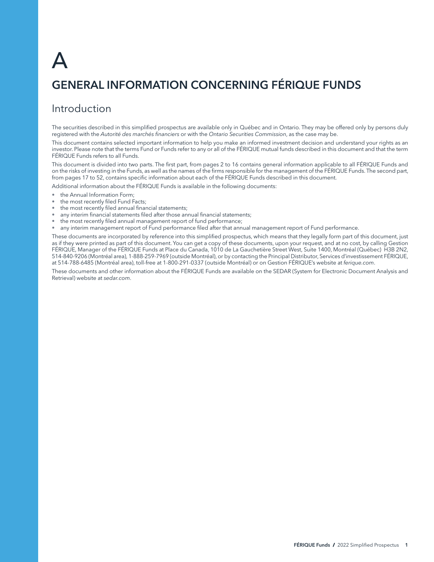# <span id="page-2-0"></span>A

# GENERAL INFORMATION CONCERNING FÉRIQUE FUNDS

# Introduction

The securities described in this simplified prospectus are available only in Québec and in Ontario. They may be offered only by persons duly registered with the *Autorité des marchés financiers* or with the *Ontario Securities Commission*, as the case may be.

This document contains selected important information to help you make an informed investment decision and understand your rights as an investor. Please note that the terms Fund or Funds refer to any or all of the FÉRIQUE mutual funds described in this document and that the term FÉRIQUE Funds refers to all Funds.

This document is divided into two parts. The first part, from pages 2 to 16 contains general information applicable to all FÉRIQUE Funds and on the risks of investing in the Funds, as well as the names of the firms responsible for the management of the FÉRIQUE Funds. The second part, from pages 17 to 52, contains specific information about each of the FÉRIQUE Funds described in this document.

Additional information about the FÉRIQUE Funds is available in the following documents:

- the Annual Information Form;
- the most recently filed Fund Facts;
- the most recently filed annual financial statements;
- any interim financial statements filed after those annual financial statements;
- the most recently filed annual management report of fund performance;
- any interim management report of Fund performance filed after that annual management report of Fund performance.

These documents are incorporated by reference into this simplified prospectus, which means that they legally form part of this document, just as if they were printed as part of this document. You can get a copy of these documents, upon your request, and at no cost, by calling Gestion FÉRIQUE, Manager of the FÉRIQUE Funds at Place du Canada, 1010 de La Gauchetière Street West, Suite 1400, Montréal (Québec) H3B 2N2, 514-840-9206 (Montréal area), 1-888-259-7969 (outside Montréal), or by contacting the Principal Distributor, Services d'investissement FÉRIQUE, at 514-788-6485 (Montréal area), toll-free at 1-800-291-0337 (outside Montréal) or on Gestion FÉRIQUE's website at *[ferique.com](http://ferique.com)*.

These documents and other information about the FÉRIQUE Funds are available on the SEDAR (System for Electronic Document Analysis and Retrieval) website at *[sedar.com](http://sedar.com)*.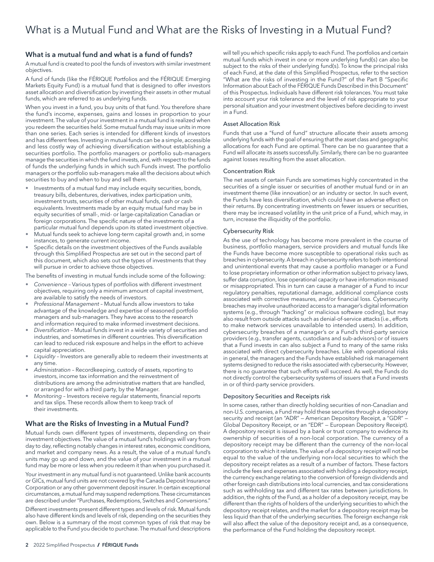# <span id="page-3-0"></span>What is a mutual fund and what is a fund of funds?

A mutual fund is created to pool the funds of investors with similar investment objectives.

A fund of funds (like the FÉRIQUE Portfolios and the FÉRIQUE Emerging Markets Equity Fund) is a mutual fund that is designed to offer investors asset allocation and diversification by investing their assets in other mutual funds, which are referred to as underlying funds.

When you invest in a fund, you buy units of that fund. You therefore share the fund's income, expenses, gains and losses in proportion to your investment. The value of your investment in a mutual fund is realized when you redeem the securities held. Some mutual funds may issue units in more than one series. Each series is intended for different kinds of investors and has different fees. Investing in mutual funds can be a simple, accessible and less costly way of achieving diversification without establishing a securities portfolio. The portfolio managers or portfolio sub-managers manage the securities in which the fund invests, and, with respect to the funds of funds the underlying funds in which such Funds invest. The portfolio managers or the portfolio sub-managers make all the decisions about which securities to buy and when to buy and sell them.

- Investments of a mutual fund may include equity securities, bonds, treasury bills, debentures, derivatives, index participation units, investment trusts, securities of other mutual funds, cash or cash equivalents. Investments made by an equity mutual fund may be in equity securities of small-, mid- or large-capitalization Canadian or foreign corporations. The specific nature of the investments of a particular mutual fund depends upon its stated investment objective.
- Mutual funds seek to achieve long-term capital growth and, in some instances, to generate current income.
- Specific details on the investment objectives of the Funds available through this Simplified Prospectus are set out in the second part of this document, which also sets out the types of investments that they will pursue in order to achieve those objectives.

The benefits of investing in mutual funds include some of the following:

- *Convenience*  Various types of portfolios with different investment objectives, requiring only a minimum amount of capital investment, are available to satisfy the needs of investors.
- *Professional Management* Mutual funds allow investors to take advantage of the knowledge and expertise of seasoned portfolio managers and sub-managers. They have access to the research and information required to make informed investment decisions.
- *Diversification*  Mutual funds invest in a wide variety of securities and industries, and sometimes in different countries. This diversification can lead to reduced risk exposure and helps in the effort to achieve capital appreciation.
- *Liquidity*  Investors are generally able to redeem their investments at any time.
- *Administration*  Recordkeeping, custody of assets, reporting to investors, income tax information and the reinvestment of distributions are among the administrative matters that are handled, or arranged for with a third party, by the Manager.
- *Monitoring* Investors receive regular statements, financial reports and tax slips. These records allow them to keep track of their investments.

## What are the Risks of Investing in a Mutual Fund?

Mutual funds own different types of investments, depending on their investment objectives. The value of a mutual fund's holdings will vary from day to day, reflecting notably changes in interest rates, economic conditions, and market and company news. As a result, the value of a mutual fund's units may go up and down, and the value of your investment in a mutual fund may be more or less when you redeem it than when you purchased it.

Your investment in any mutual fund is not guaranteed. Unlike bank accounts or GICs, mutual fund units are not covered by the Canada Deposit Insurance Corporation or any other government deposit insurer. In certain exceptional circumstances, a mutual fund may suspend redemptions. These circumstances are described under "Purchases, Redemptions, Switches and Conversions."

Different investments present different types and levels of risk. Mutual funds also have different kinds and levels of risk, depending on the securities they own. Below is a summary of the most common types of risk that may be applicable to the Fund you decide to purchase. The mutual fund descriptions

will tell you which specific risks apply to each Fund. The portfolios and certain mutual funds which invest in one or more underlying fund(s) can also be subject to the risks of their underlying fund(s). To know the principal risks of each Fund, at the date of this Simplified Prospectus, refer to the section "What are the risks of investing in the Fund?" of the Part B "Specific Information about Each of the FÉRIQUE Funds Described in this Document" of this Prospectus. Individuals have different risk tolerances. You must take into account your risk tolerance and the level of risk appropriate to your personal situation and your investment objectives before deciding to invest in a Fund.

#### Asset Allocation Risk

Funds that use a "fund of fund" structure allocate their assets among underlying funds with the goal of ensuring that the asset class and geographic allocations for each Fund are optimal. There can be no guarantee that a Fund will allocate its assets successfully. Similarly, there can be no guarantee against losses resulting from the asset allocation.

#### Concentration Risk

The net assets of certain Funds are sometimes highly concentrated in the securities of a single issuer or securities of another mutual fund or in an investment theme (like innovation) or an industry or sector. In such event, the Funds have less diversification, which could have an adverse effect on their returns. By concentrating investments on fewer issuers or securities, there may be increased volatility in the unit price of a Fund, which may, in turn, increase the illiquidity of the portfolio.

#### Cybersecurity Risk

As the use of technology has become more prevalent in the course of business, portfolio managers, service providers and mutual funds like the Funds have become more susceptible to operational risks such as breaches in cybersecurity. A breach in cybersecurity refers to both intentional and unintentional events that may cause a portfolio manager or a Fund to lose proprietary information or other information subject to privacy laws, suffer data corruption, lose operational capacity or have information misused or misappropriated. This in turn can cause a manager of a Fund to incur regulatory penalties, reputational damage, additional compliance costs associated with corrective measures, and/or financial loss. Cybersecurity breaches may involve unauthorized access to a manager's digital information systems (e.g., through "hacking" or malicious software coding), but may also result from outside attacks such as denial-of-service attacks (i.e., efforts to make network services unavailable to intended users). In addition, cybersecurity breaches of a manager's or a Fund's third-party service providers (e.g., transfer agents, custodians and sub-advisors) or of issuers that a Fund invests in can also subject a Fund to many of the same risks associated with direct cybersecurity breaches. Like with operational risks in general, the managers and the Funds have established risk management systems designed to reduce the risks associated with cybersecurity. However, there is no guarantee that such efforts will succeed. As well, the Funds do not directly control the cybersecurity systems of issuers that a Fund invests in or of third-party service providers.

#### Depository Securities and Receipts risk

In some cases, rather than directly holding securities of non-Canadian and non-U.S. companies, a Fund may hold these securities through a depository security and receipt (an "ADR" — American Depository Receipt, a "GDR" — Global Depository Receipt, or an "EDR" — European Depository Receipt). A depository receipt is issued by a bank or trust company to evidence its ownership of securities of a non-local corporation. The currency of a depository receipt may be different than the currency of the non-local corporation to which it relates. The value of a depository receipt will not be equal to the value of the underlying non-local securities to which the depository receipt relates as a result of a number of factors. These factors include the fees and expenses associated with holding a depository receipt, the currency exchange relating to the conversion of foreign dividends and other foreign cash distributions into local currencies, and tax considerations such as withholding tax and different tax rates between jurisdictions. In addition, the rights of the Fund, as a holder of a depository receipt, may be different than the rights of holders of the underlying securities to which the depository receipt relates, and the market for a depository receipt may be less liquid than that of the underlying securities. The foreign exchange risk will also affect the value of the depository receipt and, as a consequence, the performance of the Fund holding the depository receipt.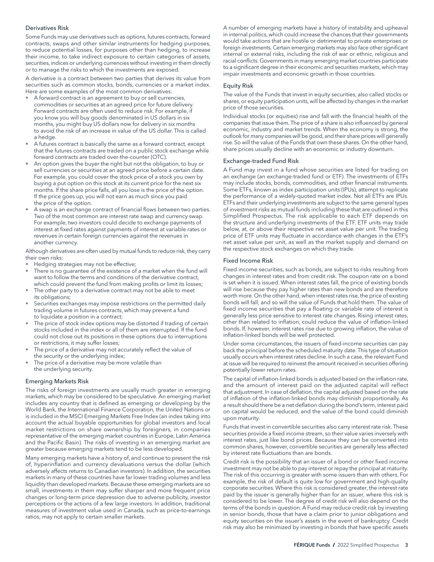#### Derivatives Risk

Some Funds may use derivatives such as options, futures contracts, forward contracts, swaps and other similar instruments for hedging purposes, to reduce potential losses, for purposes other than hedging, to increase their income, to take indirect exposure to certain categories of assets, securities, indices or underlying currencies without investing in them directly or to manage the risks to which the investments are exposed.

A derivative is a contract between two parties that derives its value from securities such as common stocks, bonds, currencies or a market index. Here are some examples of the most common derivatives:

- A forward contract is an agreement to buy or sell currencies, commodities or securities at an agreed price for future delivery. Forward contracts are often used to reduce risk. For example, if you know you will buy goods denominated in US dollars in six months, you might buy US dollars now for delivery in six months to avoid the risk of an increase in value of the US dollar. This is called a hedge.
- A futures contract is basically the same as a forward contract, except that the futures contracts are traded on a public stock exchange while forward contracts are traded over-the-counter (OTC).
- An option gives the buyer the right but not the obligation, to buy or sell currencies or securities at an agreed price before a certain date. For example, you could cover the stock price of a stock you own by buying a put option on this stock at its current price for the next six months. If the share price falls, all you lose is the price of the option. If the price goes up, you will not earn as much since you paid the price of the option.
- A swap is an exchange contract of financial flows between two parties. Two of the most common are interest rate swap and currency swap. For example, two investors could decide to exchange payments of interest at fixed rates against payments of interest at variable rates or revenues in certain foreign currencies against the revenues in another currency.

Although derivatives are often used by mutual funds to reduce risk, they carry their own risks:

- Hedging strategies may not be effective;
- There is no guarantee of the existence of a market when the fund will want to follow the terms and conditions of the derivative contract, which could prevent the fund from making profits or limit its losses;
- The other party to a derivative contract may not be able to meet its obligations;
- Securities exchanges may impose restrictions on the permitted daily trading volume in futures contracts, which may prevent a fund to liquidate a position in a contract;
- The price of stock index options may be distorted if trading of certain stocks included in the index or all of them are interrupted. If the fund could not close out its positions in these options due to interruptions or restrictions, it may suffer losses;
- The price of a derivative may not accurately reflect the value of the security or the underlying index;
- The price of a derivative may be more volatile than the underlying security.

#### Emerging Markets Risk

The risks of foreign investments are usually much greater in emerging markets, which may be considered to be speculative. An emerging market includes any country that is defined as emerging or developing by the World Bank, the International Finance Corporation, the United Nations or is included in the MSCI Emerging Markets Free Index (an index taking into account the actual buyable opportunities for global investors and local market restrictions on share ownership by foreigners, in companies representative of the emerging market countries in Europe, Latin America and the Pacific Basin). The risks of investing in an emerging market are greater because emerging markets tend to be less developed.

Many emerging markets have a history of, and continue to present the risk of, hyperinflation and currency devaluations versus the dollar (which adversely affects returns to Canadian investors). In addition, the securities markets in many of these countries have far lower trading volumes and less liquidity than developed markets. Because these emerging markets are so small, investments in them may suffer sharper and more frequent price changes or long-term price depression due to adverse publicity, investor perceptions or the actions of a few large investors. In addition, traditional measures of investment value used in Canada, such as price-to-earnings ratios, may not apply to certain smaller markets.

A number of emerging markets have a history of instability and upheaval in internal politics, which could increase the chances that their governments would take actions that are hostile or detrimental to private enterprises or foreign investments. Certain emerging markets may also face other significant internal or external risks, including the risk of war or ethnic, religious and racial conflicts. Governments in many emerging market countries participate to a significant degree in their economic and securities markets, which may impair investments and economic growth in those countries.

#### Equity Risk

The value of the Funds that invest in equity securities, also called stocks or shares, or equity participation units, will be affected by changes in the market price of those securities.

Individual stocks (or equities) rise and fall with the financial health of the companies that issue them. The price of a share is also influenced by general economic, industry and market trends. When the economy is strong, the outlook for many companies will be good, and their share prices will generally rise. So will the value of the Funds that own these shares. On the other hand, share prices usually decline with an economic or industry downturn.

#### Exchange-traded Fund Risk

A Fund may invest in a fund whose securities are listed for trading on an exchange (an exchange-traded fund or ETF). The investments of ETFs may include stocks, bonds, commodities, and other financial instruments. Some ETFs, known as index participation units (IPUs), attempt to replicate the performance of a widely-quoted market index. Not all ETFs are IPUs. ETFs and their underlying investments are subject to the same general types of investment risks as mutual funds including these that are outlined in this Simplified Prospectus. The risk applicable to each ETF depends on the structure and underlying investments of the ETF. ETF units may trade below, at, or above their respective net asset value per unit. The trading price of ETF units may fluctuate in accordance with changes in the ETF's net asset value per unit, as well as the market supply and demand on the respective stock exchanges on which they trade.

#### Fixed Income Risk

Fixed income securities, such as bonds, are subject to risks resulting from changes in interest rates and from credit risk. The coupon rate on a bond is set when it is issued. When interest rates fall, the price of existing bonds will rise because they pay higher rates than new bonds and are therefore worth more. On the other hand, when interest rates rise, the price of existing bonds will fall, and so will the value of Funds that hold them. The value of fixed income securities that pay a floating or variable rate of interest is generally less price sensitive to interest rate changes. Rising interest rates, other than related to inflation, could reduce the value of inflation-linked bonds. If, however, interest rates rise due to growing inflation, the value of inflation-linked bonds will be well protected.

Under some circumstances, the issuers of fixed-income securities can pay back the principal before the scheduled maturity date. This type of situation usually occurs when interest rates decline. In such a case, the relevant Fund at issue will be required to reinvest the amount received in securities offering potentially lower return rates.

The capital of inflation-linked bonds is adjusted based on the inflation rate, and the amount of interest paid on the adjusted capital will reflect that adjustment. In case of deflation, the capital adjusted based on the rate of inflation of the inflation-linked bonds may diminish proportionally. As a result should there be a net deflation during the bond's term, interest paid on capital would be reduced, and the value of the bond could diminish upon maturity.

Funds that invest in convertible securities also carry interest rate risk. These securities provide a fixed income stream, so their value varies inversely with interest rates, just like bond prices. Because they can be converted into common shares, however, convertible securities are generally less affected by interest rate fluctuations than are bonds.

Credit risk is the possibility that an issuer of a bond or other fixed income investment may not be able to pay interest or repay the principal at maturity. The risk of this occurring is greater with some issuers than with others. For example, the risk of default is quite low for government and high-quality corporate securities. Where this risk is considered greater, the interest rate paid by the issuer is generally higher than for an issuer, where this risk is considered to be lower. The degree of credit risk will also depend on the terms of the bonds in question. A Fund may reduce credit risk by investing in senior bonds, those that have a claim prior to junior obligations and equity securities on the issuer's assets in the event of bankruptcy. Credit risk may also be minimized by investing in bonds that have specific assets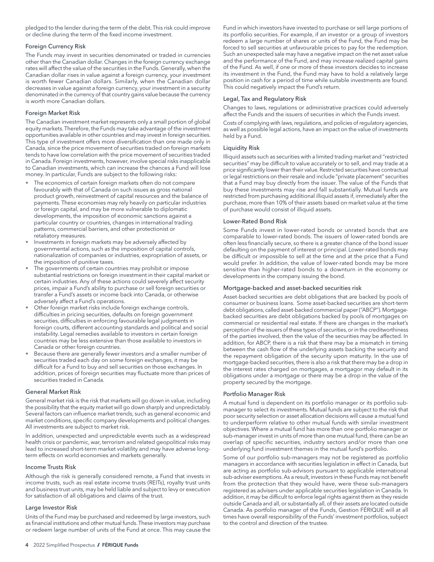pledged to the lender during the term of the debt. This risk could improve or decline during the term of the fixed income investment.

#### Foreign Currency Risk

The Funds may invest in securities denominated or traded in currencies other than the Canadian dollar. Changes in the foreign currency exchange rates will affect the value of the securities in the Funds. Generally, when the Canadian dollar rises in value against a foreign currency, your investment is worth fewer Canadian dollars. Similarly, when the Canadian dollar decreases in value against a foreign currency, your investment in a security denominated in the currency of that country gains value because the currency is worth more Canadian dollars.

#### Foreign Market Risk

The Canadian investment market represents only a small portion of global equity markets. Therefore, the Funds may take advantage of the investment opportunities available in other countries and may invest in foreign securities. This type of investment offers more diversification than one made only in Canada, since the price movement of securities traded on foreign markets tends to have low correlation with the price movement of securities traded in Canada. Foreign investments, however, involve special risks inapplicable to Canadian investments, which can increase the chances a Fund will lose money. In particular, Funds are subject to the following risks:

- The economics of certain foreign markets often do not compare favourably with that of Canada on such issues as gross national product growth, reinvestment of capital resources and the balance of payments. These economies may rely heavily on particular industries or foreign capital, and may be more vulnerable to diplomatic developments, the imposition of economic sanctions against a particular country or countries, changes in international trading patterns, commercial barriers, and other protectionist or retaliatory measures.
- Investments in foreign markets may be adversely affected by governmental actions, such as the imposition of capital controls, nationalization of companies or industries, expropriation of assets, or the imposition of punitive taxes.
- The governments of certain countries may prohibit or impose substantial restrictions on foreign investment in their capital market or certain industries. Any of these actions could severely affect security prices, impair a Fund's ability to purchase or sell foreign securities or transfer a Fund's assets or income back into Canada, or otherwise adversely affect a Fund's operations.
- Other foreign market risks include foreign exchange controls, difficulties in pricing securities, defaults on foreign government securities, difficulties in enforcing favourable legal judgments in foreign courts, different accounting standards and political and social instability. Legal remedies available to investors in certain foreign countries may be less extensive than those available to investors in Canada or other foreign countries.
- Because there are generally fewer investors and a smaller number of securities traded each day on some foreign exchanges, it may be difficult for a Fund to buy and sell securities on those exchanges. In addition, prices of foreign securities may fluctuate more than prices of securities traded in Canada.

#### General Market Risk

General market risk is the risk that markets will go down in value, including the possibility that the equity market will go down sharply and unpredictably. Several factors can influence market trends, such as general economic and market conditions, specific company developments and political changes. All investments are subject to market risk.

In addition, unexpected and unpredictable events such as a widespread health crisis or pandemic, war, terrorism and related geopolitical risks may lead to increased short-term market volatility and may have adverse longterm effects on world economies and markets generally.

#### Income Trusts Risk

Although the risk is generally considered remote, a Fund that invests in income trusts, such as real estate income trusts (REITs), royalty trust units and business trust units, may be held liable and subject to levy or execution for satisfaction of all obligations and claims of the trust.

#### Large Investor Risk

Units of the Fund may be purchased and redeemed by large investors, such as financial institutions and other mutual funds. These investors may purchase or redeem large number of units of the Fund at once. This may cause the Fund in which investors have invested to purchase or sell large portions of its portfolio securities. For example, if an investor or a group of investors redeem a large number of shares or units of the Fund, the Fund may be forced to sell securities at unfavourable prices to pay for the redemption. Such an unexpected sale may have a negative impact on the net asset value and the performance of the Fund, and may increase realized capital gains of the Fund. As well, if one or more of these investors decides to increase its investment in the Fund, the Fund may have to hold a relatively large position in cash for a period of time while suitable investments are found. This could negatively impact the Fund's return.

#### Legal, Tax and Regulatory Risk

Changes to laws, regulations or administrative practices could adversely affect the Funds and the issuers of securities in which the Funds invest.

Costs of complying with laws, regulations, and policies of regulatory agencies, as well as possible legal actions, have an impact on the value of investments held by a Fund.

#### Liquidity Risk

Illiquid assets such as securities with a limited trading market and "restricted securities" may be difficult to value accurately or to sell, and may trade at a price significantly lower than their value. Restricted securities have contractual or legal restrictions on their resale and include "private placement" securities that a Fund may buy directly from the issuer. The value of the Funds that buy these investments may rise and fall substantially. Mutual funds are restricted from purchasing additional illiquid assets if, immediately after the purchase, more than 10% of their assets based on market value at the time of purchase would consist of illiquid assets.

#### Lower-Rated Bond Risk

Some Funds invest in lower-rated bonds or unrated bonds that are comparable to lower-rated bonds. The issuers of lower-rated bonds are often less financially secure, so there is a greater chance of the bond issuer defaulting on the payment of interest or principal. Lower-rated bonds may be difficult or impossible to sell at the time and at the price that a Fund would prefer. In addition, the value of lower-rated bonds may be more sensitive than higher-rated bonds to a downturn in the economy or developments in the company issuing the bond.

#### Mortgage-backed and asset-backed securities risk

Asset-backed securities are debt obligations that are backed by pools of consumer or business loans. Some asset-backed securities are short-term debt obligations, called asset-backed commercial paper ("ABCP"). Mortgagebacked securities are debt obligations backed by pools of mortgages on commercial or residential real estate. If there are changes in the market's perception of the issuers of these types of securities, or in the creditworthiness of the parties involved, then the value of the securities may be affected. In addition, for ABCP, there is a risk that there may be a mismatch in timing between the cash flow of the underlying assets backing the security and the repayment obligation of the security upon maturity. In the use of mortgage-backed securities, there is also a risk that there may be a drop in the interest rates charged on mortgages, a mortgagor may default in its obligations under a mortgage or there may be a drop in the value of the property secured by the mortgage.

#### Portfolio Manager Risk

A mutual fund is dependent on its portfolio manager or its portfolio submanager to select its investments. Mutual funds are subject to the risk that poor security selection or asset allocation decisions will cause a mutual fund to underperform relative to other mutual funds with similar investment objectives. Where a mutual fund has more than one portfolio manager or sub-manager invest in units of more than one mutual fund, there can be an overlap of specific securities, industry sectors and/or more than one underlying fund investment themes in the mutual fund's portfolio.

Some of our portfolio sub-managers may not be registered as portfolio managers in accordance with securities legislation in effect in Canada, but are acting as portfolio sub-advisors pursuant to applicable international sub-adviser exemptions. As a result, investors in these Funds may not benefit from the protection that they would have, were these sub-managers registered as advisers under applicable securities legislation in Canada. In addition, it may be difficult to enforce legal rights against them as they reside outside Canada and all, or substantially all, of their assets are located outside Canada. As portfolio manager of the Funds, Gestion FÉRIQUE will at all times have overall responsibility of the Funds' investment portfolios, subject to the control and direction of the trustee.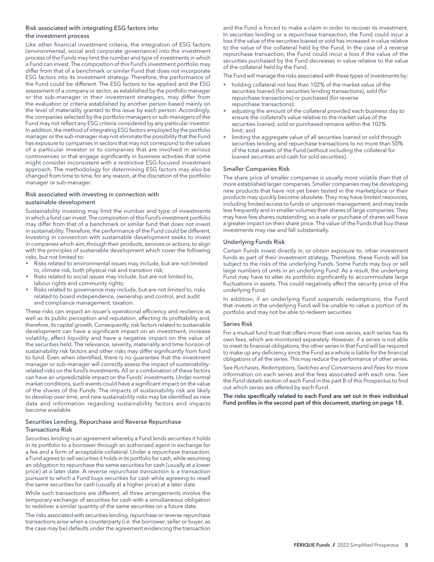#### <span id="page-6-0"></span>Risk associated with integrating ESG factors into the investment process

Like other financial investment criteria, the integration of ESG factors (environmental, social and corporate governance) into the investment process of the Funds may limit the number and type of investments in which a Fund can invest. The composition of this Fund's investment portfolio may differ from that of a benchmark or similar Fund that does not incorporate ESG factors into its investment strategy. Therefore, the performance of the Fund could be different. The ESG factors to be applied and the ESG assessment of a company or sector, as established by the portfolio manager or the sub-manager in their investment strategies, may differ from the evaluation or criteria established by another person based mainly on the level of materiality granted to this issue by each person. Accordingly, the companies selected by the portfolio managers or sub-managers of the Fund may not reflect any ESG criteria considered by any particular investor. In addition, the method of integrating ESG factors employed by the portfolio manager or the sub-manager may not eliminate the possibility that the Fund has exposure to companies in sectors that may not correspond to the values of a particular investor or to companies that are involved in serious controversies or that engage significantly in business activities that some might consider inconsistent with a restrictive ESG-focused investment approach. The methodology for determining ESG factors may also be changed from time to time, for any reason, at the discretion of the portfolio manager or sub-manager.

#### Risk associated with investing in connection with sustainable development

Sustainability investing may limit the number and type of investments in which a fund can invest. The composition of this Fund's investment portfolio may differ from that of a benchmark or similar fund that does not invest in sustainability. Therefore, the performance of the Fund could be different. Investing in connection with sustainable development seeks to invest in companies which aim, through their products, services or actions, to align with the principles of sustainable development which cover the following risks, but not limited to:

- Risks related to environmental issues may include, but are not limited to, climate risk, both physical risk and transition risk;
- Risks related to social issues may include, but are not limited to,
- labour rights and community rights; • Risks related to governance may include, but are not limited to, risks
- related to board independence, ownership and control, and audit and compliance management. taxation.

These risks can impact an issuer's operational efficiency and resilience as well as its public perception and reputation, affecting its profitability and, therefore, its capital growth. Consequently, risk factors related to sustainable development can have a significant impact on an investment, increase volatility, affect liquidity and have a negative impact on the value of the securities held. The relevance, severity, materiality and time horizon of sustainability risk factors and other risks may differ significantly from fund to fund. Even when identified, there is no guarantee that the investment manager or sub-manager will correctly assess the impact of sustainabilityrelated risks on the fund's investments. All or a combination of these factors can have an unpredictable impact on the Funds' investments. Under normal market conditions, such events could have a significant impact on the value of the shares of the Funds. The impacts of sustainability risk are likely to develop over time, and new sustainability risks may be identified as new data and information regarding sustainability factors and impacts become available.

#### Securities Lending, Repurchase and Reverse Repurchase Transactions Risk

*Securities lending* is an agreement whereby a Fund lends securities it holds in its portfolio to a borrower through an authorized agent in exchange for a fee and a form of acceptable collateral. Under a *repurchase transaction*, a Fund agrees to sell securities it holds in its portfolio for cash, while assuming an obligation to repurchase the same securities for cash (usually at a lower price) at a later date. A *reverse repurchase transaction* is a transaction pursuant to which a Fund buys securities for cash while agreeing to resell the same securities for cash (usually at a higher price) at a later date.

While such transactions are different, all three arrangements involve the temporary exchange of securities for cash with a simultaneous obligation to redeliver a similar quantity of the same securities on a future date.

The risks associated with securities lending, repurchase or reverse repurchase transactions arise when a counterparty (*i.e.* the borrower, seller or buyer, as the case may be) defaults under the agreement evidencing the transaction

and the Fund is forced to make a claim in order to recover its investment. In securities lending or a repurchase transaction, the Fund could incur a loss if the value of the securities loaned or sold has increased in value relative to the value of the collateral held by the Fund. In the case of a reverse repurchase transaction, the Fund could incur a loss if the value of the securities purchased by the Fund decreases in value relative to the value of the collateral held by the Fund.

The Fund will manage the risks associated with these types of investments by:

- holding collateral not less than 102% of the market value of the securities loaned (for securities lending transactions), sold (for repurchase transactions) or purchased (for reverse repurchase transactions);
- adjusting the amount of the collateral provided each business day to ensure the collateral's value relative to the market value of the securities loaned, sold or purchased remains within the 102% limit; and
- limiting the aggregate value of all securities loaned or sold through securities lending and repurchase transactions to no more than 50% of the total assets of the Fund (without including the collateral for loaned securities and cash for sold securities).

#### Smaller Companies Risk

The share price of smaller companies is usually more volatile than that of more established larger companies. Smaller companies may be developing new products that have not yet been tested in the marketplace or their products may quickly become obsolete. They may have limited resources, including limited access to funds or unproven management, and may trade less frequently and in smaller volumes than shares of large companies. They may have few shares outstanding, so a sale or purchase of shares will have a greater impact on their share price. The value of the Funds that buy these investments may rise and fall substantially.

#### Underlying Funds Risk

Certain Funds invest directly in, or obtain exposure to, other investment funds as part of their investment strategy. Therefore, these Funds will be subject to the risks of the underlying Funds. Some Funds may buy or sell large numbers of units in an underlying Fund. As a result, the underlying Fund may have to alter its portfolio significantly to accommodate large fluctuations in assets. This could negatively affect the security price of the underlying Fund.

In addition, if an underlying Fund suspends redemptions, the Fund that invests in the underlying Fund will be unable to value a portion of its portfolio and may not be able to redeem securities.

#### Series Risk

For a mutual fund trust that offers more than one series, each series has its own fees, which are monitored separately. However, if a series is not able to meet its financial obligations, the other series in that Fund will be required to make up any deficiency since the Fund as a whole is liable for the financial obligations of all the series. This may reduce the performance of other series.

See *Purchases, Redemptions, Switches and Conversions* and *Fees* for more information on each series and the fees associated with each one. See the *Fund details* section of each Fund in the part B of this Prospectus to find out which series are offered by each Fund.

The risks specifically related to each Fund are set out in their individual Fund profiles in the second part of this document, starting on page 18.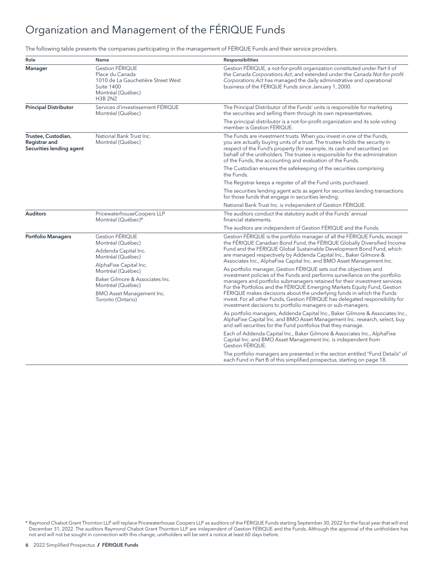# <span id="page-7-0"></span>Organization and Management of the FÉRIQUE Funds

The following table presents the companies participating in the management of FÉRIQUE Funds and their service providers.

| Role                                                             | Name                                                                                                                                                                       | <b>Responsibilities</b>                                                                                                                                                                                                                                                                                                                                                                                                                                                                                                        |
|------------------------------------------------------------------|----------------------------------------------------------------------------------------------------------------------------------------------------------------------------|--------------------------------------------------------------------------------------------------------------------------------------------------------------------------------------------------------------------------------------------------------------------------------------------------------------------------------------------------------------------------------------------------------------------------------------------------------------------------------------------------------------------------------|
| Manager                                                          | <b>Gestion FÉRIQUE</b><br>Place du Canada<br>1010 de La Gauchetière Street West<br>Suite 1400<br>Montréal (Québec)<br><b>H3B 2N2</b>                                       | Gestion FÉRIQUE, a not-for-profit organization constituted under Part II of<br>the Canada Corporations Act, and extended under the Canada Not-for-profit<br>Corporations Act has managed the daily administrative and operational<br>business of the FÉRIQUE Funds since January 1, 2000.                                                                                                                                                                                                                                      |
| <b>Principal Distributor</b>                                     | Services d'investissement FÉRIQUE<br>Montréal (Québec)                                                                                                                     | The Principal Distributor of the Funds' units is responsible for marketing<br>the securities and selling them through its own representatives.                                                                                                                                                                                                                                                                                                                                                                                 |
|                                                                  |                                                                                                                                                                            | The principal distributor is a not-for-profit organization and its sole voting<br>member is Gestion FÉRIQUE.                                                                                                                                                                                                                                                                                                                                                                                                                   |
| Trustee, Custodian,<br>Registrar and<br>Securities lending agent | National Bank Trust Inc.<br>Montréal (Québec)                                                                                                                              | The Funds are investment trusts. When you invest in one of the Funds,<br>you are actually buying units of a trust. The trustee holds the security in<br>respect of the Fund's property (for example, its cash and securities) on<br>behalf of the unitholders. The trustee is responsible for the administration<br>of the Funds, the accounting and evaluation of the Funds.                                                                                                                                                  |
|                                                                  |                                                                                                                                                                            | The Custodian ensures the safekeeping of the securities comprising<br>the Funds.                                                                                                                                                                                                                                                                                                                                                                                                                                               |
|                                                                  |                                                                                                                                                                            | The Registrar keeps a register of all the Fund units purchased.                                                                                                                                                                                                                                                                                                                                                                                                                                                                |
|                                                                  |                                                                                                                                                                            | The securities lending agent acts as agent for securities lending transactions<br>for those funds that engage in securities lending.                                                                                                                                                                                                                                                                                                                                                                                           |
|                                                                  |                                                                                                                                                                            | National Bank Trust Inc. is independent of Gestion FÉRIQUE.                                                                                                                                                                                                                                                                                                                                                                                                                                                                    |
| <b>Auditors</b>                                                  | PricewaterhouseCoopers LLP<br>Montréal (Québec)*                                                                                                                           | The auditors conduct the statutory audit of the Funds' annual<br>financial statements.                                                                                                                                                                                                                                                                                                                                                                                                                                         |
|                                                                  |                                                                                                                                                                            | The auditors are independent of Gestion FÉRIQUE and the Funds.                                                                                                                                                                                                                                                                                                                                                                                                                                                                 |
| <b>Portfolio Managers</b>                                        | <b>Gestion FÉRIQUE</b><br>Montréal (Québec)<br>Addenda Capital Inc.<br>Montréal (Québec)<br>AlphaFixe Capital Inc.<br>Montréal (Québec)<br>Baker Gilmore & Associates Inc. | Gestion FÉRIQUE is the portfolio manager of all the FÉRIQUE Funds, except<br>the FÉRIQUE Canadian Bond Fund, the FÉRIQUE Globally Diversified Income<br>Fund and the FÉRIQUE Global Sustainable Development Bond Fund, which<br>are managed respectively by Addenda Capital Inc., Baker Gilmore &<br>Associates Inc., AlphaFixe Capital Inc. and BMO Asset Management Inc.<br>As portfolio manager, Gestion FÉRIQUE sets out the objectives and<br>investment policies of the Funds and performs surveillance on the portfolio |
|                                                                  | Montréal (Québec)<br>BMO Asset Management Inc.<br>Toronto (Ontario)                                                                                                        | managers and portfolio submanagers retained for their investment services.<br>For the Portfolios and the FÉRIQUE Emerging Markets Equity Fund, Gestion<br>FÉRIQUE makes decisions about the underlying funds in which the Funds<br>invest. For all other Funds, Gestion FÉRIQUE has delegated responsibility for<br>investment decisions to portfolio managers or sub-managers.                                                                                                                                                |
|                                                                  |                                                                                                                                                                            | As portfolio managers, Addenda Capital Inc., Baker Gilmore & Associates Inc.,<br>AlphaFixe Capital Inc. and BMO Asset Management Inc. research, select, buy<br>and sell securities for the Fund portfolios that they manage.                                                                                                                                                                                                                                                                                                   |
|                                                                  |                                                                                                                                                                            | Each of Addenda Capital Inc., Baker Gilmore & Associates Inc., AlphaFixe<br>Capital Inc. and BMO Asset Management Inc. is independent from<br>Gestion FÉRIQUE.                                                                                                                                                                                                                                                                                                                                                                 |
|                                                                  |                                                                                                                                                                            | The portfolio managers are presented in the section entitled "Fund Details" of<br>each Fund in Part B of this simplified prospectus, starting on page 18.                                                                                                                                                                                                                                                                                                                                                                      |

\* Raymond Chabot Grant Thornton LLP will replace Pricewaterhouse Coopers LLP as auditors of the FÉRIQUE Funds starting September 30, 2022 for the fiscal year that will end December 31, 2022. The auditors Raymond Chabot Grant Thornton LLP are independent of Gestion FÉRIQUE and the Funds. Although the approval of the unitholders has not and will not be sought in connection with this change, unitholders will be sent a notice at least 60 days before.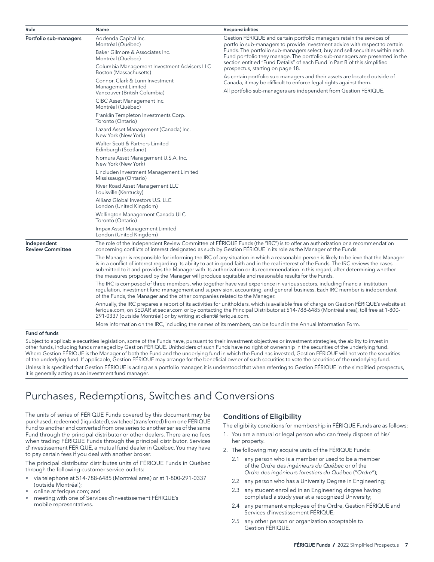| Role                                   | Name                                                                                              | <b>Responsibilities</b>                                                                                                                                                                                                                                                                                                                                                                                             |
|----------------------------------------|---------------------------------------------------------------------------------------------------|---------------------------------------------------------------------------------------------------------------------------------------------------------------------------------------------------------------------------------------------------------------------------------------------------------------------------------------------------------------------------------------------------------------------|
| Portfolio sub-managers                 | Addenda Capital Inc.<br>Montréal (Québec)                                                         | Gestion FÉRIQUE and certain portfolio managers retain the services of<br>portfolio sub-managers to provide investment advice with respect to certain<br>Funds. The portfolio sub-managers select, buy and sell securities within each                                                                                                                                                                               |
|                                        | Baker Gilmore & Associates Inc.<br>Montréal (Québec)                                              | Fund portfolio they manage. The portfolio sub-managers are presented in the<br>section entitled "Fund Details" of each Fund in Part B of this simplified                                                                                                                                                                                                                                                            |
|                                        | Columbia Management Investment Advisers LLC<br>Boston (Massachusetts)                             | prospectus, starting on page 18.                                                                                                                                                                                                                                                                                                                                                                                    |
|                                        | Connor, Clark & Lunn Investment<br>Management Limited                                             | As certain portfolio sub-managers and their assets are located outside of<br>Canada, it may be difficult to enforce legal rights against them.                                                                                                                                                                                                                                                                      |
|                                        | Vancouver (British Columbia)<br>CIBC Asset Management Inc.                                        | All portfolio sub-managers are independent from Gestion FÉRIQUE.                                                                                                                                                                                                                                                                                                                                                    |
|                                        | Montréal (Québec)<br>Franklin Templeton Investments Corp.<br>Toronto (Ontario)                    |                                                                                                                                                                                                                                                                                                                                                                                                                     |
|                                        | Lazard Asset Management (Canada) Inc.<br>New York (New York)                                      |                                                                                                                                                                                                                                                                                                                                                                                                                     |
|                                        | Walter Scott & Partners Limited<br>Edinburgh (Scotland)                                           |                                                                                                                                                                                                                                                                                                                                                                                                                     |
|                                        | Nomura Asset Management U.S.A. Inc.<br>New York (New York)                                        |                                                                                                                                                                                                                                                                                                                                                                                                                     |
|                                        | Lincluden Investment Management Limited<br>Mississauga (Ontario)                                  |                                                                                                                                                                                                                                                                                                                                                                                                                     |
|                                        | River Road Asset Management LLC<br>Louisville (Kentucky)                                          |                                                                                                                                                                                                                                                                                                                                                                                                                     |
|                                        | Allianz Global Investors U.S. LLC<br>London (United Kingdom)                                      |                                                                                                                                                                                                                                                                                                                                                                                                                     |
|                                        | Wellington Management Canada ULC<br>Toronto (Ontario)                                             |                                                                                                                                                                                                                                                                                                                                                                                                                     |
|                                        | Impax Asset Management Limited<br>London (United Kingdom)                                         |                                                                                                                                                                                                                                                                                                                                                                                                                     |
| Independent<br><b>Review Committee</b> |                                                                                                   | The role of the Independent Review Committee of FÉRIQUE Funds (the "IRC") is to offer an authorization or a recommendation<br>concerning conflicts of interest designated as such by Gestion FÉRIQUE in its role as the Manager of the Funds.                                                                                                                                                                       |
|                                        | the measures proposed by the Manager will produce equitable and reasonable results for the Funds. | The Manager is responsible for informing the IRC of any situation in which a reasonable person is likely to believe that the Manager<br>is in a conflict of interest regarding its ability to act in good faith and in the real interest of the Funds. The IRC reviews the cases<br>submitted to it and provides the Manager with its authorization or its recommendation in this regard, after determining whether |
|                                        | of the Funds, the Manager and the other companies related to the Manager.                         | The IRC is composed of three members, who together have vast experience in various sectors, including financial institution<br>regulation, investment fund management and supervision, accounting, and general business. Each IRC member is independent                                                                                                                                                             |
|                                        | 291-0337 (outside Montréal) or by writing at client@ ferique.com.                                 | Annually, the IRC prepares a report of its activities for unitholders, which is available free of charge on Gestion FÉRIQUE's website at<br>ferique.com, on SEDAR at sedar.com or by contacting the Principal Distributor at 514-788-6485 (Montréal area), toll free at 1-800-                                                                                                                                      |
|                                        |                                                                                                   | More information on the IRC, including the names of its members, can be found in the Annual Information Form.                                                                                                                                                                                                                                                                                                       |

#### Fund of funds

Subject to applicable securities legislation, some of the Funds have, pursuant to their investment objectives or investment strategies, the ability to invest in other funds, including funds managed by Gestion FÉRIQUE. Unitholders of such Funds have no right of ownership in the securities of the underlying fund. Where Gestion FÉRIQUE is the Manager of both the Fund and the underlying fund in which the Fund has invested, Gestion FÉRIQUE will not vote the securities of the underlying fund. If applicable, Gestion FÉRIQUE may arrange for the beneficial owner of such securities to vote the securities of the underlying fund. Unless it is specified that Gestion FÉRIQUE is acting as a portfolio manager, it is understood that when referring to Gestion FÉRIQUE in the simplified prospectus, it is generally acting as an investment fund manager.

# Purchases, Redemptions, Switches and Conversions

The units of series of FÉRIQUE Funds covered by this document may be purchased, redeemed (liquidated), switched (transferred) from one FÉRIQUE Fund to another and converted from one series to another series of the same Fund through the principal distributor or other dealers. There are no fees when trading FÉRIQUE Funds through the principal distributor, Services d'investissement FÉRIQUE, a mutual fund dealer in Québec. You may have to pay certain fees if you deal with another broker.

The principal distributor distributes units of FÉRIQUE Funds in Québec through the following customer service outlets:

- via telephone at 514-788-6485 (Montréal area) or at 1-800-291-0337 (outside Montréal);
- online at [ferique.com;](http://ferique.com) and
- meeting with one of Services d'investissement FÉRIQUE's mobile representatives.

# Conditions of Eligibility

The eligibility conditions for membership in FÉRIQUE Funds are as follows:

- 1. You are a natural or legal person who can freely dispose of his/ her property.
- 2. The following may acquire units of the FÉRIQUE Funds:
	- 2.1 any person who is a member or used to be a member of the *Ordre des ingénieurs du Québec* or of the *Ordre des ingénieurs forestiers du Québec* ("*Ordre*");
	- 2.2 any person who has a University Degree in Engineering;
	- 2.3 any student enrolled in an Engineering degree having completed a study year at a recognized University;
	- 2.4 any permanent employee of the Ordre, Gestion FÉRIQUE and Services d'investissement FÉRIQUE;
	- 2.5 any other person or organization acceptable to Gestion FÉRIQUE.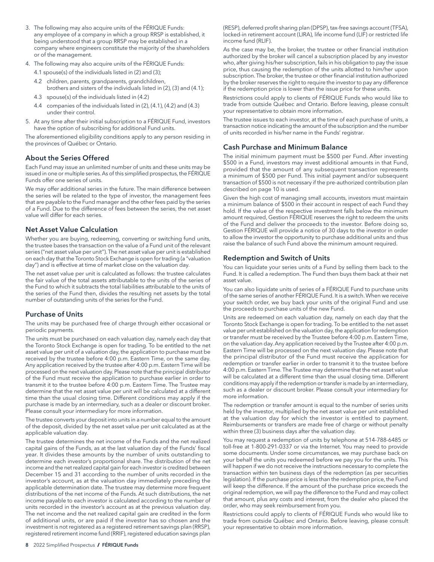- <span id="page-9-0"></span>3. The following may also acquire units of the FÉRIQUE Funds: any employee of a company in which a group RRSP is established, it being understood that a group RRSP may be established in a company where engineers constitute the majority of the shareholders or of the management.
- 4. The following may also acquire units of the FÉRIQUE Funds:
	- 4.1 spouse(s) of the individuals listed in (2) and (3);
	- 4.2 children, parents, grandparents, grandchildren, brothers and sisters of the individuals listed in (2), (3) and (4.1);
	- 4.3 spouse(s) of the individuals listed in (4.2)
	- 4.4 companies of the individuals listed in (2), (4.1), (4.2) and (4.3) under their control.
- 5. At any time after their initial subscription to a FÉRIQUE Fund, investors have the option of subscribing for additional Fund units.

The aforementioned eligibility conditions apply to any person residing in the provinces of Québec or Ontario.

# About the Series Offered

Each Fund may issue an unlimited number of units and these units may be issued in one or multiple series. As of this simplified prospectus, the FÉRIQUE Funds offer one series of units.

We may offer additional series in the future. The main difference between the series will be related to the type of investor, the management fees that are payable to the Fund manager and the other fees paid by the series of a Fund. Due to the difference of fees between the series, the net asset value will differ for each series.

## Net Asset Value Calculation

Whether you are buying, redeeming, converting or switching fund units, the trustee bases the transaction on the value of a Fund unit of the relevant series ("net asset value per unit"). The net asset value per unit is established on each day that the Toronto Stock Exchange is open for trading (a "valuation day") and is effective at time of market close on the valuation day.

The net asset value per unit is calculated as follows: the trustee calculates the fair value of the total assets attributable to the units of the series of the Fund to which it subtracts the total liabilities attributable to the units of the series of the Fund then, divides the resulting net assets by the total number of outstanding units of the series for the Fund.

## Purchase of Units

The units may be purchased free of charge through either occasional or periodic payments.

The units must be purchased on each valuation day, namely each day that the Toronto Stock Exchange is open for trading. To be entitled to the net asset value per unit of a valuation day, the application to purchase must be received by the trustee before 4:00 p.m. Eastern Time, on the same day. Any application received by the trustee after 4:00 p.m. Eastern Time will be processed on the next valuation day. Please note that the principal distributor of the Fund must receive the application to purchase earlier in order to transmit it to the trustee before 4:00 p.m. Eastern Time. The Trustee may determine that the net asset value per unit will be calculated at a different time than the usual closing time. Different conditions may apply if the purchase is made by an intermediary, such as a dealer or discount broker. Please consult your intermediary for more information.

The trustee converts your deposit into units in a number equal to the amount of the deposit, divided by the net asset value per unit calculated as at the applicable valuation day.

The trustee determines the net income of the Funds and the net realized capital gains of the Funds, as at the last valuation day of the Funds' fiscal year. It divides these amounts by the number of units outstanding to determine each investor's proportional share. The distribution of the net income and the net realized capital gain for each investor is credited between December 15 and 31 according to the number of units recorded in the investor's account, as at the valuation day immediately preceding the applicable determination date. The trustee may determine more frequent distributions of the net income of the Funds. At such distributions, the net income payable to each investor is calculated according to the number of units recorded in the investor's account as at the previous valuation day. The net income and the net realized capital gain are credited in the form of additional units, or are paid if the investor has so chosen and the investment is not registered as a registered retirement savings plan (RRSP), registered retirement income fund (RRIF), registered education savings plan

(RESP), deferred profit sharing plan (DPSP), tax-free savings account (TFSA), locked-in retirement account (LIRA), life income fund (LIF) or restricted life income fund (RLIF).

As the case may be, the broker, the trustee or other financial institution authorized by the broker will cancel a subscription placed by any investor who, after giving his/her subscription, fails in his obligation to pay the issue price, thus causing the redemption of the units allotted to him/her upon subscription. The broker, the trustee or other financial institution authorized by the broker reserves the right to require the investor to pay any difference if the redemption price is lower than the issue price for these units.

Restrictions could apply to clients of FÉRIQUE Funds who would like to trade from outside Québec and Ontario. Before leaving, please consult your representative to obtain more information.

The trustee issues to each investor, at the time of each purchase of units, a transaction notice indicating the amount of the subscription and the number of units recorded in his/her name in the Funds' registrar.

#### Cash Purchase and Minimum Balance

The initial minimum payment must be \$500 per Fund. After investing \$500 in a Fund, investors may invest additional amounts in that Fund, provided that the amount of any subsequent transaction represents a minimum of \$500 per Fund. This initial payment and/or subsequent transaction of \$500 is not necessary if the pre-authorized contribution plan described on page 10 is used.

Given the high cost of managing small accounts, investors must maintain a minimum balance of \$500 in their account in respect of each Fund they hold. If the value of the respective investment falls below the minimum amount required, Gestion FÉRIQUE reserves the right to redeem the units of the Fund and deliver the proceeds to the investor. Before doing so, Gestion FÉRIQUE will provide a notice of 30 days to the investor in order to allow the investor the opportunity to purchase additional units and thus raise the balance of such Fund above the minimum amount required.

## Redemption and Switch of Units

You can liquidate your series units of a Fund by selling them back to the Fund. It is called a redemption. The Fund then buys them back at their net asset value.

You can also liquidate units of series of a FÉRIQUE Fund to purchase units of the same series of another FÉRIQUE Fund. It is a switch. When we receive your switch order, we buy back your units of the original Fund and use the proceeds to purchase units of the new Fund.

Units are redeemed on each valuation day, namely on each day that the Toronto Stock Exchange is open for trading. To be entitled to the net asset value per unit established on the valuation day, the application for redemption or transfer must be received by the Trustee before 4:00 p.m. Eastern Time, on the valuation day. Any application received by the Trustee after 4:00 p.m. Eastern Time will be processed on the next valuation day. Please note that the principal distributor of the Fund must receive the application for redemption or transfer earlier in order to transmit it to the trustee before 4:00 p.m. Eastern Time. The Trustee may determine that the net asset value will be calculated at a different time than the usual closing time. Different conditions may apply if the redemption or transfer is made by an intermediary, such as a dealer or discount broker. Please consult your intermediary for more information.

The redemption or transfer amount is equal to the number of series units held by the investor, multiplied by the net asset value per unit established at the valuation day for which the investor is entitled to payment. Reimbursements or transfers are made free of charge or without penalty within three (3) business days after the valuation day.

You may request a redemption of units by telephone at 514-788-6485 or toll-free at 1-800-291-0337 or via the Internet. You may need to provide some documents. Under some circumstances, we may purchase back on your behalf the units you redeemed before we pay you for the units. This will happen if we do not receive the instructions necessary to complete the transaction within ten business days of the redemption (as per securities legislation). If the purchase price is less than the redemption price, the Fund will keep the difference. If the amount of the purchase price exceeds the original redemption, we will pay the difference to the Fund and may collect that amount, plus any costs and interest, from the dealer who placed the order, who may seek reimbursement from you.

Restrictions could apply to clients of FÉRIQUE Funds who would like to trade from outside Québec and Ontario. Before leaving, please consult your representative to obtain more information.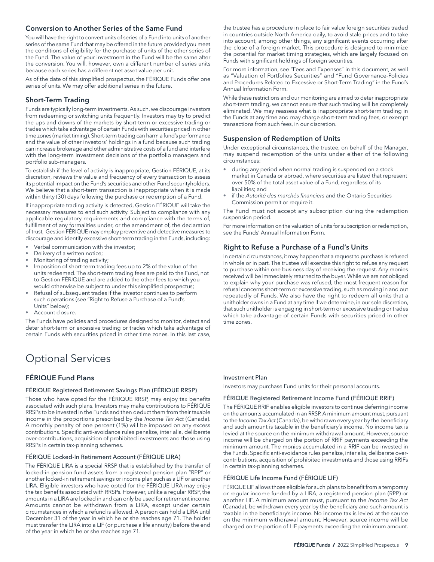#### <span id="page-10-0"></span>Conversion to Another Series of the Same Fund

You will have the right to convert units of series of a Fund into units of another series of the same Fund that may be offered in the future provided you meet the conditions of eligibility for the purchase of units of the other series of the Fund. The value of your investment in the Fund will be the same after the conversion. You will, however, own a different number of series units because each series has a different net asset value per unit.

As of the date of this simplified prospectus, the FÉRIQUE Funds offer one series of units. We may offer additional series in the future.

#### Short-Term Trading

Funds are typically long-term investments. As such, we discourage investors from redeeming or switching units frequently. Investors may try to predict the ups and downs of the markets by short-term or excessive trading or trades which take advantage of certain Funds with securities priced in other time zones (market timing). Short-term trading can harm a fund's performance and the value of other investors' holdings in a fund because such trading can increase brokerage and other administrative costs of a fund and interfere with the long-term investment decisions of the portfolio managers and portfolio sub-managers.

To establish if the level of activity is inappropriate, Gestion FÉRIQUE, at its discretion, reviews the value and frequency of every transaction to assess its potential impact on the Fund's securities and other Fund securityholders. We believe that a short-term transaction is inappropriate when it is made within thirty (30) days following the purchase or redemption of a Fund.

If inappropriate trading activity is detected, Gestion FÉRIQUE will take the necessary measures to end such activity. Subject to compliance with any applicable regulatory requirements and compliance with the terms of, fulfillment of any formalities under, or the amendment of, the declaration of trust, Gestion FÉRIQUE may employ preventive and detective measures to discourage and identify excessive short-term trading in the Funds, including:

- Verbal communication with the investor;
- Delivery of a written notice;
- Monitoring of trading activity;
- Imposition of short-term trading fees up to 2% of the value of the units redeemed. The short-term trading fees are paid to the Fund, not to Gestion FÉRIQUE and are added to the other fees to which you would otherwise be subject to under this simplified prospectus;
- Refusal of subsequent trades if the investor continues to perform such operations (see "Right to Refuse a Purchase of a Fund's Units" below);
- Account closure.

The Funds have policies and procedures designed to monitor, detect and deter short-term or excessive trading or trades which take advantage of certain Funds with securities priced in other time zones. In this last case,

# Optional Services

# FÉRIQUE Fund Plans

#### FÉRIQUE Registered Retirement Savings Plan (FÉRIQUE RRSP)

Those who have opted for the FÉRIQUE RRSP, may enjoy tax benefits associated with such plans. Investors may make contributions to FÉRIQUE RRSPs to be invested in the Funds and then deduct them from their taxable income in the proportions prescribed by the *Income Tax Act* (Canada). A monthly penalty of one percent (1%) will be imposed on any excess contributions. Specific anti-avoidance rules penalize, inter alia, deliberate over-contributions, acquisition of prohibited investments and those using RRSPs in certain tax-planning schemes.

#### FÉRIQUE Locked-In Retirement Account (FÉRIQUE LIRA)

The FÉRIQUE LIRA is a special RRSP that is established by the transfer of locked-in pension fund assets from a registered pension plan "RPP" or another locked-in retirement savings or income plan such as a LIF or another LIRA. Eligible investors who have opted for the FÉRIQUE LIRA may enjoy the tax benefits associated with RRSPs. However, unlike a regular RRSP, the amounts in a LIRA are locked in and can only be used for retirement income. Amounts cannot be withdrawn from a LIRA, except under certain circumstances in which a refund is allowed. A person can hold a LIRA until December 31 of the year in which he or she reaches age 71. The holder must transfer the LIRA into a LIF (or purchase a life annuity) before the end of the year in which he or she reaches age 71.

the trustee has a procedure in place to fair value foreign securities traded in countries outside North America daily, to avoid stale prices and to take into account, among other things, any significant events occurring after the close of a foreign market. This procedure is designed to minimize the potential for market timing strategies, which are largely focused on Funds with significant holdings of foreign securities.

For more information, see "Fees and Expenses" in this document, as well as "Valuation of Portfolios Securities" and "Fund Governance-Policies and Procedures Related to Excessive or Short-Term Trading" in the Fund's Annual Information Form.

While these restrictions and our monitoring are aimed to deter inappropriate short-term trading, we cannot ensure that such trading will be completely eliminated. We may reassess what is inappropriate short-term trading in the Funds at any time and may charge short-term trading fees, or exempt transactions from such fees, in our discretion.

#### Suspension of Redemption of Units

Under exceptional circumstances, the trustee, on behalf of the Manager, may suspend redemption of the units under either of the following circumstances:

- during any period when normal trading is suspended on a stock market in Canada or abroad, where securities are listed that represent over 50% of the total asset value of a Fund, regardless of its liabilities; and
- if the *Autorité des marchés financiers* and the Ontario Securities Commission permit or require it.

The Fund must not accept any subscription during the redemption suspension period.

For more information on the valuation of units for subscription or redemption, see the Funds' Annual Information Form.

## Right to Refuse a Purchase of a Fund's Units

In certain circumstances, it may happen that a request to purchase is refused in whole or in part. The trustee will exercise this right to refuse any request to purchase within one business day of receiving the request. Any monies received will be immediately returned to the buyer. While we are not obliged to explain why your purchase was refused, the most frequent reason for refusal concerns short-term or excessive trading, such as moving in and out repeatedly of Funds. We also have the right to redeem all units that a unitholder owns in a Fund at any time if we determine, in our sole discretion, that such unitholder is engaging in short-term or excessive trading or trades which take advantage of certain Funds with securities priced in other time zones.

#### Investment Plan

Investors may purchase Fund units for their personal accounts.

#### FÉRIQUE Registered Retirement Income Fund (FÉRIQUE RRIF)

The FÉRIQUE RRIF enables eligible investors to continue deferring income on the amounts accumulated in an RRSP. A minimum amount must, pursuant to the *Income Tax Act* (Canada), be withdrawn every year by the beneficiary and such amount is taxable in the beneficiary's income. No income tax is levied at the source on the minimum withdrawal amount. However, source income will be charged on the portion of RRIF payments exceeding the minimum amount. The monies accumulated in a RRIF can be invested in the Funds. Specific anti-avoidance rules penalize, inter alia, deliberate overcontributions, acquisition of prohibited investments and those using RRIFs in certain tax-planning schemes.

#### FÉRIQUE Life Income Fund (FÉRIQUE LIF)

FÉRIQUE LIF allows those eligible for such plans to benefit from a temporary or regular income funded by a LIRA, a registered pension plan (RPP) or another LIF. A minimum amount must, pursuant to the *Income Tax Act* (Canada), be withdrawn every year by the beneficiary and such amount is taxable in the beneficiary's income. No income tax is levied at the source on the minimum withdrawal amount. However, source income will be charged on the portion of LIF payments exceeding the minimum amount.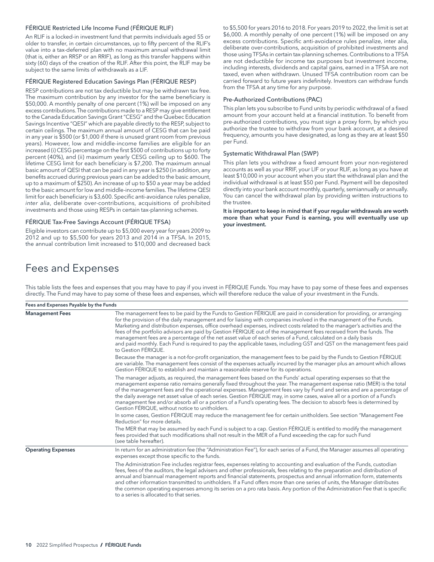#### FÉRIQUE Restricted Life Income Fund (FÉRIQUE RLIF)

An RLIF is a locked-in investment fund that permits individuals aged 55 or older to transfer, in certain circumstances, up to fifty percent of the RLIF's value into a tax-deferred plan with no maximum annual withdrawal limit (that is, either an RRSP or an RRIF), as long as this transfer happens within sixty (60) days of the creation of the RLIF. After this point, the RLIF may be subject to the same limits of withdrawals as a LIF.

#### FÉRIQUE Registered Education Savings Plan (FÉRIQUE RESP)

RESP contributions are not tax deductible but may be withdrawn tax free. The maximum contribution by any investor for the same beneficiary is \$50,000. A monthly penalty of one percent (1%) will be imposed on any excess contributions. The contributions made to a RESP may give entitlement to the Canada Education Savings Grant "CESG" and the Quebec Education Savings Incentive "QESI" which are payable directly to the RESP, subject to certain ceilings. The maximum annual amount of CESG that can be paid in any year is \$500 (or \$1,000 if there is unused grant room from previous years). However, low and middle-income families are eligible for an increased (i) CESG percentage on the first \$500 of contributions up to forty percent (40%), and (ii) maximum yearly CESG ceiling up to \$600. The lifetime CESG limit for each beneficiary is \$7,200. The maximum annual basic amount of QESI that can be paid in any year is \$250 (in addition, any benefits accrued during previous years can be added to the basic amount, up to a maximum of \$250). An increase of up to \$50 a year may be added to the basic amount for low and middle-income families. The lifetime QESI limit for each beneficiary is \$3,600. Specific anti-avoidance rules penalize, *inter alia*, deliberate over-contributions, acquisitions of prohibited investments and those using RESPs in certain tax-planning schemes.

#### FÉRIQUE Tax-Free Savings Account (FÉRIQUE TFSA)

Eligible investors can contribute up to \$5,000 every year for years 2009 to 2012 and up to \$5,500 for years 2013 and 2014 in a TFSA. In 2015, the annual contribution limit increased to \$10,000 and decreased back to \$5,500 for years 2016 to 2018. For years 2019 to 2022, the limit is set at \$6,000. A monthly penalty of one percent (1%) will be imposed on any excess contributions. Specific anti-avoidance rules penalize, inter alia, deliberate over-contributions, acquisition of prohibited investments and those using TFSAs in certain tax-planning schemes. Contributions to a TFSA are not deductible for income tax purposes but investment income, including interests, dividends and capital gains, earned in a TFSA are not taxed, even when withdrawn. Unused TFSA contribution room can be carried forward to future years indefinitely. Investors can withdraw funds from the TFSA at any time for any purpose.

#### Pre-Authorized Contributions (PAC)

This plan lets you subscribe to Fund units by periodic withdrawal of a fixed amount from your account held at a financial institution. To benefit from pre-authorized contributions, you must sign a proxy form, by which you authorize the trustee to withdraw from your bank account, at a desired frequency, amounts you have designated, as long as they are at least \$50 per Fund.

#### Systematic Withdrawal Plan (SWP)

This plan lets you withdraw a fixed amount from your non-registered accounts as well as your RRIF, your LIF or your RLIF, as long as you have at least \$10,000 in your account when you start the withdrawal plan and the individual withdrawal is at least \$50 per Fund. Payment will be deposited directly into your bank account monthly, quarterly, semiannually or annually. You can cancel the withdrawal plan by providing written instructions to the trustee.

It is important to keep in mind that if your regular withdrawals are worth more than what your Fund is earning, you will eventually use up your investment.

# Fees and Expenses

Fees and Expenses Payable by the Funds Management Fees The management fees to be paid by the Funds to Gestion FÉRIQUE are paid in consideration for providing, or arranging for the provision of the daily management and for liaising with companies involved in the management of the Funds. Marketing and distribution expenses, office overhead expenses, indirect costs related to the manager's activities and the fees of the portfolio advisors are paid by Gestion FÉRIQUE out of the management fees received from the funds. The management fees are a percentage of the net asset value of each series of a Fund, calculated on a daily basis and paid monthly. Each Fund is required to pay the applicable taxes, including GST and QST on the management fees paid to Gestion FÉRIQUE. Because the manager is a not-for-profit organization, the management fees to be paid by the Funds to Gestion FÉRIQUE are variable. The management fees consist of the expenses actually incurred by the manager plus an amount which allows Gestion FÉRIQUE to establish and maintain a reasonable reserve for its operations. The manager adjusts, as required, the management fees based on the Funds' actual operating expenses so that the management expense ratio remains generally fixed throughout the year. The management expense ratio (MER) is the total of the management fees and the operational expenses. Management fees vary by Fund and series and are a percentage of the daily average net asset value of each series. Gestion FÉRIQUE may, in some cases, waive all or a portion of a Fund's management fee and/or absorb all or a portion of a Fund's operating fees. The decision to absorb fees is determined by Gestion FÉRIQUE, without notice to unitholders. In some cases, Gestion FÉRIQUE may reduce the management fee for certain unitholders. See section "Management Fee Reduction" for more details. The MER that may be assumed by each Fund is subject to a cap. Gestion FÉRIQUE is entitled to modify the management fees provided that such modifications shall not result in the MER of a Fund exceeding the cap for such Fund (see table hereafter). Operating Expenses **In return for an administration fee (the "Administration Fee")**, for each series of a Fund, the Manager assumes all operating expenses except those specific to the funds. The Administration Fee includes registrar fees, expenses relating to accounting and evaluation of the Funds, custodian fees, fees of the auditors, the legal advisers and other professionals, fees relating to the preparation and distribution of annual and biannual management reports and financial statements, prospectus and annual information form, statements and other information transmitted to unitholders. If a Fund offers more than one series of units, the Manager distributes the common operating expenses among its series on a pro rata basis. Any portion of the Administration Fee that is specific to a series is allocated to that series.

This table lists the fees and expenses that you may have to pay if you invest in FÉRIQUE Funds. You may have to pay some of these fees and expenses directly. The Fund may have to pay some of these fees and expenses, which will therefore reduce the value of your investment in the Funds.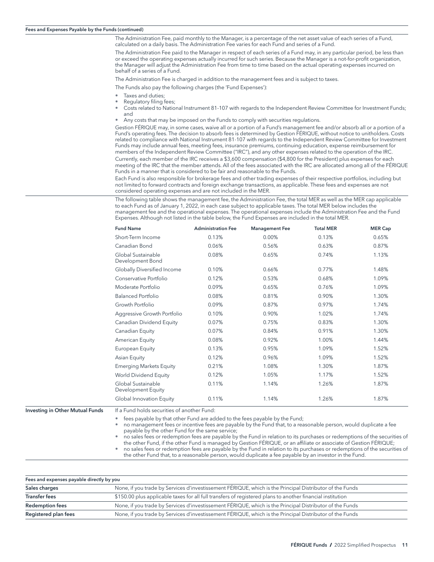<span id="page-12-0"></span>The Administration Fee, paid monthly to the Manager, is a percentage of the net asset value of each series of a Fund, calculated on a daily basis. The Administration Fee varies for each Fund and series of a Fund.

The Administration Fee paid to the Manager in respect of each series of a Fund may, in any particular period, be less than or exceed the operating expenses actually incurred for such series. Because the Manager is a not-for-profit organization, the Manager will adjust the Administration Fee from time to time based on the actual operating expenses incurred on behalf of a series of a Fund.

The Administration Fee is charged in addition to the management fees and is subject to taxes.

The Funds also pay the following charges (the 'Fund Expenses'):

- Taxes and duties;
- Regulatory filing fees;
- Costs related to National Instrument 81-107 with regards to the Independent Review Committee for Investment Funds; and
- Any costs that may be imposed on the Funds to comply with securities regulations.

Gestion FÉRIQUE may, in some cases, waive all or a portion of a Fund's management fee and/or absorb all or a portion of a Fund's operating fees. The decision to absorb fees is determined by Gestion FÉRIQUE, without notice to unitholders. Costs related to compliance with National Instrument 81-107 with regards to the Independent Review Committee for Investment Funds may include annual fees, meeting fees, insurance premiums, continuing education, expense reimbursement for members of the Independent Review Committee ("IRC"), and any other expenses related to the operation of the IRC.

Currently, each member of the IRC receives a \$3,600 compensation (\$4,800 for the President) plus expenses for each meeting of the IRC that the member attends. All of the fees associated with the IRC are allocated among all of the FÉRIQUE Funds in a manner that is considered to be fair and reasonable to the Funds.

Each Fund is also responsible for brokerage fees and other trading expenses of their respective portfolios, including but not limited to forward contracts and foreign exchange transactions, as applicable. These fees and expenses are not considered operating expenses and are not included in the MER.

The following table shows the management fee, the Administration Fee, the total MER as well as the MER cap applicable to each Fund as of January 1, 2022, in each case subject to applicable taxes. The total MER below includes the management fee and the operational expenses. The operational expenses include the Administration Fee and the Fund Expenses. Although not listed in the table below, the Fund Expenses are included in the total MER.

|                                        | <b>Fund Name</b>                            | <b>Administration Fee</b> | <b>Management Fee</b> | <b>Total MER</b> | <b>MER Cap</b> |
|----------------------------------------|---------------------------------------------|---------------------------|-----------------------|------------------|----------------|
|                                        | Short-Term Income                           | 0.13%                     | 0.00%                 | 0.13%            | 0.65%          |
|                                        | Canadian Bond                               | 0.06%                     | 0.56%                 | 0.63%            | 0.87%          |
|                                        | Global Sustainable<br>Development Bond      | 0.08%                     | 0.65%                 | 0.74%            | 1.13%          |
|                                        | Globally Diversified Income                 | 0.10%                     | 0.66%                 | 0.77%            | 1.48%          |
|                                        | Conservative Portfolio                      | 0.12%                     | 0.53%                 | 0.68%            | 1.09%          |
|                                        | Moderate Portfolio                          | 0.09%                     | 0.65%                 | 0.76%            | 1.09%          |
|                                        | <b>Balanced Portfolio</b>                   | 0.08%                     | 0.81%                 | 0.90%            | 1.30%          |
|                                        | Growth Portfolio                            | 0.09%                     | 0.87%                 | 0.97%            | 1.74%          |
|                                        | Aggressive Growth Portfolio                 | 0.10%                     | 0.90%                 | 1.02%            | 1.74%          |
|                                        | Canadian Dividend Equity                    | 0.07%                     | 0.75%                 | 0.83%            | 1.30%          |
|                                        | Canadian Equity                             | 0.07%                     | 0.84%                 | 0.91%            | 1.30%          |
|                                        | American Equity                             | 0.08%                     | 0.92%                 | 1.00%            | 1.44%          |
|                                        | European Equity                             | 0.13%                     | 0.95%                 | 1.09%            | 1.52%          |
|                                        | Asian Equity                                | 0.12%                     | 0.96%                 | 1.09%            | 1.52%          |
|                                        | <b>Emerging Markets Equity</b>              | 0.21%                     | 1.08%                 | 1.30%            | 1.87%          |
|                                        | World Dividend Equity                       | 0.12%                     | 1.05%                 | 1.17%            | 1.52%          |
|                                        | Global Sustainable<br>Development Equity    | 0.11%                     | 1.14%                 | 1.26%            | 1.87%          |
|                                        | Global Innovation Equity                    | 0.11%                     | 1.14%                 | 1.26%            | 1.87%          |
| <b>Investing in Other Mutual Funds</b> | If a Fund holds securities of another Fund: |                           |                       |                  |                |

fees payable by that other Fund are added to the fees payable by the Fund;

• no management fees or incentive fees are payable by the Fund that, to a reasonable person, would duplicate a fee payable by the other Fund for the same service;

• no sales fees or redemption fees are payable by the Fund in relation to its purchases or redemptions of the securities of the other Fund, if the other Fund is managed by Gestion FÉRIQUE, or an affiliate or associate of Gestion FÉRIQUE;

• no sales fees or redemption fees are payable by the Fund in relation to its purchases or redemptions of the securities of the other Fund that, to a reasonable person, would duplicate a fee payable by an investor in the Fund.

| Fees and expenses payable directly by you |                                                                                                            |  |  |  |
|-------------------------------------------|------------------------------------------------------------------------------------------------------------|--|--|--|
| Sales charges                             | None, if you trade by Services d'investissement FÉRIQUE, which is the Principal Distributor of the Funds   |  |  |  |
| <b>Transfer fees</b>                      | \$150.00 plus applicable taxes for all full transfers of registered plans to another financial institution |  |  |  |
| <b>Redemption fees</b>                    | None, if you trade by Services d'investissement FÉRIQUE, which is the Principal Distributor of the Funds   |  |  |  |
| Registered plan fees                      | None, if you trade by Services d'investissement FÉRIQUE, which is the Principal Distributor of the Funds   |  |  |  |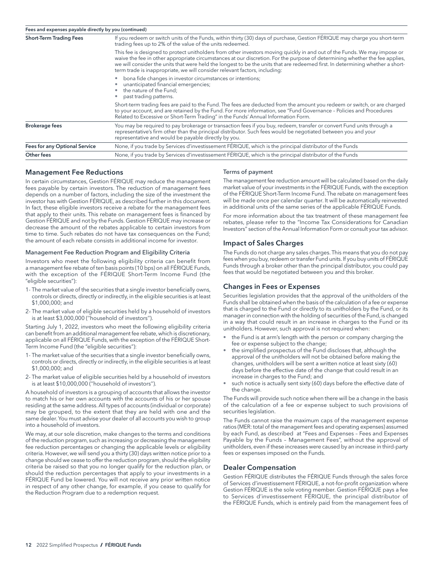<span id="page-13-0"></span>

| Fees and expenses payable directly by you (continued) |                                                                                                                                                                                                                                                                                                                                                                                                                                                                          |  |  |  |  |
|-------------------------------------------------------|--------------------------------------------------------------------------------------------------------------------------------------------------------------------------------------------------------------------------------------------------------------------------------------------------------------------------------------------------------------------------------------------------------------------------------------------------------------------------|--|--|--|--|
| <b>Short-Term Trading Fees</b>                        | If you redeem or switch units of the Funds, within thirty (30) days of purchase, Gestion FERIQUE may charge you short-term<br>trading fees up to 2% of the value of the units redeemed.                                                                                                                                                                                                                                                                                  |  |  |  |  |
|                                                       | This fee is designed to protect unitholders from other investors moving quickly in and out of the Funds. We may impose or<br>waive the fee in other appropriate circumstances at our discretion. For the purpose of determining whether the fee applies,<br>we will consider the units that were held the longest to be the units that are redeemed first. In determining whether a short-<br>term trade is inappropriate, we will consider relevant factors, including: |  |  |  |  |
|                                                       | bona fide changes in investor circumstances or intentions;<br>unanticipated financial emergencies;<br>the nature of the Fund;<br>past trading patterns.                                                                                                                                                                                                                                                                                                                  |  |  |  |  |
|                                                       | Short-term trading fees are paid to the Fund. The fees are deducted from the amount you redeem or switch, or are charged<br>to your account, and are retained by the Fund. For more information, see "Fund Governance - Policies and Procedures<br>Related to Excessive or Short-Term Trading" in the Funds' Annual Information Form.                                                                                                                                    |  |  |  |  |
| <b>Brokerage fees</b>                                 | You may be required to pay brokerage or transaction fees if you buy, redeem, transfer or convert Fund units through a<br>representative's firm other than the principal distributor. Such fees would be negotiated between you and your<br>representative and would be payable directly by you.                                                                                                                                                                          |  |  |  |  |
| <b>Fees for any Optional Service</b>                  | None, if you trade by Services d'investissement FÉRIQUE, which is the principal distributor of the Funds                                                                                                                                                                                                                                                                                                                                                                 |  |  |  |  |
| Other fees                                            | None, if you trade by Services d'investissement FÉRIQUE, which is the principal distributor of the Funds                                                                                                                                                                                                                                                                                                                                                                 |  |  |  |  |

## Management Fee Reductions

In certain circumstances, Gestion FÉRIQUE may reduce the management fees payable by certain investors. The reduction of management fees depends on a number of factors, including the size of the investment the investor has with Gestion FÉRIQUE, as described further in this document. In fact, these eligible investors receive a rebate for the management fees that apply to their units. This rebate on management fees is financed by Gestion FÉRIQUE and not by the Funds. Gestion FÉRIQUE may increase or decrease the amount of the rebates applicable to certain investors from time to time. Such rebates do not have tax consequences on the Fund; the amount of each rebate consists in additional income for investor.

#### Management Fee Reduction Program and Eligibility Criteria

Investors who meet the following eligibility criteria can benefit from a management fee rebate of ten basis points (10 bps) on all FÉRIQUE Funds, with the exception of the FÉRIQUE Short-Term Income Fund (the "eligible securities"):

- 1- The market value of the securities that a single investor beneficially owns, controls or directs, directly or indirectly, in the eligible securities is at least \$1,000,000; and
- 2- The market value of eligible securities held by a household of investors is at least \$3,000,000 (''household of investors'').

Starting July 1, 2022, investors who meet the following eligibility criteria can benefit from an additional management fee rebate, which is discretionary, applicable on all FÉRIQUE Funds, with the exception of the FÉRIQUE Short-Term Income Fund (the "eligible securities"):

- 1- The market value of the securities that a single investor beneficially owns, controls or directs, directly or indirectly, in the eligible securities is at least \$1,000,000; and
- 2- The market value of eligible securities held by a household of investors is at least \$10,000,000 (''household of investors'').

A household of investors is a grouping of accounts that allows the investor to match his or her own accounts with the accounts of his or her spouse residing at the same address. All types of accounts (individual or corporate) may be grouped, to the extent that they are held with one and the same dealer. You must advise your dealer of all accounts you wish to group into a household of investors.

We may, at our sole discretion, make changes to the terms and conditions of the reduction program, such as increasing or decreasing the management fee reduction percentages or changing the applicable levels or eligibility criteria. However, we will send you a thirty (30) days written notice prior to a change should we cease to offer the reduction program, should the eligibility criteria be raised so that you no longer qualify for the reduction plan, or should the reduction percentages that apply to your investments in a FÉRIQUE Fund be lowered. You will not receive any prior written notice in respect of any other change, for example, if you cease to qualify for the Reduction Program due to a redemption request.

#### Terms of payment

The management fee reduction amount will be calculated based on the daily market value of your investments in the FÉRIQUE Funds, with the exception of the FÉRIQUE Short-Term Income Fund. The rebate on management fees will be made once per calendar quarter. It will be automatically reinvested in additional units of the same series of the applicable FÉRIQUE Funds.

For more information about the tax treatment of these management fee rebates, please refer to the "Income Tax Considerations for Canadian Investors" section of the Annual Information Form or consult your tax advisor.

#### Impact of Sales Charges

The Funds do not charge any sales charges. This means that you do not pay fees when you buy, redeem or transfer Fund units. If you buy units of FÉRIQUE Funds through a broker other than the principal distributor, you could pay fees that would be negotiated between you and this broker.

#### Changes in Fees or Expenses

Securities legislation provides that the approval of the unitholders of the Funds shall be obtained when the basis of the calculation of a fee or expense that is charged to the Fund or directly to its unitholders by the Fund, or its manager in connection with the holding of securities of the Fund, is changed in a way that could result in an increase in charges to the Fund or its unitholders. However, such approval is not required when:

- the Fund is at arm's length with the person or company charging the fee or expense subject to the change;
- the simplified prospectus of the Fund discloses that, although the approval of the unitholders will not be obtained before making the changes, unitholders will be sent a written notice at least sixty (60) days before the effective date of the change that could result in an increase in charges to the Fund; and
- such notice is actually sent sixty (60) days before the effective date of the change.

The Funds will provide such notice when there will be a change in the basis of the calculation of a fee or expense subject to such provisions of securities legislation.

The Funds cannot raise the maximum caps of the management expense ratios (MER: total of the management fees and operating expenses) assumed by each Fund, as described at "Fees and Expenses – Fees and Expenses Payable by the Funds – Management Fees", without the approval of unitholders, even if these increases were caused by an increase in third-party fees or expenses imposed on the Funds.

#### Dealer Compensation

Gestion FÉRIQUE distributes the FÉRIQUE Funds through the sales force of Services d'investissement FÉRIQUE, a not-for-profit organization where Gestion FÉRIQUE is the sole voting member. Gestion FÉRIQUE pays a fee to Services d'investissement FÉRIQUE, the principal distributor of the FÉRIQUE Funds, which is entirely paid from the management fees of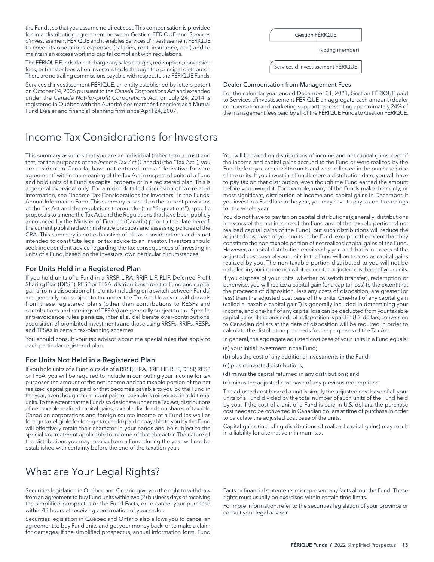the Funds, so that you assume no direct cost. This compensation is provided for in a distribution agreement between Gestion FÉRIQUE and Services d'investissement FÉRIQUE and it enables Services d'investissement FÉRIQUE to cover its operations expenses (salaries, rent, insurance, etc.) and to maintain an excess working capital compliant with regulations.

The FÉRIQUE Funds do not charge any sales charges, redemption, conversion fees, or transfer fees when investors trade through the principal distributor. There are no trailing commissions payable with respect to the FÉRIQUE Funds.

Services d'investissement FÉRIQUE, an entity established by letters patent on October 24, 2006 pursuant to the *Canada Corporations Act* and extended under the *Canada Not-for-profit Corporations Act*, on July 24, 2014 is registered in Québec with the Autorité des marchés financiers as a Mutual Fund Dealer and financial planning firm since April 24, 2007.

# Income Tax Considerations for Investors

This summary assumes that you are an individual (other than a trust) and that, for the purposes of the *Income Tax Act* (Canada) (the "Tax Act"), you are resident in Canada, have not entered into a "derivative forward agreement" within the meaning of the Tax Act in respect of units of a Fund and hold units of a Fund as capital property or in a registered plan. This is a general overview only. For a more detailed discussion of tax-related information, see "Income Tax Considerations for Investors" in the Funds' Annual Information Form. This summary is based on the current provisions of the Tax Act and the regulations thereunder (the "Regulations"), specific proposals to amend the Tax Act and the Regulations that have been publicly announced by the Minister of Finance (Canada) prior to the date hereof, the current published administrative practices and assessing policies of the CRA. This summary is not exhaustive of all tax considerations and is not intended to constitute legal or tax advice to an investor. Investors should seek independent advice regarding the tax consequences of investing in units of a Fund, based on the investors' own particular circumstances.

#### For Units Held in a Registered Plan

If you hold units of a Fund in a RRSP, LIRA, RRIF, LIF, RLIF, Deferred Profit Sharing Plan (DPSP), RESP or TFSA, distributions from the Fund and capital gains from a disposition of the units (including on a switch between Funds) are generally not subject to tax under the Tax Act. However, withdrawals from these registered plans (other than contributions to RESPs and contributions and earnings of TFSAs) are generally subject to tax. Specific anti-avoidance rules penalize, inter alia, deliberate over-contributions, acquisition of prohibited investments and those using RRSPs, RRIFs, RESPs and TFSAs in certain tax-planning schemes.

You should consult your tax advisor about the special rules that apply to each particular registered plan.

#### For Units Not Held in a Registered Plan

If you hold units of a Fund outside of a RRSP, LIRA, RRIF, LIF, RLIF, DPSP, RESP or TFSA, you will be required to include in computing your income for tax purposes the amount of the net income and the taxable portion of the net realized capital gains paid or that becomes payable to you by the Fund in the year, even though the amount paid or payable is reinvested in additional units. To the extent that the Funds so designate under the Tax Act, distributions of net taxable realized capital gains, taxable dividends on shares of taxable Canadian corporations and foreign source income of a Fund (as well as foreign tax eligible for foreign tax credit) paid or payable to you by the Fund will effectively retain their character in your hands and be subject to the special tax treatment applicable to income of that character. The nature of the distributions you may receive from a Fund during the year will not be established with certainty before the end of the taxation year.

# What are Your Legal Rights?

Securities legislation in Québec and Ontario give you the right to withdraw from an agreement to buy Fund units within two (2) business days of receiving the simplified prospectus or the Fund Facts, or to cancel your purchase within 48 hours of receiving confirmation of your order.

Securities legislation in Québec and Ontario also allows you to cancel an agreement to buy Fund units and get your money back, or to make a claim for damages, if the simplified prospectus, annual information form, Fund



#### Dealer Compensation from Management Fees

For the calendar year ended December 31, 2021, Gestion FÉRIQUE paid to Services d'investissement FÉRIQUE an aggregate cash amount (dealer compensation and marketing support) representing approximately 24% of the management fees paid by all of the FÉRIQUE Funds to Gestion FÉRIQUE.

You will be taxed on distributions of income and net capital gains, even if the income and capital gains accrued to the Fund or were realized by the Fund before you acquired the units and were reflected in the purchase price of the units. If you invest in a Fund before a distribution date, you will have to pay tax on that distribution, even though the Fund earned the amount before you owned it. For example, many of the Funds make their only, or most significant, distribution of income and capital gains in December. If you invest in a Fund late in the year, you may have to pay tax on its earnings for the whole year.

You do not have to pay tax on capital distributions (generally, distributions in excess of the net income of the Fund and of the taxable portion of net realized capital gains of the Fund), but such distributions will reduce the adjusted cost base of your units in the Fund, except to the extent that they constitute the non-taxable portion of net realized capital gains of the Fund. However, a capital distribution received by you and that is in excess of the adjusted cost base of your units in the Fund will be treated as capital gains realized by you. The non-taxable portion distributed to you will not be included in your income nor will it reduce the adjusted cost base of your units.

If you dispose of your units, whether by switch (transfer), redemption or otherwise, you will realize a capital gain (or a capital loss) to the extent that the proceeds of disposition, less any costs of disposition, are greater (or less) than the adjusted cost base of the units. One-half of any capital gain (called a "taxable capital gain") is generally included in determining your income, and one-half of any capital loss can be deducted from your taxable capital gains. If the proceeds of a disposition is paid in U.S. dollars, conversion to Canadian dollars at the date of disposition will be required in order to calculate the distribution proceeds for the purposes of the Tax Act.

In general, the aggregate adjusted cost base of your units in a Fund equals:

- (a) your initial investment in the Fund;
- (b) plus the cost of any additional investments in the Fund;
- (c) plus reinvested distributions;
- (d) minus the capital returned in any distributions; and
- (e) minus the adjusted cost base of any previous redemptions.

The adjusted cost base of a unit is simply the adjusted cost base of all your units of a Fund divided by the total number of such units of the Fund held by you. If the cost of a unit of a Fund is paid in U.S. dollars, the purchase cost needs to be converted in Canadian dollars at time of purchase in order to calculate the adjusted cost base of the units.

Capital gains (including distributions of realized capital gains) may result in a liability for alternative minimum tax.

Facts or financial statements misrepresent any facts about the Fund. These rights must usually be exercised within certain time limits.

For more information, refer to the securities legislation of your province or consult your legal advisor.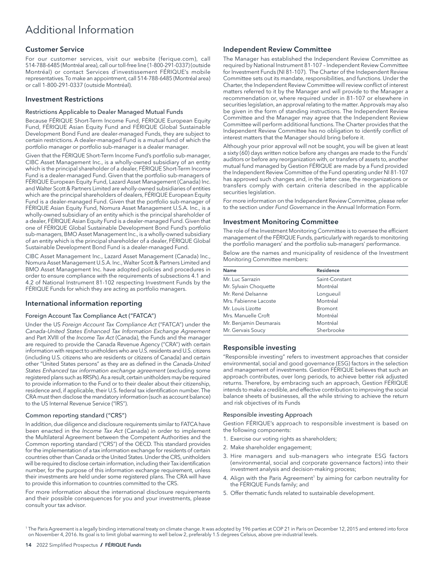# Additional Information

#### Customer Service

For our customer services, visit our website ([ferique.com](http://ferique.com)), call 514-788-6485 (Montréal area), call our toll-free line (1-800-291-0337) (outside Montréal) or contact Services d'investissement FÉRIQUE's mobile representatives. To make an appointment, call 514-788-6485 (Montréal area) or call 1-800-291-0337 (outside Montréal).

#### Investment Restrictions

#### Restrictions Applicable to Dealer Managed Mutual Funds

Because FÉRIQUE Short-Term Income Fund, FÉRIQUE European Equity Fund, FÉRIQUE Asian Equity Fund and FÉRIQUE Global Sustainable Development Bond Fund are dealer-managed Funds, they are subject to certain restrictions. A dealer-managed Fund is a mutual fund of which the portfolio manager or portfolio sub-manager is a dealer manager.

Given that the FÉRIQUE Short-Term Income Fund's portfolio sub-manager, CIBC Asset Management Inc., is a wholly-owned subsidiary of an entity which is the principal shareholder of a dealer, FÉRIQUE Short-Term Income Fund is a dealer-managed Fund. Given that the portfolio sub-managers of FÉRIQUE European Equity Fund, Lazard Asset Management (Canada) Inc. and Walter Scott & Partners Limited are wholly-owned subsidiaries of entities which are the principal shareholders of dealers, FÉRIQUE European Equity Fund is a dealer-managed Fund. Given that the portfolio sub-manager of FÉRIQUE Asian Equity Fund, Nomura Asset Management U.S.A. Inc., is a wholly-owned subsidiary of an entity which is the principal shareholder of a dealer, FÉRIQUE Asian Equity Fund is a dealer-managed Fund. Given that one of FÉRIQUE Global Sustainable Development Bond Fund's portfolio sub-managers, BMO Asset Management Inc., is a wholly-owned subsidiary of an entity which is the principal shareholder of a dealer, FÉRIQUE Global Sustainable Development Bond Fund is a dealer-managed Fund.

CIBC Asset Management Inc., Lazard Asset Management (Canada) Inc., Nomura Asset Management U.S.A. Inc., Walter Scott & Partners Limited and BMO Asset Management Inc. have adopted policies and procedures in order to ensure compliance with the requirements of subsections 4.1 and 4.2 of National Instrument 81-102 respecting Investment Funds by the FÉRIQUE Funds for which they are acting as portfolio managers.

## International information reporting

#### Foreign Account Tax Compliance Act ("FATCA")

Under the US *Foreign Account Tax Compliance Act* ("FATCA") under the *Canada-United States Enhanced Tax Information Exchange Agreement*  and Part XVIII of the *Income Tax Act* (Canada), the Funds and the manager are required to provide the Canada Revenue Agency ("CRA") with certain information with respect to unitholders who are U.S. residents and U.S. citizens (including U.S. citizens who are residents or citizens of Canada) and certain other "United States persons" as they are as defined in the *Canada-United States Enhanced tax information exchange agreement* (excluding some registered plans such as RRSPs). As a result, certain unitholders may be required to provide information to the Fund or to their dealer about their citizenship, residence and, if applicable, their U.S. federal tax identification number. The CRA must then disclose the mandatory information (such as account balance) to the US Internal Revenue Service ("IRS").

#### Common reporting standard ("CRS")

In addition, due diligence and disclosure requirements similar to FATCA have been enacted in the *Income Tax Act* (Canada) in order to implement the Multilateral Agreement between the Competent Authorities and the Common reporting standard ("CRS") of the OECD. This standard provides for the implementation of a tax information exchange for residents of certain countries other than Canada or the United States. Under the CRS, unitholders will be required to disclose certain information, including their Tax identification number, for the purpose of this information exchange requirement, unless their investments are held under some registered plans. The CRA will have to provide this information to countries committed to the CRS.

For more information about the international disclosure requirements and their possible consequences for you and your investments, please consult your tax advisor.

#### Independent Review Committee

The Manager has established the Independent Review Committee as required by National Instrument 81-107 – Independent Review Committee for Investment Funds (NI 81-107). The Charter of the Independent Review Committee sets out its mandate, responsibilities, and functions. Under the Charter, the Independent Review Committee will review conflict of interest matters referred to it by the Manager and will provide to the Manager a recommendation or, where required under in 81-107 or elsewhere in securities legislation, an approval relating to the matter. Approvals may also be given in the form of standing instructions. The Independent Review Committee and the Manager may agree that the Independent Review Committee will perform additional functions. The Charter provides that the Independent Review Committee has no obligation to identify conflict of interest matters that the Manager should bring before it.

Although your prior approval will not be sought, you will be given at least a sixty (60) days written notice before any changes are made to the Funds' auditors or before any reorganization with, or transfers of assets to, another mutual fund managed by Gestion FÉRIQUE are made by a Fund provided the Independent Review Committee of the Fund operating under NI 81-107 has approved such changes and, in the latter case, the reorganizations or transfers comply with certain criteria described in the applicable securities legislation.

For more information on the Independent Review Committee, please refer to the section under *Fund Governance* in the Annual Information Form.

#### Investment Monitoring Committee

The role of the Investment Monitoring Committee is to oversee the efficient management of the FÉRIQUE Funds, particularly with regards to monitoring the portfolio managers' and the portfolio sub-managers' performance.

Below are the names and municipality of residence of the Investment Monitoring Committee members:

| Name                   | Residence      |
|------------------------|----------------|
| Mr. Luc Sarrazin       | Saint-Constant |
| Mr. Sylvain Choquette  | Montréal       |
| Mr. René Delsanne      | Longueuil      |
| Mrs. Fabienne Lacoste  | Montréal       |
| Mr. Louis Lizotte      | <b>Bromont</b> |
| Mrs. Manuelle Croft    | Montréal       |
| Mr. Benjamin Desmarais | Montréal       |
| Mr. Gervais Soucy      | Sherbrooke     |

## Responsible investing

"Responsible investing" refers to investment approaches that consider environmental, social and good governance (ESG) factors in the selection and management of investments. Gestion FÉRIQUE believes that such an approach contributes, over long periods, to achieve better risk adjusted returns. Therefore, by embracing such an approach, Gestion FÉRIQUE intends to make a credible, and effective contribution to improving the social balance sheets of businesses, all the while striving to achieve the return and risk objectives of its Funds

#### Responsible investing Approach

Gestion FÉRIQUE's approach to responsible investment is based on the following components:

- 1. Exercise our voting rights as shareholders;
- 2. Make shareholder engagement;
- 3. Hire managers and sub-managers who integrate ESG factors (environmental, social and corporate governance factors) into their investment analysis and decision-making process;
- 4. Align with the Paris Agreement<sup>1</sup> by aiming for carbon neutrality for the FÉRIQUE Funds family; and
- 5. Offer thematic funds related to sustainable development.

<sup>1</sup> The Paris Agreement is a legally binding international treaty on climate change. It was adopted by 196 parties at COP 21 in Paris on December 12, 2015 and entered into force on November 4, 2016. Its goal is to limit global warming to well below 2, preferably 1.5 degrees Celsius, above pre-industrial levels.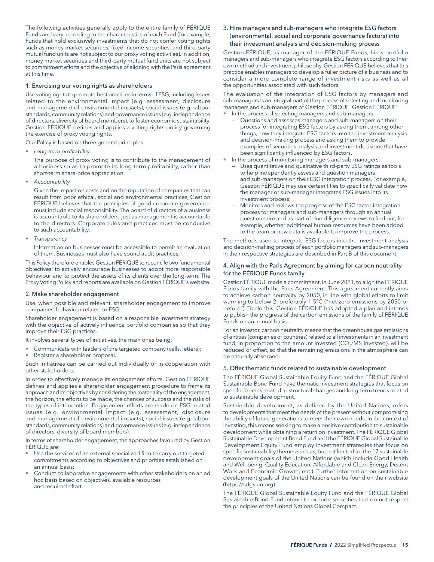The following activities generally apply to the entire family of FÉRIQUE Funds and vary according to the characteristics of each Fund (for example, Funds that hold exclusively investments that do not confer voting rights such as money market securities, fixed income securities, and third-party mutual fund units are not subject to our proxy voting activities). In addition, money market securities and third-party mutual fund units are not subject to commitment efforts and the objective of aligning with the Paris agreement at this time.

#### 1. Exercising our voting rights as shareholders

Use voting rights to promote best practices in terms of ESG, including issues related to the environmental impact (e.g. assessment, disclosure and management of environmental impacts), social issues (e.g. labour standards, community relations) and governance issues (e.g. independence of directors, diversity of board members), to foster economic sustainability. Gestion FÉRIQUE defines and applies a voting rights policy governing the exercise of proxy voting rights.

Our Policy is based on three general principles:

• *Long-term profitability*

The purpose of proxy voting is to contribute to the management of a business so as to promote its long-term profitability, rather than short-term share-price appreciation.

• *Accountability*

Given the impact on costs and on the reputation of companies that can result from poor ethical, social and environmental practices, Gestion FÉRIQUE believes that the principles of good corporate governance must include social responsibility. The board of directors of a business is accountable to its shareholders, just as management is accountable to the directors. Corporate rules and practices must be conducive to such accountability.

• *Transparency*

Information on businesses must be accessible to permit an evaluation of them. Businesses must also have sound audit practices.

This Policy therefore enables Gestion FÉRIQUE to reconcile two fundamental objectives: to actively encourage businesses to adopt more responsible behaviour and to protect the assets of its clients over the long-term. The Proxy Voting Policy and reports are available on Gestion FÉRIQUE's website.

#### 2. Make shareholder engagement

Use, when possible and relevant, shareholder engagement to improve companies' behaviour related to ESG.

Shareholder engagement is based on a responsible investment strategy with the objective of actively influence portfolio companies so that they improve their ESG practices.

It involves several types of initiatives, the main ones being:

- Communicate with leaders of the targeted company (calls, letters);
- Register a shareholder proposal.

Such initiatives can be carried out individually or in cooperation with other stakeholders.

In order to effectively manage its engagement efforts, Gestion FÉRIQUE defines and applies a shareholder engagement procedure to frame its approach and its objectives by considering the materiality of the engagement, the horizon, the efforts to be made, the chances of success and the risks of the types of intervention. Engagement efforts are made on ESG related issues (e.g. environmental impact (e.g. assessment, disclosure and management of environmental impacts), social issues (e.g. labour standards, community relations) and governance issues (e.g. independence of directors, diversity of board members).

In terms of shareholder engagement, the approaches favoured by Gestion FÉRIQUE are:

- Use the services of an external specialized firm to carry out targeted commitments according to objectives and priorities established on an annual basis;
- Conduct collaborative engagements with other stakeholders on an ad hoc basis based on objectives, available resources and required effort.

3. Hire managers and sub-managers who integrate ESG factors (environmental, social and corporate governance factors) into their investment analysis and decision-making process

Gestion FÉRIQUE, as manager of the FÉRIQUE Funds, hires portfolio managers and sub-managers who integrate ESG factors according to their own method and investment philosophy. Gestion FÉRIQUE believes that this practice enables managers to develop a fuller picture of a business and to consider a more complete range of investment risks as well as all the opportunities associated with such factors.

The evaluation of the integration of ESG factors by managers and sub-managers is an integral part of the process of selecting and monitoring managers and sub-managers of Gestion FÉRIQUE. Gestion FÉRIQUE:

- In the process of selecting managers and sub-managers:
- Questions and assesses managers and sub-managers on their process for integrating ESG factors by asking them, among other things, how they integrate ESG factors into the investment analysis and decision-making process and asking them to provide examples of securities analysis and investment decisions that have been significantly influenced by ESG factors.
- In the process of monitoring managers and sub-managers:
	- Uses quantitative and qualitative third-party ESG ratings as tools to help independently assess and question managers and sub-managers on their ESG integration process. For example, Gestion FÉRIQUE may use certain titles to specifically validate how the manager or sub-manager integrates ESG issues into its investment process;
	- Monitors and reviews the progress of the ESG factor integration process for managers and sub-managers through an annual questionnaire and as part of due diligence reviews to find out, for example, whether additional human resources have been added to the team or new data is available to improve the process.

The methods used to integrate ESG factors into the investment analysis and decision-making process of each portfolio managers and sub-managers in their respective strategies are described in Part B of this document.

#### 4. Align with the Paris Agreement by aiming for carbon neutrality for the FÉRIQUE Funds family

Gestion FÉRIQUE made a commitment, in June 2021, to align the FÉRIQUE Funds family with the Paris Agreement. This agreement currently aims to achieve carbon neutrality by 2050, in line with global efforts to limit warming to below 2, preferably 1.5°C ("net zero emissions by 2050 or before"). To do this, Gestion FÉRIQUE has adopted a plan and intends to publish the progress of the carbon emissions of the family of FÉRIQUE Funds on an annual basis.

For an investor, carbon neutrality means that the greenhouse gas emissions of entities (companies or countries) related to all investments in an investment fund, in proportion to the amount invested ( $CO<sub>2</sub>/M$$  invested), will be reduced or offset, so that the remaining emissions in the atmosphere can be naturally absorbed.

## 5. Offer thematic funds related to sustainable development

The FÉRIQUE Global Sustainable Equity Fund and the FÉRIQUE Global Sustainable Bond Fund have thematic investment strategies that focus on specific themes related to structural changes and long-term trends related to sustainable development.

Sustainable development, as defined by the United Nations, refers to developments that meet the needs of the present without compromising the ability of future generations to meet their own needs. In the context of investing, this means seeking to make a positive contribution to sustainable development while obtaining a return on investment. The FÉRIQUE Global Sustainable Development Bond Fund and the FÉRIQUE Global Sustainable Development Equity Fund employ investment strategies that focus on specific sustainability themes such as, but not limited to, the 17 sustainable development goals of the United Nations (which include Good Health and Well-being, Quality Education, Affordable and Clean Energy, Decent Work and Economic Growth, etc.). Further information on sustainable development goals of the United Nations can be found on their website [\(https://sdgs.un.org\)](https://sdgs.un.org).

The FÉRIQUE Global Sustainable Equity Fund and the FÉRIQUE Global Sustainable Bond Fund intend to exclude securities that do not respect the principles of the United Nations Global Compact.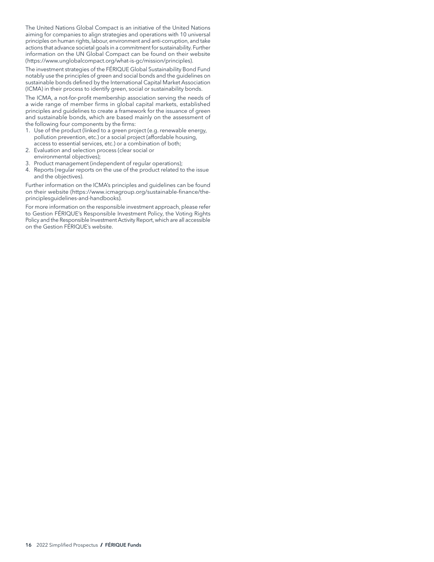The United Nations Global Compact is an initiative of the United Nations aiming for companies to align strategies and operations with 10 universal principles on human rights, labour, environment and anti-corruption, and take actions that advance societal goals in a commitment for sustainability. Further information on the UN Global Compact can be found on their website [\(https://www.unglobalcompact.org/what-is-gc/mission/principles](https://www.unglobalcompact.org/what-is-gc/mission/principles)).

The investment strategies of the FÉRIQUE Global Sustainability Bond Fund notably use the principles of green and social bonds and the guidelines on sustainable bonds defined by the International Capital Market Association (ICMA) in their process to identify green, social or sustainability bonds.

The ICMA, a not-for-profit membership association serving the needs of a wide range of member firms in global capital markets, established principles and guidelines to create a framework for the issuance of green and sustainable bonds, which are based mainly on the assessment of the following four components by the firms:

- 1. Use of the product (linked to a green project (e.g. renewable energy, pollution prevention, etc.) or a social project (affordable housing, access to essential services, etc.) or a combination of both;
- 2. Evaluation and selection process (clear social or
- environmental objectives);
- 3. Product management (independent of regular operations);
- 4. Reports (regular reports on the use of the product related to the issue and the objectives).

Further information on the ICMA's principles and guidelines can be found on their website ([https://www.icmagroup.org/sustainable-finance/the](https://www.icmagroup.org/sustainable-finance/the-principlesguidelines-and-handbooks)[principlesguidelines-and-handbooks\)](https://www.icmagroup.org/sustainable-finance/the-principlesguidelines-and-handbooks).

For more information on the responsible investment approach, please refer to Gestion FÉRIQUE's Responsible Investment Policy, the Voting Rights Policy and the Responsible Investment Activity Report, which are all accessible on the Gestion FÉRIQUE's website.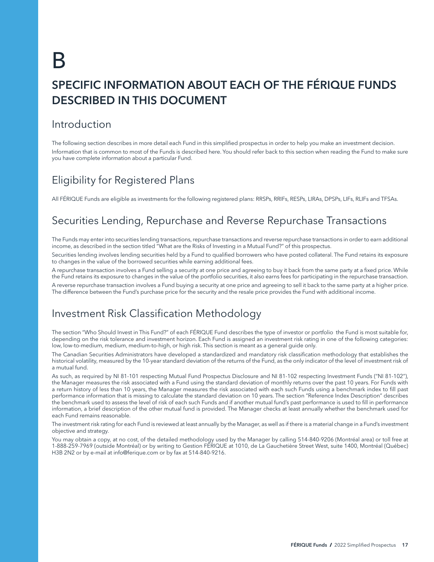# <span id="page-18-0"></span>B SPECIFIC INFORMATION ABOUT EACH OF THE FÉRIQUE FUNDS DESCRIBED IN THIS DOCUMENT

# Introduction

The following section describes in more detail each Fund in this simplified prospectus in order to help you make an investment decision. Information that is common to most of the Funds is described here. You should refer back to this section when reading the Fund to make sure you have complete information about a particular Fund.

# Eligibility for Registered Plans

All FÉRIQUE Funds are eligible as investments for the following registered plans: RRSPs, RRIFs, RESPs, LIRAs, DPSPs, LIFs, RLIFs and TFSAs.

# Securities Lending, Repurchase and Reverse Repurchase Transactions

The Funds may enter into securities lending transactions, repurchase transactions and reverse repurchase transactions in order to earn additional income, as described in the section titled "What are the Risks of Investing in a Mutual Fund?" of this prospectus.

Securities lending involves lending securities held by a Fund to qualified borrowers who have posted collateral. The Fund retains its exposure to changes in the value of the borrowed securities while earning additional fees.

A repurchase transaction involves a Fund selling a security at one price and agreeing to buy it back from the same party at a fixed price. While the Fund retains its exposure to changes in the value of the portfolio securities, it also earns fees for participating in the repurchase transaction.

A reverse repurchase transaction involves a Fund buying a security at one price and agreeing to sell it back to the same party at a higher price. The difference between the Fund's purchase price for the security and the resale price provides the Fund with additional income.

# Investment Risk Classification Methodology

The section "Who Should Invest in This Fund?" of each FÉRIQUE Fund describes the type of investor or portfolio the Fund is most suitable for, depending on the risk tolerance and investment horizon. Each Fund is assigned an investment risk rating in one of the following categories: low, low-to-medium, medium, medium-to-high, or high risk. This section is meant as a general guide only.

The Canadian Securities Administrators have developed a standardized and mandatory risk classification methodology that establishes the historical volatility, measured by the 10-year standard deviation of the returns of the Fund, as the only indicator of the level of investment risk of a mutual fund.

As such, as required by NI 81-101 respecting Mutual Fund Prospectus Disclosure and NI 81-102 respecting Investment Funds ("NI 81-102"), the Manager measures the risk associated with a Fund using the standard deviation of monthly returns over the past 10 years. For Funds with a return history of less than 10 years, the Manager measures the risk associated with each such Funds using a benchmark index to fill past performance information that is missing to calculate the standard deviation on 10 years. The section "Reference Index Description" describes the benchmark used to assess the level of risk of each such Funds and if another mutual fund's past performance is used to fill in performance information, a brief description of the other mutual fund is provided. The Manager checks at least annually whether the benchmark used for each Fund remains reasonable.

The investment risk rating for each Fund is reviewed at least annually by the Manager, as well as if there is a material change in a Fund's investment objective and strategy.

You may obtain a copy, at no cost, of the detailed methodology used by the Manager by calling 514-840-9206 (Montréal area) or toll free at 1-888-259-7969 (outside Montréal) or by writing to Gestion FÉRIQUE at 1010, de La Gauchetière Street West, suite 1400, Montréal (Québec) H3B 2N2 or by e-mail at [info@ferique.com](mailto:info%40ferique.com?subject=) or by fax at 514-840-9216.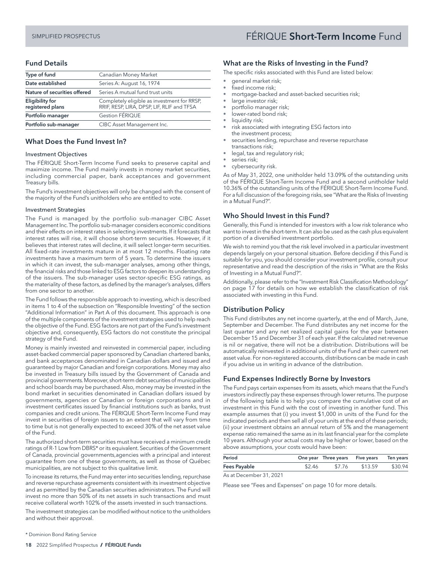# <span id="page-19-0"></span>SIMPLIFIED PROSPECTUS FÉRIQUE Short-Term Income Fund

# Fund Details

| Type of fund                               | Canadian Money Market                                                                     |
|--------------------------------------------|-------------------------------------------------------------------------------------------|
| Date established                           | Series A: August 16, 1974                                                                 |
| Nature of securities offered               | Series A mutual fund trust units                                                          |
| <b>Eligibility for</b><br>registered plans | Completely eligible as investment for RRSP,<br>RRIF, RESP, LIRA, DPSP, LIF, RLIF and TFSA |
| Portfolio manager                          | Gestion FÉRIQUE                                                                           |
| Portfolio sub-manager                      | CIBC Asset Management Inc.                                                                |

## What Does the Fund Invest In?

#### Investment Objectives

The FÉRIQUE Short-Term Income Fund seeks to preserve capital and maximize income. The Fund mainly invests in money market securities, including commercial paper, bank acceptances and government Treasury bills.

The Fund's investment objectives will only be changed with the consent of the majority of the Fund's unitholders who are entitled to vote.

#### Investment Strategies

The Fund is managed by the portfolio sub-manager CIBC Asset Management Inc. The portfolio sub-manager considers economic conditions and their effects on interest rates in selecting investments. If it forecasts that interest rates will rise, it will choose short-term securities. However, if it believes that interest rates will decline, it will select longer-term securities. All fixed-rate investments mature in at most 12 months. Floating rate investments have a maximum term of 5 years. To determine the issuers in which it can invest, the sub-manager analyses, among other things, the financial risks and those linked to ESG factors to deepen its understanding of the issuers. The sub-manager uses sector-specific ESG ratings, as the materiality of these factors, as defined by the manager's analyses, differs from one sector to another.

The Fund follows the responsible approach to investing, which is described in items 1 to 4 of the subsection on "Responsible Investing" of the section "Additional Information" in Part A of this document. This approach is one of the multiple components of the investment strategies used to help reach the objective of the Fund. ESG factors are not part of the Fund's investment objective and, consequently, ESG factors do not constitute the principal strategy of the Fund.

Money is mainly invested and reinvested in commercial paper, including asset-backed commercial paper sponsored by Canadian chartered banks, and bank acceptances denominated in Canadian dollars and issued and guaranteed by major Canadian and foreign corporations. Money may also be invested in Treasury bills issued by the Government of Canada and provincial governments. Moreover, short-term debt securities of municipalities and school boards may be purchased. Also, money may be invested in the bond market in securities denominated in Canadian dollars issued by governments, agencies or Canadian or foreign corporations and in investment certificates issued by financial institutions such as banks, trust companies and credit unions. The FÉRIQUE Short-Term Income Fund may invest in securities of foreign issuers to an extent that will vary from time to time but is not generally expected to exceed 30% of the net asset value of the Fund.

The authorized short-term securities must have received a minimum credit ratings of R-1 Low from DBRS\* or its equivalent. Securities of the Government of Canada, provincial governments,agencies with a principal and interest guarantee from one of these governments, as well as those of Québec municipalities, are not subject to this qualitative limit.

To increase its returns, the Fund may enter into securities lending, repurchase and reverse repurchase agreements consistent with its investment objective and as permitted by the Canadian securities administrators. The Fund will invest no more than 50% of its net assets in such transactions and must receive collateral worth 102% of the assets invested in such transactions.

The investment strategies can be modified without notice to the unitholders and without their approval.

# What are the Risks of Investing in the Fund?

The specific risks associated with this Fund are listed below:

- general market risk;
- fixed income risk;
- mortgage-backed and asset-backed securities risk;
- large investor risk;
- portfolio manager risk;
- lower-rated bond risk;
- liquidity risk;
- risk associated with integrating ESG factors into the investment process;
- securities lending, repurchase and reverse repurchase transactions risk;
- legal, tax and regulatory risk;
- series risk;
- cybersecurity risk.

As of May 31, 2022, one unitholder held 13.09% of the outstanding units of the FÉRIQUE Short-Term Income Fund and a second unitholder held 10.36% of the outstanding units of the FÉRIQUE Short-Term Income Fund. For a full discussion of the foregoing risks, see "What are the Risks of Investing in a Mutual Fund?".

# Who Should Invest in this Fund?

Generally, this Fund is intended for investors with a low risk tolerance who want to invest in the short-term. It can also be used as the cash plus equivalent portion of a diversified investment portfolio.

We wish to remind you that the risk level involved in a particular investment depends largely on your personal situation. Before deciding if this Fund is suitable for you, you should consider your investment profile, consult your representative and read the description of the risks in "What are the Risks of Investing in a Mutual Fund?".

Additionally, please refer to the "Investment Risk Classification Methodology" on page 17 for details on how we establish the classification of risk associated with investing in this Fund.

# Distribution Policy

This Fund distributes any net income quarterly, at the end of March, June, September and December. The Fund distributes any net income for the last quarter and any net realized capital gains for the year between December 15 and December 31 of each year. If the calculated net revenue is nil or negative, there will not be a distribution. Distributions will be automatically reinvested in additional units of the Fund at their current net asset value. For non-registered accounts, distributions can be made in cash if you advise us in writing in advance of the distribution.

# Fund Expenses Indirectly Borne by Investors

The Fund pays certain expenses from its assets, which means that the Fund's investors indirectly pay these expenses through lower returns. The purpose of the following table is to help you compare the cumulative cost of an investment in this Fund with the cost of investing in another fund. This example assumes that (i) you invest \$1,000 in units of the Fund for the indicated periods and then sell all of your units at the end of these periods; (ii) your investment obtains an annual return of 5% and the management expense ratio remained the same as in its last financial year for the complete 10 years. Although your actual costs may be higher or lower, based on the above assumptions, your costs would have been:

| Period       |        | One year Three years Five years Ten years |         |         |
|--------------|--------|-------------------------------------------|---------|---------|
| Fees Payable | \$2.46 | \$7.76                                    | \$13.59 | \$30.94 |
|              |        |                                           |         |         |

As at December 31, 2021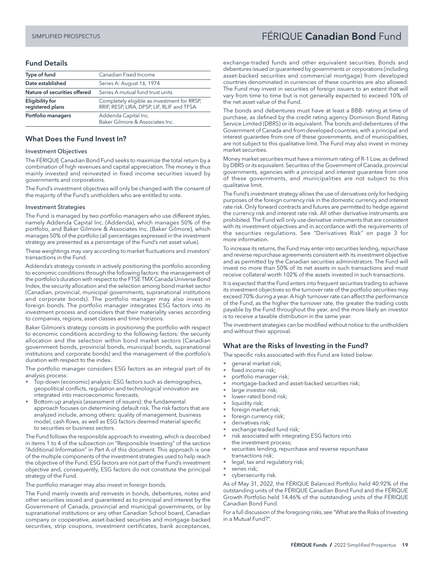# <span id="page-20-0"></span>SIMPLIFIED PROSPECTUS FÉRIQUE Canadian Bond Fund

# Fund Details

| Type of fund                        | Canadian Fixed Income                                                                     |
|-------------------------------------|-------------------------------------------------------------------------------------------|
| Date established                    | Series A: August 16, 1974                                                                 |
| Nature of securities offered        | Series A mutual fund trust units                                                          |
| Eligibility for<br>registered plans | Completely eligible as investment for RRSP,<br>RRIF, RESP, LIRA, DPSP, LIF, RLIF and TFSA |
| Portfolio managers                  | Addenda Capital Inc.<br>Baker Gilmore & Associates Inc.                                   |

#### What Does the Fund Invest In?

#### Investment Objectives

The FÉRIQUE Canadian Bond Fund seeks to maximize the total return by a combination of high revenues and capital appreciation. The money is thus mainly invested and reinvested in fixed income securities issued by governments and corporations.

The Fund's investment objectives will only be changed with the consent of the majority of the Fund's unitholders who are entitled to vote.

#### Investment Strategies

The Fund is managed by two portfolio managers who use different styles, namely Addenda Capital Inc. (Addenda), which manages 50% of the portfolio, and Baker Gilmore & Associates Inc. (Baker Gilmore), which manages 50% of the portfolio (all percentages expressed in the investment strategy are presented as a percentage of the Fund's net asset value).

These weightings may vary according to market fluctuations and investors' transactions in the Fund.

Addenda's strategy consists in actively positioning the portfolio according to economic conditions through the following factors: the management of the portfolio's duration with respect to the FTSE TMX Canada Universe Bond Index, the security allocation and the selection among bond market sector (Canadian, provincial, municipal governments, supranational institutions and corporate bonds). The portfolio manager may also invest in foreign bonds. The portfolio manager integrates ESG factors into its investment process and considers that their materiality varies according to companies, regions, asset classes and time horizons.

Baker Gilmore's strategy consists in positioning the portfolio with respect to economic conditions according to the following factors: the security allocation and the selection within bond market sectors (Canadian government bonds, provincial bonds, municipal bonds, supranational institutions and corporate bonds) and the management of the portfolio's duration with respect to the index.

The portfolio manager considers ESG factors as an integral part of its analysis process:

- Top-down (economic) analysis: ESG factors such as demographics, geopolitical conflicts, regulation and technological innovation are integrated into macroeconomic forecasts;
- Bottom-up analysis (assessment of issuers): the fundamental approach focuses on determining default risk. The risk factors that are analyzed include, among others: quality of management, business model, cash flows, as well as ESG factors deemed material specific to securities or business sectors.

The Fund follows the responsible approach to investing, which is described in items 1 to 4 of the subsection on "Responsible Investing" of the section "Additional Information" in Part A of this document. This approach is one of the multiple components of the investment strategies used to help reach the objective of the Fund. ESG factors are not part of the Fund's investment objective and, consequently, ESG factors do not constitute the principal strategy of the Fund.

The portfolio manager may also invest in foreign bonds.

The Fund mainly invests and reinvests in bonds, debentures, notes and other securities issued and guaranteed as to principal and interest by the Government of Canada, provincial and municipal governments, or by supranational institutions or any other Canadian School board, Canadian company or cooperative, asset-backed securities and mortgage-backed securities, strip coupons, investment certificates, bank acceptances,

exchange-traded funds and other equivalent securities. Bonds and debentures issued or guaranteed by governments or corporations (including asset-backed securities and commercial mortgage) from developed countries denominated in currencies of these countries are also allowed. The Fund may invest in securities of foreign issuers to an extent that will vary from time to time but is not generally expected to exceed 10% of the net asset value of the Fund.

The bonds and debentures must have at least a BBB- rating at time of purchase, as defined by the credit rating agency Dominion Bond Rating Service Limited (DBRS) or its equivalent. The bonds and debentures of the Government of Canada and from developed countries, with a principal and interest guarantee from one of these governments, and of municipalities, are not subject to this qualitative limit. The Fund may also invest in money market securities.

Money market securities must have a minimum rating of R-1 Low, as defined by DBRS or its equivalent. Securities of the Government of Canada, provincial governments, agencies with a principal and interest guarantee from one of these governments, and municipalities are not subject to this qualitative limit.

The Fund's investment strategy allows the use of derivatives only for hedging purposes of the foreign currency risk in the domestic currency and interest rate risk. Only forward contracts and futures are permitted to hedge against the currency risk and interest rate risk. All other derivative instruments are prohibited. The Fund will only use derivative instruments that are consistent with its investment objectives and in accordance with the requirements of the securities regulations. See "Derivatives Risk" on page 3 for more information.

To increase its returns, the Fund may enter into securities lending, repurchase and reverse repurchase agreements consistent with its investment objective and as permitted by the Canadian securities administrators. The Fund will invest no more than 50% of its net assets in such transactions and must receive collateral worth 102% of the assets invested in such transactions.

It is expected that the Fund enters into frequent securities trading to achieve its investment objectives so the turnover rate of the portfolio securities may exceed 70% during a year. A high turnover rate can affect the performance of the Fund, as the higher the turnover rate, the greater the trading costs payable by the Fund throughout the year, and the more likely an investor is to receive a taxable distribution in the same year.

The investment strategies can be modified without notice to the unitholders and without their approval.

# What are the Risks of Investing in the Fund?

The specific risks associated with this Fund are listed below:

- general market risk;
- fixed income risk;
- portfolio manager risk;
- mortgage-backed and asset-backed securities risk;
- large investor risk;
- lower-rated bond risk;
- liquidity risk;
- foreign market risk;
- foreign currency risk;
- derivatives risk;
- exchange-traded fund risk;
- risk associated with integrating ESG factors into the investment process;
- securities lending, repurchase and reverse repurchase transactions risk;
- legal, tax and regulatory risk;
- series risk;
- cybersecurity risk.

As of May 31, 2022, the FÉRIQUE Balanced Portfolio held 40.92% of the outstanding units of the FÉRIQUE Canadian Bond Fund and the FÉRIQUE Growth Portfolio held 14.46% of the outstanding units of the FÉRIQUE Canadian Bond Fund.

For a full discussion of the foregoing risks, see "What are the Risks of Investing in a Mutual Fund?".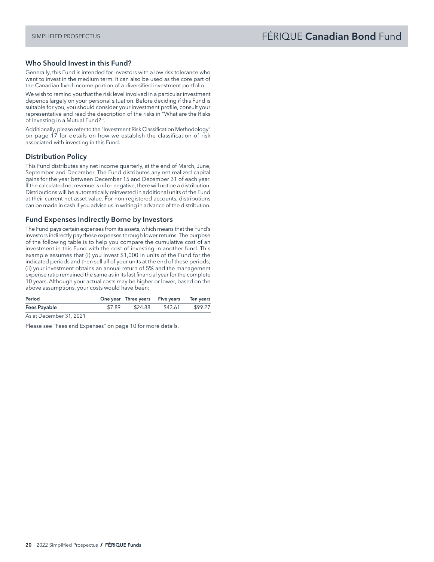## Who Should Invest in this Fund?

Generally, this Fund is intended for investors with a low risk tolerance who want to invest in the medium term. It can also be used as the core part of the Canadian fixed income portion of a diversified investment portfolio.

We wish to remind you that the risk level involved in a particular investment depends largely on your personal situation. Before deciding if this Fund is suitable for you, you should consider your investment profile, consult your representative and read the description of the risks in "What are the Risks of Investing in a Mutual Fund? ".

Additionally, please refer to the "Investment Risk Classification Methodology" on page 17 for details on how we establish the classification of risk associated with investing in this Fund.

# Distribution Policy

This Fund distributes any net income quarterly, at the end of March, June, September and December. The Fund distributes any net realized capital gains for the year between December 15 and December 31 of each year. If the calculated net revenue is nil or negative, there will not be a distribution. Distributions will be automatically reinvested in additional units of the Fund at their current net asset value. For non-registered accounts, distributions can be made in cash if you advise us in writing in advance of the distribution.

# Fund Expenses Indirectly Borne by Investors

The Fund pays certain expenses from its assets, which means that the Fund's investors indirectly pay these expenses through lower returns. The purpose of the following table is to help you compare the cumulative cost of an investment in this Fund with the cost of investing in another fund. This example assumes that (i) you invest \$1,000 in units of the Fund for the indicated periods and then sell all of your units at the end of these periods; (ii) your investment obtains an annual return of 5% and the management expense ratio remained the same as in its last financial year for the complete 10 years. Although your actual costs may be higher or lower, based on the above assumptions, your costs would have been:

|                                              | One year Three years Five years Ten years |
|----------------------------------------------|-------------------------------------------|
| \$7.89<br>Fees Payable<br>\$24.88<br>\$43.61 | \$99.27                                   |

As at December 31, 2021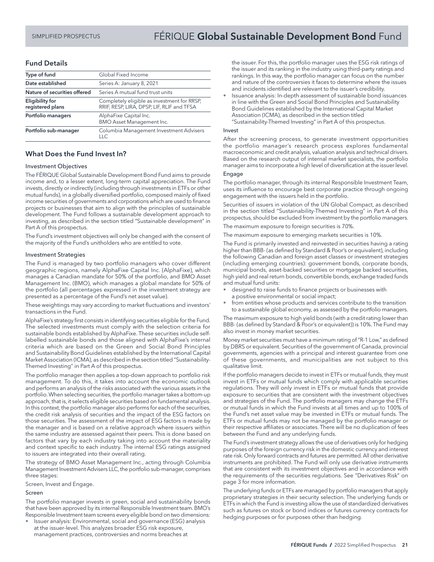# SIMPLIFIED PROSPECTUS **FÉRIQUE Global Sustainable Development Bond** Fund

#### Fund Details

| Type of fund                               | Global Fixed Income                                                                       |
|--------------------------------------------|-------------------------------------------------------------------------------------------|
| Date established                           | Series A: January 8, 2021                                                                 |
| Nature of securities offered               | Series A mutual fund trust units                                                          |
| <b>Eligibility for</b><br>registered plans | Completely eligible as investment for RRSP,<br>RRIF, RESP, LIRA, DPSP, LIF, RLIF and TFSA |
| Portfolio managers                         | AlphaFixe Capital Inc.<br>BMO Asset Management Inc.                                       |
| Portfolio sub-manager                      | Columbia Management Investment Advisers<br>11C                                            |

# What Does the Fund Invest In?

#### Investment Objectives

The FÉRIQUE Global Sustainable Development Bond Fund aims to provide income and, to a lesser extent, long-term capital appreciation. The Fund invests, directly or indirectly (including through investments in ETFs or other mutual funds), in a globally diversified portfolio, composed mainly of fixed income securities of governments and corporations which are used to finance projects or businesses that aim to align with the principles of sustainable development. The Fund follows a sustainable development approach to investing, as described in the section titled "Sustainable development" in Part A of this prospectus.

The Fund's investment objectives will only be changed with the consent of the majority of the Fund's unitholders who are entitled to vote.

#### Investment Strategies

The Fund is managed by two portfolio managers who cover different geographic regions, namely AlphaFixe Capital Inc. (AlphaFixe), which manages a Canadian mandate for 50% of the portfolio, and BMO Asset Management Inc. (BMO), which manages a global mandate for 50% of the portfolio (all percentages expressed in the investment strategy are presented as a percentage of the Fund's net asset value).

These weightings may vary according to market fluctuations and investors' transactions in the Fund.

AlphaFixe's strategy first consists in identifying securities eligible for the Fund. The selected investments must comply with the selection criteria for sustainable bonds established by AlphaFixe. These securities include selflabelled sustainable bonds and those aligned with AlphaFixe's internal criteria which are based on the Green and Social Bond Principles and Sustainability Bond Guidelines established by the International Capital Market Association (ICMA), as described in the section titled "Sustainability-Themed Investing" in Part A of this prospectus.

The portfolio manager then applies a top-down approach to portfolio risk management. To do this, it takes into account the economic outlook and performs an analysis of the risks associated with the various assets in the portfolio. When selecting securities, the portfolio manager takes a bottom-up approach, that is, it selects eligible securities based on fundamental analysis. In this context, the portfolio manager also performs for each of the securities, the credit risk analysis of securities and the impact of the ESG factors on those securities. The assessment of the impact of ESG factors is made by the manager and is based on a relative approach where issuers within the same industry are assessed against their peers. This is done based on factors that vary by each industry taking into account the materiality and context specific to each industry. The internal ESG ratings assigned to issuers are integrated into their overall rating.

The strategy of BMO Asset Management Inc., acting through Columbia Management Investment Advisers LLC, the portfolio sub-manager, comprises three stages:

Screen, Invest and Engage.

#### Screen

The portfolio manager invests in green, social and sustainability bonds that have been approved by its internal Responsible Investment team. BMO's Responsible Investment team screens every eligible bond on two dimensions:

• Issuer analysis: Environmental, social and governance (ESG) analysis at the issuer-level. This analyzes broader ESG risk exposure, management practices, controversies and norms breaches at

the issuer. For this, the portfolio manager uses the ESG risk ratings of the issuer and its ranking in the industry using third-party ratings and rankings. In this way, the portfolio manager can focus on the number and nature of the controversies it faces to determine where the issues and incidents identified are relevant to the issuer's credibility.

• Issuance analysis: In-depth assessment of sustainable bond issuances in line with the Green and Social Bond Principles and Sustainability Bond Guidelines established by the International Capital Market Association (ICMA), as described in the section titled "Sustainability-Themed Investing" in Part A of this prospectus.

#### Invest

After the screening process, to generate investment opportunities the portfolio manager's research process explores fundamental macroeconomic and credit analysis, valuation analysis and technical drivers. Based on the research output of internal market specialists, the portfolio manager aims to incorporate a high level of diversification at the issuer level.

#### Engage

The portfolio manager, through its internal Responsible Investment Team, uses its influence to encourage best corporate practice through ongoing engagement with the issuers held in the portfolio.

Securities of issuers in violation of the UN Global Compact, as described in the section titled "Sustainability-Themed Investing" in Part A of this prospectus, should be excluded from investment by the portfolio managers.

The maximum exposure to foreign securities is 70%.

The maximum exposure to emerging markets securities is 10%.

The Fund is primarily invested and reinvested in securities having a rating higher than BBB- (as defined by Standard & Poor's or equivalent), including the following Canadian and foreign asset classes or investment strategies (including emerging countries): government bonds, corporate bonds, municipal bonds, asset-backed securities or mortgage backed securities, high yield and real return bonds, convertible bonds, exchange traded funds and mutual fund units:

- designed to raise funds to finance projects or businesses with a positive environmental or social impact;
- from entities whose products and services contribute to the transition to a sustainable global economy, as assessed by the portfolio managers.

The maximum exposure to high yield bonds (with a credit rating lower than BBB- (as defined by Standard & Poor's or equivalent)) is 10%. The Fund may also invest in money market securities.

Money market securities must have a minimum rating of "R-1 Low," as defined by DBRS or equivalent. Securities of the government of Canada, provincial governments, agencies with a principal and interest guarantee from one of these governments, and municipalities are not subject to this qualitative limit.

If the portfolio managers decide to invest in ETFs or mutual funds, they must invest in ETFs or mutual funds which comply with applicable securities regulations. They will only invest in ETFs or mutual funds that provide exposure to securities that are consistent with the investment objectives and strategies of the Fund. The portfolio managers may change the ETFs or mutual funds in which the Fund invests at all times and up to 100% of the Fund's net asset value may be invested in ETFs or mutual funds. The ETFs or mutual funds may not be managed by the portfolio manager or their respective affiliates or associates. There will be no duplication of fees between the Fund and any underlying funds.

The Fund's investment strategy allows the use of derivatives only for hedging purposes of the foreign currency risk in the domestic currency and interest rate risk. Only forward contracts and futures are permitted. All other derivative instruments are prohibited. The Fund will only use derivative instruments that are consistent with its investment objectives and in accordance with the requirements of the securities regulations. See "Derivatives Risk" on page 3 for more information.

The underlying funds or ETFs are managed by portfolio managers that apply proprietary strategies in their security selection. The underlying funds or ETFs in which the Fund is investing allow the use of standardized derivatives such as futures on stock or bond indices or futures currency contracts for hedging purposes or for purposes other than hedging.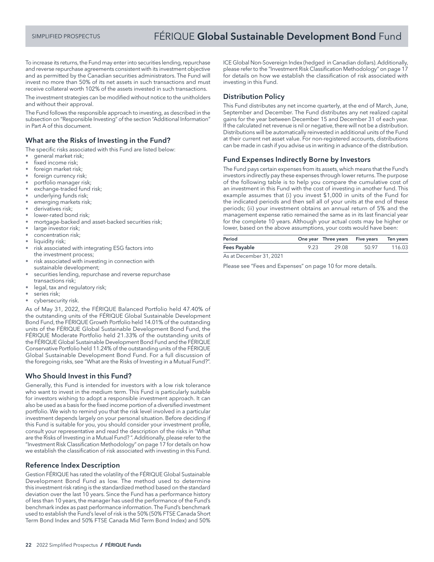To increase its returns, the Fund may enter into securities lending, repurchase and reverse repurchase agreements consistent with its investment objective and as permitted by the Canadian securities administrators. The Fund will invest no more than 50% of its net assets in such transactions and must receive collateral worth 102% of the assets invested in such transactions.

The investment strategies can be modified without notice to the unitholders and without their approval.

The Fund follows the responsible approach to investing, as described in the subsection on "Responsible Investing" of the section "Additional Information" in Part A of this document.

# What are the Risks of Investing in the Fund?

The specific risks associated with this Fund are listed below:

- general market risk;
- fixed income risk;
- foreign market risk;
- foreign currency risk;
- portfolio manager risk;
- exchange-traded fund risk;
- underlying funds risk; emerging markets risk;
- 
- derivatives risk; lower-rated bond risk;
- mortgage-backed and asset-backed securities risk;
- large investor risk;
- concentration risk;
- liquidity risk;
- risk associated with integrating ESG factors into the investment process;
- risk associated with investing in connection with
- sustainable development; securities lending, repurchase and reverse repurchase transactions risk;
- legal, tax and regulatory risk;
- series risk;
- cybersecurity risk.

As of May 31, 2022, the FÉRIQUE Balanced Portfolio held 47.40% of the outstanding units of the FÉRIQUE Global Sustainable Development Bond Fund, the FÉRIQUE Growth Portfolio held 14.01% of the outstanding units of the FÉRIQUE Global Sustainable Development Bond Fund, the FÉRIQUE Moderate Portfolio held 21.33% of the outstanding units of the FÉRIQUE Global Sustainable Development Bond Fund and the FÉRIQUE Conservative Portfolio held 11.24% of the outstanding units of the FÉRIQUE Global Sustainable Development Bond Fund. For a full discussion of the foregoing risks, see "What are the Risks of Investing in a Mutual Fund?".

## Who Should Invest in this Fund?

Generally, this Fund is intended for investors with a low risk tolerance who want to invest in the medium term. This Fund is particularly suitable for investors wishing to adopt a responsible investment approach. It can also be used as a basis for the fixed income portion of a diversified investment portfolio. We wish to remind you that the risk level involved in a particular investment depends largely on your personal situation. Before deciding if this Fund is suitable for you, you should consider your investment profile, consult your representative and read the description of the risks in "What are the Risks of Investing in a Mutual Fund? ". Additionally, please refer to the "Investment Risk Classification Methodology" on page 17 for details on how we establish the classification of risk associated with investing in this Fund.

## Reference Index Description

Gestion FÉRIQUE has rated the volatility of the FÉRIQUE Global Sustainable Development Bond Fund as low. The method used to determine this investment risk rating is the standardized method based on the standard deviation over the last 10 years. Since the Fund has a performance history of less than 10 years, the manager has used the performance of the Fund's benchmark index as past performance information. The Fund's benchmark used to establish the Fund's level of risk is the 50% (50% FTSE Canada Short Term Bond Index and 50% FTSE Canada Mid Term Bond Index) and 50%

ICE Global Non-Sovereign Index (hedged in Canadian dollars). Additionally, please refer to the "Investment Risk Classification Methodology" on page 17 for details on how we establish the classification of risk associated with investing in this Fund.

# Distribution Policy

This Fund distributes any net income quarterly, at the end of March, June, September and December. The Fund distributes any net realized capital gains for the year between December 15 and December 31 of each year. If the calculated net revenue is nil or negative, there will not be a distribution. Distributions will be automatically reinvested in additional units of the Fund at their current net asset value. For non-registered accounts, distributions can be made in cash if you advise us in writing in advance of the distribution.

## Fund Expenses Indirectly Borne by Investors

The Fund pays certain expenses from its assets, which means that the Fund's investors indirectly pay these expenses through lower returns. The purpose of the following table is to help you compare the cumulative cost of an investment in this Fund with the cost of investing in another fund. This example assumes that (i) you invest \$1,000 in units of the Fund for the indicated periods and then sell all of your units at the end of these periods; (ii) your investment obtains an annual return of 5% and the management expense ratio remained the same as in its last financial year for the complete 10 years. Although your actual costs may be higher or lower, based on the above assumptions, your costs would have been:

| Period              |      | One year Three years Five years Ten years |       |        |
|---------------------|------|-------------------------------------------|-------|--------|
| <b>Fees Payable</b> | 9.23 | 29.08                                     | 50.97 | 116.03 |
|                     |      |                                           |       |        |

As at December 31, 2021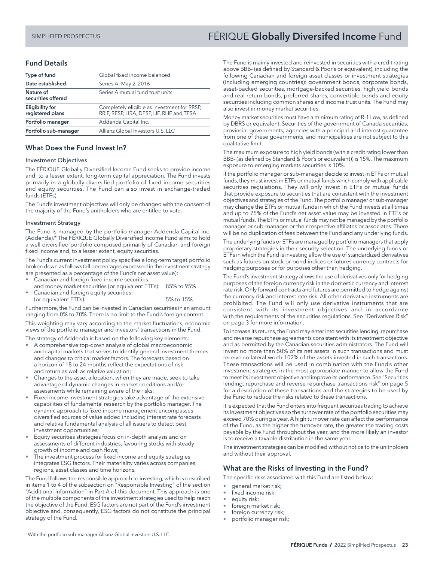# SIMPLIFIED PROSPECTUS **FÉRIQUE Globally Diversifed Income** Fund

# Fund Details

| Type of fund                               | Global fixed income balanced                                                              |
|--------------------------------------------|-------------------------------------------------------------------------------------------|
| Date established                           | Series A: May 2, 2016                                                                     |
| Nature of<br>securities offered            | Series A mutual fund trust units                                                          |
| <b>Eligibility for</b><br>registered plans | Completely eligible as investment for RRSP,<br>RRIF, RESP, LIRA, DPSP, LIF, RLIF and TFSA |
| Portfolio manager                          | Addenda Capital Inc.                                                                      |
| Portfolio sub-manager                      | Allianz Global Investors U.S. LLC                                                         |
|                                            |                                                                                           |

# What Does the Fund Invest In?

#### Investment Objectives

The FÉRIQUE Globally Diversified Income Fund seeks to provide income and, to a lesser extent, long-term capital appreciation. The Fund invests primarily in a globally diversified portfolio of fixed income securities and equity securities. The Fund can also invest in exchange-traded funds (ETFs).

The Fund's investment objectives will only be changed with the consent of the majority of the Fund's unitholders who are entitled to vote.

#### Investment Strategy

The Fund is managed by the portfolio manager Addenda Capital inc. (Addenda).\* The FÉRIQUE Globally Diversified Income Fund aims to hold a well diversified portfolio composed primarily of Canadian and foreign fixed income and, to a lesser extent, equity securities.

The Fund's current investment policy specifies a long-term target portfolio broken down as follows (all percentages expressed in the investment strategy

- are presented as a percentage of the Fund's net asset value): • Canadian and foreign fixed income securities
- and money market securities (or equivalent ETFs): 85% to 95% • Canadian and foreign equity securities
- (or equivalent ETFs): 5% to 15%

Furthermore, the Fund can be invested in Canadian securities in an amount ranging from 0% to 70%. There is no limit to the Fund's foreign content.

This weighting may vary according to the market fluctuations, economic views of the portfolio manager and investors' transactions in the Fund.

The strategy of Addenda is based on the following key elements:

- A comprehensive top-down analysis of global macroeconomic and capital markets that serves to identify general investment themes and changes to critical market factors. The forecasts based on a horizon of 18 to 24 months reflect the expectations of risk and return as well as relative valuation;
- Changes to the asset allocation, when they are made, seek to take advantage of dynamic changes in market conditions and/or assessments while remaining aware of the risks;
- Fixed income investment strategies take advantage of the extensive capabilities of fundamental research by the portfolio manager. The dynamic approach to fixed income management encompasses diversified sources of value added including interest rate forecasts and relative fundamental analysis of all issuers to detect best investment opportunities;
- Equity securities strategies focus on in-depth analysis and on assessments of different industries, favouring stocks with steady growth of income and cash flows;
- The investment process for fixed income and equity strategies integrates ESG factors. Their materiality varies across companies, regions, asset classes and time horizons.

The Fund follows the responsible approach to investing, which is described in items 1 to 4 of the subsection on "Responsible Investing" of the section "Additional Information" in Part A of this document. This approach is one of the multiple components of the investment strategies used to help reach the objective of the Fund. ESG factors are not part of the Fund's investment objective and, consequently, ESG factors do not constitute the principal strategy of the Fund.

The Fund is mainly invested and reinvested in securities with a credit rating above BBB- (as defined by Standard & Poor's or equivalent), including the following Canadian and foreign asset classes or investment strategies (including emerging countries): government bonds, corporate bonds, asset-backed securities, mortgage-backed securities, high yield bonds and real return bonds, preferred shares, convertible bonds and equity securities including common shares and income trust units. The Fund may also invest in money market securities.

Money market securities must have a minimum rating of R-1 Low, as defined by DBRS or equivalent. Securities of the government of Canada securities, provincial governments, agencies with a principal and interest guarantee from one of these governments, and municipalities are not subject to this qualitative limit.

The maximum exposure to high yield bonds (with a credit rating lower than BBB- (as defined by Standard & Poor's or equivalent)) is 15%. The maximum exposure to emerging markets securities is 10%.

If the portfolio manager or sub-manager decide to invest in ETFs or mutual funds, they must invest in ETFs or mutual funds which comply with applicable securities regulations. They will only invest in ETFs or mutual funds that provide exposure to securities that are consistent with the investment objectives and strategies of the Fund. The portfolio manager or sub-manager may change the ETFs or mutual funds in which the Fund invests at all times and up to 75% of the Fund's net asset value may be invested in ETFs or mutual funds. The ETFs or mutual funds may not be managed by the portfolio manager or sub-manager or their respective affiliates or associates. There will be no duplication of fees between the Fund and any underlying funds.

The underlying funds or ETFs are managed by portfolio managers that apply proprietary strategies in their security selection. The underlying funds or ETFs in which the Fund is investing allow the use of standardized derivatives such as futures on stock or bond indices or futures currency contracts for hedging purposes or for purposes other than hedging.

The Fund's investment strategy allows the use of derivatives only for hedging purposes of the foreign currency risk in the domestic currency and interest rate risk. Only forward contracts and futures are permitted to hedge against the currency risk and interest rate risk. All other derivative instruments are prohibited. The Fund will only use derivative instruments that are consistent with its investment objectives and in accordance with the requirements of the securities regulations. See "Derivatives Risk" on page 3 for more information.

To increase its returns, the Fund may enter into securities lending, repurchase and reverse repurchase agreements consistent with its investment objective and as permitted by the Canadian securities administrators. The Fund will invest no more than 50% of its net assets in such transactions and must receive collateral worth 102% of the assets invested in such transactions. These transactions will be used in combination with the Fund's other investment strategies in the most appropriate manner to allow the Fund to meet its investment objective and improve its performance. See "Securities lending, repurchase and reverse repurchase transactions risk" on page 5 for a description of these transactions and the strategies to be used by the Fund to reduce the risks related to these transactions.

It is expected that the Fund enters into frequent securities trading to achieve its investment objectives so the turnover rate of the portfolio securities may exceed 70% during a year. A high turnover rate can affect the performance of the Fund, as the higher the turnover rate, the greater the trading costs payable by the Fund throughout the year, and the more likely an investor is to receive a taxable distribution in the same year.

The investment strategies can be modified without notice to the unitholders and without their approval.

# What are the Risks of Investing in the Fund?

The specific risks associated with this Fund are listed below:

- general market risk;
- fixed income risk;
- equity risk;
- foreign market risk;
- foreign currency risk;
- portfolio manager risk;

\* With the portfolio sub-manager Allianz Global Investors U.S. LLC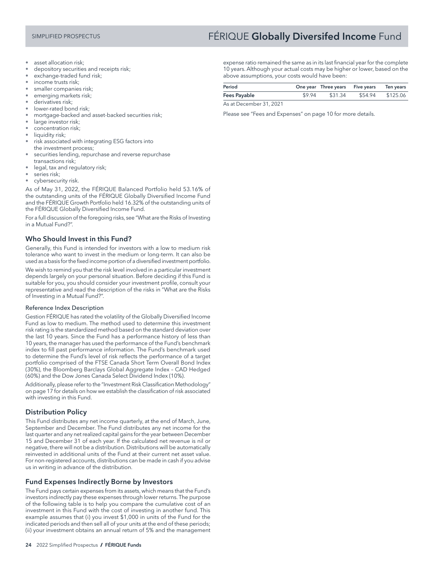# SIMPLIFIED PROSPECTUS **FÉRIQUE Globally Diversifed Income** Fund

- asset allocation risk;
- depository securities and receipts risk;
- exchange-traded fund risk;
- income trusts risk;
- smaller companies risk;
- emerging markets risk;
- derivatives risk;
- lower-rated bond risk;
- mortgage-backed and asset-backed securities risk;
- large investor risk;
- concentration risk;
- liquidity risk;
- risk associated with integrating ESG factors into the investment process;
- securities lending, repurchase and reverse repurchase transactions risk;
- legal, tax and regulatory risk;
- series risk;
- cybersecurity risk.

As of May 31, 2022, the FÉRIQUE Balanced Portfolio held 53.16% of the outstanding units of the FÉRIQUE Globally Diversified Income Fund and the FÉRIQUE Growth Portfolio held 16.32% of the outstanding units of the FÉRIQUE Globally Diversified Income Fund.

For a full discussion of the foregoing risks, see "What are the Risks of Investing in a Mutual Fund?".

# Who Should Invest in this Fund?

Generally, this Fund is intended for investors with a low to medium risk tolerance who want to invest in the medium or long-term. It can also be used as a basis for the fixed income portion of a diversified investment portfolio.

We wish to remind you that the risk level involved in a particular investment depends largely on your personal situation. Before deciding if this Fund is suitable for you, you should consider your investment profile, consult your representative and read the description of the risks in "What are the Risks of Investing in a Mutual Fund?".

#### Reference Index Description

Gestion FÉRIQUE has rated the volatility of the Globally Diversified Income Fund as low to medium. The method used to determine this investment risk rating is the standardized method based on the standard deviation over the last 10 years. Since the Fund has a performance history of less than 10 years, the manager has used the performance of the Fund's benchmark index to fill past performance information. The Fund's benchmark used to determine the Fund's level of risk reflects the performance of a target portfolio comprised of the FTSE Canada Short Term Overall Bond Index (30%), the Bloomberg Barclays Global Aggregate Index – CAD Hedged (60%) and the Dow Jones Canada Select Dividend Index (10%).

Additionally, please refer to the "Investment Risk Classification Methodology" on page 17 for details on how we establish the classification of risk associated with investing in this Fund.

## Distribution Policy

This Fund distributes any net income quarterly, at the end of March, June, September and December. The Fund distributes any net income for the last quarter and any net realized capital gains for the year between December 15 and December 31 of each year. If the calculated net revenue is nil or negative, there will not be a distribution. Distributions will be automatically reinvested in additional units of the Fund at their current net asset value. For non-registered accounts, distributions can be made in cash if you advise us in writing in advance of the distribution.

## Fund Expenses Indirectly Borne by Investors

The Fund pays certain expenses from its assets, which means that the Fund's investors indirectly pay these expenses through lower returns. The purpose of the following table is to help you compare the cumulative cost of an investment in this Fund with the cost of investing in another fund. This example assumes that (i) you invest \$1,000 in units of the Fund for the indicated periods and then sell all of your units at the end of these periods; (ii) your investment obtains an annual return of 5% and the management

expense ratio remained the same as in its last financial year for the complete 10 years. Although your actual costs may be higher or lower, based on the above assumptions, your costs would have been:

| Period              |  |                                 | One year Three years Five years Ten years |  |
|---------------------|--|---------------------------------|-------------------------------------------|--|
| <b>Fees Payable</b> |  | \$9.94 \$31.34 \$54.94 \$125.06 |                                           |  |
|                     |  | .                               |                                           |  |

As at December 31, 2021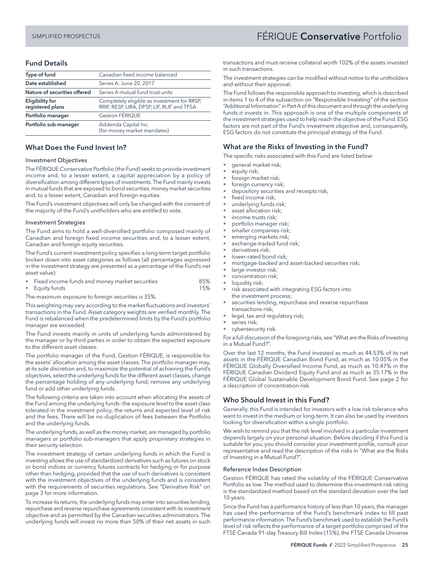# SIMPLIFIED PROSPECTUS FÉRIQUE Conservative Portfolio

# Fund Details

| Type of fund                               | Canadian fixed income balanced                                                            |  |
|--------------------------------------------|-------------------------------------------------------------------------------------------|--|
| Date established                           | Series A: June 20, 2017                                                                   |  |
| Nature of securities offered               | Series A mutual fund trust units                                                          |  |
| <b>Eligibility for</b><br>registered plans | Completely eligible as investment for RRSP,<br>RRIF, RESP, LIRA, DPSP, LIF, RLIF and TFSA |  |
| Portfolio manager                          | <b>Gestion FÉRIQUE</b>                                                                    |  |
| Portfolio sub-manager                      | Addenda Capital Inc.<br>(for money market mandates)                                       |  |

#### What Does the Fund Invest In?

#### Investment Objectives

The FÉRIQUE Conservative Portfolio (the Fund) seeks to provide investment income and, to a lesser extent, a capital appreciation by a policy of diversification among different types of investments. The Fund mainly invests in mutual funds that are exposed to bond securities, money market securities and, to a lesser extent, Canadian and foreign equities.

The Fund's investment objectives will only be changed with the consent of the majority of the Fund's unitholders who are entitled to vote.

#### Investment Strategies

The Fund aims to hold a well-diversified portfolio composed mainly of Canadian and foreign fixed income securities and, to a lesser extent, Canadian and foreign equity securities.

The Fund's current investment policy specifies a long-term target portfolio broken down into asset categories as follows (all percentages expressed in the investment strategy are presented as a percentage of the Fund's net asset value):

- Fixed income funds and money market securities 85%
- Equity funds 15%

The maximum exposure to foreign securities is 35%.

This weighting may vary according to the market fluctuations and investors' transactions in the Fund. Asset category weights are verified monthly. The Fund is rebalanced when the predetermined limits by the Fund's portfolio manager are exceeded.

The Fund invests mainly in units of underlying funds administered by the manager or by third parties in order to obtain the expected exposure to the different asset classes.

The portfolio manager of the Fund, Gestion FÉRIQUE, is responsible for the assets' allocation among the asset classes. The portfolio manager may, at its sole discretion and, to maximize the potential of achieving the Fund's objectives, select the underlying funds for the different asset classes, change the percentage holding of any underlying fund, remove any underlying fund or add other underlying funds.

The following criteria are taken into account when allocating the assets of the Fund among the underlying funds: the exposure level to the asset class tolerated in the investment policy, the returns and expected level of risk and the fees. There will be no duplication of fees between the Portfolio and the underlying funds.

The underlying funds, as well as the money market, are managed by portfolio managers or portfolio sub-managers that apply proprietary strategies in their security selection.

The investment strategy of certain underlying funds in which the Fund is investing allows the use of standardized derivatives such as futures on stock or bond indices or currency futures contracts for hedging or for purpose other than hedging, provided that the use of such derivatives is consistent with the investment objectives of the underlying funds and is consistent with the requirements of securities regulations. See "Derivative Risk" on page 3 for more information.

To increase its returns, the underlying funds may enter into securities lending, repurchase and reverse repurchase agreements consistent with its investment objective and as permitted by the Canadian securities administrators. The underlying funds will invest no more than 50% of their net assets in such

transactions and must receive collateral worth 102% of the assets invested in such transactions.

The investment strategies can be modified without notice to the unitholders and without their approval.

The Fund follows the responsible approach to investing, which is described in items 1 to 4 of the subsection on "Responsible Investing" of the section "Additional Information" in Part A of this document and through the underlying funds it invests in. This approach is one of the multiple components of the investment strategies used to help reach the objective of the Fund. ESG factors are not part of the Fund's investment objective and, consequently, ESG factors do not constitute the principal strategy of the Fund.

#### What are the Risks of Investing in the Fund?

The specific risks associated with this Fund are listed below:

- general market risk;
- equity risk;
- foreign market risk;
- foreign currency risk;
- depository securities and receipts risk;
- fixed income risk;
- underlying funds risk;
- asset allocation risk;
- income trusts risk;
- portfolio manager risk;
- smaller companies risk;
- emerging markets risk; exchange-traded fund risk;
- derivatives risk;
- lower-rated bond risk;
- mortgage-backed and asset-backed securities risk;
- large investor risk;
- concentration risk;
- liquidity risk;
- risk associated with integrating ESG factors into the investment process;
- securities lending, repurchase and reverse repurchase transactions risk;
- legal, tax and regulatory risk;
- series risk;
- cybersecurity risk.

For a full discussion of the foregoing risks, see "What are the Risks of Investing in a Mutual Fund?".

Over the last 12 months, the Fund invested as much as 44.53% of its net assets in the FÉRIQUE Canadian Bond Fund, as much as 10.05% in the FÉRIQUE Globally Diversified Income Fund, as much as 10.47% in the FÉRIQUE Canadian Dividend Equity Fund and as much as 35.17% in the FÉRIQUE Global Sustainable Development Bond Fund. See page 2 for a description of concentration risk.

## Who Should Invest in this Fund?

Generally, this Fund is intended for investors with a low risk tolerance who want to invest in the medium or long-term. It can also be used by investors looking for diversification within a single portfolio.

We wish to remind you that the risk level involved in a particular investment depends largely on your personal situation. Before deciding if this Fund is suitable for you, you should consider your investment profile, consult your representative and read the description of the risks in "What are the Risks of Investing in a Mutual Fund?".

#### Reference Index Description

Gestion FÉRIQUE has rated the volatility of the FÉRIQUE Conservative Portfolio as low. The method used to determine this investment risk rating is the standardized method based on the standard deviation over the last 10 years.

Since the Fund has a performance history of less than 10 years, the manager has used the performance of the Fund's benchmark index to fill past performance information. The Fund's benchmark used to establish the Fund's level of risk reflects the performance of a target portfolio comprised of the FTSE Canada 91-day Treasury Bill Index (15%), the FTSE Canada Universe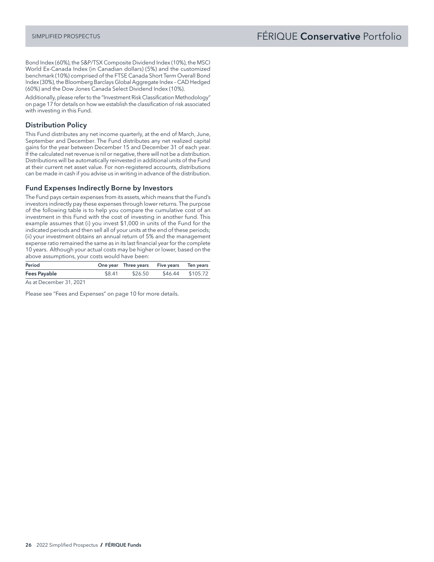Bond Index (60%), the S&P/TSX Composite Dividend Index (10%), the MSCI World Ex-Canada Index (in Canadian dollars) (5%) and the customized benchmark (10%) comprised of the FTSE Canada Short Term Overall Bond Index (30%), the Bloomberg Barclays Global Aggregate Index – CAD Hedged (60%) and the Dow Jones Canada Select Dividend Index (10%).

Additionally, please refer to the "Investment Risk Classification Methodology" on page 17 for details on how we establish the classification of risk associated with investing in this Fund.

# Distribution Policy

This Fund distributes any net income quarterly, at the end of March, June, September and December. The Fund distributes any net realized capital gains for the year between December 15 and December 31 of each year. If the calculated net revenue is nil or negative, there will not be a distribution. Distributions will be automatically reinvested in additional units of the Fund at their current net asset value. For non-registered accounts, distributions can be made in cash if you advise us in writing in advance of the distribution.

#### Fund Expenses Indirectly Borne by Investors

The Fund pays certain expenses from its assets, which means that the Fund's investors indirectly pay these expenses through lower returns. The purpose of the following table is to help you compare the cumulative cost of an investment in this Fund with the cost of investing in another fund. This example assumes that (i) you invest \$1,000 in units of the Fund for the indicated periods and then sell all of your units at the end of these periods; (ii) your investment obtains an annual return of 5% and the management expense ratio remained the same as in its last financial year for the complete 10 years. Although your actual costs may be higher or lower, based on the above assumptions, your costs would have been:

| Period              |        | One year Three years Five years Ten years |                          |  |
|---------------------|--------|-------------------------------------------|--------------------------|--|
| <b>Fees Payable</b> | \$8.41 |                                           | \$26.50 \$46.44 \$105.72 |  |

As at December 31, 2021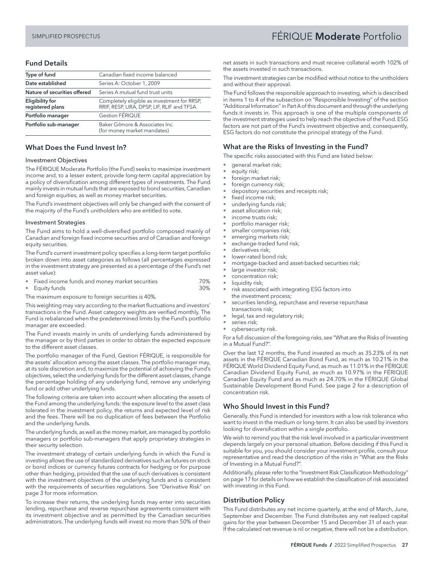# <span id="page-28-0"></span>SIMPLIFIED PROSPECTUS FÉRIQUE Moderate Portfolio

# Fund Details

| Type of fund                               | Canadian fixed income balanced                                                            |
|--------------------------------------------|-------------------------------------------------------------------------------------------|
| Date established                           | Series A: October 1, 2009                                                                 |
| Nature of securities offered               | Series A mutual fund trust units                                                          |
| <b>Eligibility for</b><br>registered plans | Completely eligible as investment for RRSP,<br>RRIF, RESP, LIRA, DPSP, LIF, RLIF and TFSA |
| Portfolio manager                          | <b>Gestion FÉRIQUE</b>                                                                    |
| Portfolio sub-manager                      | Baker Gilmore & Associates Inc.<br>(for money market mandates)                            |

#### What Does the Fund Invest In?

#### Investment Objectives

The FÉRIQUE Moderate Portfolio (the Fund) seeks to maximize investment income and, to a lesser extent, provide long-term capital appreciation by a policy of diversification among different types of investments. The Fund mainly invests in mutual funds that are exposed to bond securities, Canadian and foreign equities, as well as money market securities.

The Fund's investment objectives will only be changed with the consent of the majority of the Fund's unitholders who are entitled to vote.

#### Investment Strategies

The Fund aims to hold a well-diversified portfolio composed mainly of Canadian and foreign fixed income securities and of Canadian and foreign equity securities.

The Fund's current investment policy specifies a long-term target portfolio broken down into asset categories as follows (all percentages expressed in the investment strategy are presented as a percentage of the Fund's net asset value):

- Fixed income funds and money market securities 70%
- Equity funds 30%

The maximum exposure to foreign securities is 40%.

This weighting may vary according to the market fluctuations and investors' transactions in the Fund. Asset category weights are verified monthly. The Fund is rebalanced when the predetermined limits by the Fund's portfolio manager are exceeded.

The Fund invests mainly in units of underlying funds administered by the manager or by third parties in order to obtain the expected exposure to the different asset classes.

The portfolio manager of the Fund, Gestion FÉRIQUE, is responsible for the assets' allocation among the asset classes. The portfolio manager may, at its sole discretion and, to maximize the potential of achieving the Fund's objectives, select the underlying funds for the different asset classes, change the percentage holding of any underlying fund, remove any underlying fund or add other underlying funds.

The following criteria are taken into account when allocating the assets of the Fund among the underlying funds: the exposure level to the asset class tolerated in the investment policy, the returns and expected level of risk and the fees. There will be no duplication of fees between the Portfolio and the underlying funds.

The underlying funds, as well as the money market, are managed by portfolio managers or portfolio sub-managers that apply proprietary strategies in their security selection.

The investment strategy of certain underlying funds in which the Fund is investing allows the use of standardized derivatives such as futures on stock or bond indices or currency futures contracts for hedging or for purpose other than hedging, provided that the use of such derivatives is consistent with the investment objectives of the underlying funds and is consistent with the requirements of securities regulations. See "Derivative Risk" on page 3 for more information.

To increase their returns, the underlying funds may enter into securities lending, repurchase and reverse repurchase agreements consistent with its investment objective and as permitted by the Canadian securities administrators. The underlying funds will invest no more than 50% of their

net assets in such transactions and must receive collateral worth 102% of the assets invested in such transactions.

The investment strategies can be modified without notice to the unitholders and without their approval.

The Fund follows the responsible approach to investing, which is described in items 1 to 4 of the subsection on "Responsible Investing" of the section "Additional Information" in Part A of this document and through the underlying funds it invests in. This approach is one of the multiple components of the investment strategies used to help reach the objective of the Fund. ESG factors are not part of the Fund's investment objective and, consequently, ESG factors do not constitute the principal strategy of the Fund.

## What are the Risks of Investing in the Fund?

The specific risks associated with this Fund are listed below:

- general market risk;
- equity risk;
- foreign market risk;
- foreign currency risk;
- depository securities and receipts risk;
- fixed income risk;
- underlying funds risk;
- asset allocation risk;
- income trusts risk;
- portfolio manager risk;
- smaller companies risk;
- emerging markets risk; exchange-traded fund risk;
- derivatives risk;
- lower-rated bond risk;
- mortgage-backed and asset-backed securities risk;
- large investor risk;
- concentration risk;
- liquidity risk;
- risk associated with integrating ESG factors into the investment process;
- securities lending, repurchase and reverse repurchase transactions risk;
- legal, tax and regulatory risk;
- series risk;
- cybersecurity risk.

For a full discussion of the foregoing risks, see "What are the Risks of Investing in a Mutual Fund?".

Over the last 12 months, the Fund invested as much as 35.23% of its net assets in the FÉRIQUE Canadian Bond Fund, as much as 10.21% in the FÉRIQUE World Dividend Equity Fund, as much as 11.01% in the FÉRIQUE Canadian Dividend Equity Fund, as much as 10.97% in the FÉRIQUE Canadian Equity Fund and as much as 24.70% in the FÉRIQUE Global Sustainable Development Bond Fund. See page 2 for a description of concentration risk.

#### Who Should Invest in this Fund?

Generally, this Fund is intended for investors with a low risk tolerance who want to invest in the medium or long-term. It can also be used by investors looking for diversification within a single portfolio.

We wish to remind you that the risk level involved in a particular investment depends largely on your personal situation. Before deciding if this Fund is suitable for you, you should consider your investment profile, consult your representative and read the description of the risks in "What are the Risks of Investing in a Mutual Fund?".

Additionally, please refer to the "Investment Risk Classification Methodology" on page 17 for details on how we establish the classification of risk associated with investing in this Fund.

## Distribution Policy

This Fund distributes any net income quarterly, at the end of March, June, September and December. The Fund distributes any net realized capital gains for the year between December 15 and December 31 of each year. If the calculated net revenue is nil or negative, there will not be a distribution.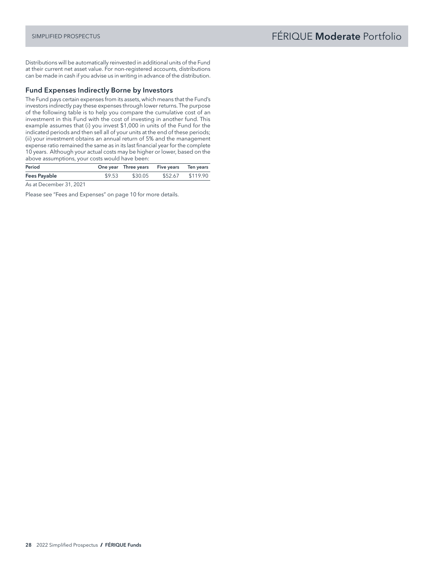Distributions will be automatically reinvested in additional units of the Fund at their current net asset value. For non-registered accounts, distributions can be made in cash if you advise us in writing in advance of the distribution.

## Fund Expenses Indirectly Borne by Investors

The Fund pays certain expenses from its assets, which means that the Fund's investors indirectly pay these expenses through lower returns. The purpose of the following table is to help you compare the cumulative cost of an investment in this Fund with the cost of investing in another fund. This example assumes that (i) you invest \$1,000 in units of the Fund for the indicated periods and then sell all of your units at the end of these periods; (ii) your investment obtains an annual return of 5% and the management expense ratio remained the same as in its last financial year for the complete 10 years. Although your actual costs may be higher or lower, based on the above assumptions, your costs would have been:

| Period        | One year Three years Five years Ten years |  |
|---------------|-------------------------------------------|--|
| Fees Payable  | \$9.53 \$30.05 \$52.67 \$119.90           |  |
| $\sim$ $\sim$ |                                           |  |

As at December 31, 2021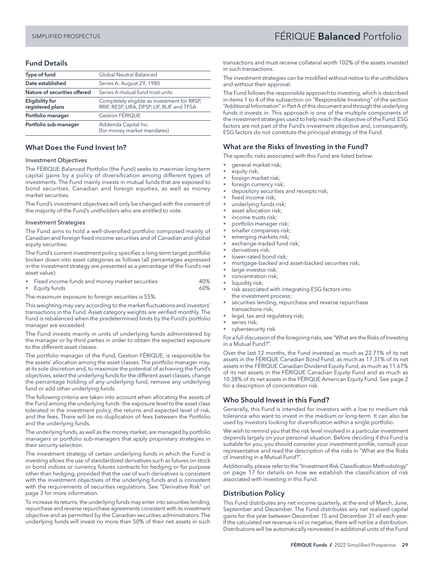# <span id="page-30-0"></span>SIMPLIFIED PROSPECTUS FÉRIQUE Balanced Portfolio

# Fund Details

| Type of fund                               | Global Neutral Balanced                                                                   |
|--------------------------------------------|-------------------------------------------------------------------------------------------|
| Date established                           | Series A: August 29, 1980                                                                 |
| Nature of securities offered               | Series A mutual fund trust units                                                          |
| <b>Eligibility for</b><br>registered plans | Completely eligible as investment for RRSP,<br>RRIF, RESP, LIRA, DPSP, LIF, RLIF and TFSA |
| Portfolio manager                          | <b>Gestion FÉRIQUE</b>                                                                    |
| Portfolio sub-manager                      | Addenda Capital Inc.<br>(for money market mandates)                                       |

#### What Does the Fund Invest In?

#### Investment Objectives

The FÉRIQUE Balanced Portfolio (the Fund) seeks to maximize long-term capital gains by a policy of diversification among different types of investments. The Fund mainly invests in mutual funds that are exposed to bond securities, Canadian and foreign equities, as well as money market securities.

The Fund's investment objectives will only be changed with the consent of the majority of the Fund's unitholders who are entitled to vote.

#### Investment Strategies

The Fund aims to hold a well-diversified portfolio composed mainly of Canadian and foreign fixed income securities and of Canadian and global equity securities.

The Fund's current investment policy specifies a long-term target portfolio broken down into asset categories as follows (all percentages expressed in the investment strategy are presented as a percentage of the Fund's net asset value):

- Fixed income funds and money market securities 40%
- Equity funds 60%

The maximum exposure to foreign securities is 55%.

This weighting may vary according to the market fluctuations and investors' transactions in the Fund. Asset category weights are verified monthly. The Fund is rebalanced when the predetermined limits by the Fund's portfolio manager are exceeded.

The Fund invests mainly in units of underlying funds administered by the manager or by third parties in order to obtain the expected exposure to the different asset classes.

The portfolio manager of the Fund, Gestion FÉRIQUE, is responsible for the assets' allocation among the asset classes. The portfolio manager may, at its sole discretion and, to maximize the potential of achieving the Fund's objectives, select the underlying funds for the different asset classes, change the percentage holding of any underlying fund, remove any underlying fund or add other underlying funds.

The following criteria are taken into account when allocating the assets of the Fund among the underlying funds: the exposure level to the asset class tolerated in the investment policy, the returns and expected level of risk, and the fees. There will be no duplication of fees between the Portfolio and the underlying funds.

The underlying funds, as well as the money market, are managed by portfolio managers or portfolio sub-managers that apply proprietary strategies in their security selection.

The investment strategy of certain underlying funds in which the Fund is investing allows the use of standardized derivatives such as futures on stock or bond indices or currency futures contracts for hedging or for purpose other than hedging, provided that the use of such derivatives is consistent with the investment objectives of the underlying funds and is consistent with the requirements of securities regulations. See "Derivative Risk" on page 3 for more information.

To increase its returns, the underlying funds may enter into securities lending, repurchase and reverse repurchase agreements consistent with its investment objective and as permitted by the Canadian securities administrators. The underlying funds will invest no more than 50% of their net assets in such

transactions and must receive collateral worth 102% of the assets invested in such transactions.

The investment strategies can be modified without notice to the unitholders and without their approval.

The Fund follows the responsible approach to investing, which is described in items 1 to 4 of the subsection on "Responsible Investing" of the section "Additional Information" in Part A of this document and through the underlying funds it invests in. This approach is one of the multiple components of the investment strategies used to help reach the objective of the Fund. ESG factors are not part of the Fund's investment objective and, consequently, ESG factors do not constitute the principal strategy of the Fund.

#### What are the Risks of Investing in the Fund?

The specific risks associated with this Fund are listed below:

- general market risk;
- equity risk;
- foreign market risk;
- foreign currency risk;
- depository securities and receipts risk;
- fixed income risk;
- underlying funds risk;
- asset allocation risk;
- income trusts risk;
- portfolio manager risk;
- smaller companies risk;
- emerging markets risk; exchange-traded fund risk;
- derivatives risk;
- lower-rated bond risk;
- mortgage-backed and asset-backed securities risk;
- large investor risk;
- concentration risk;
- liquidity risk;
- risk associated with integrating ESG factors into the investment process;
- securities lending, repurchase and reverse repurchase transactions risk;
- legal, tax and regulatory risk;
- series risk;
- cybersecurity risk.

For a full discussion of the foregoing risks, see "What are the Risks of Investing in a Mutual Fund?".

Over the last 12 months, the Fund invested as much as 22.71% of its net assets in the FÉRIQUE Canadian Bond Fund, as much as 17.31% of its net assets in the FÉRIQUE Canadian Dividend Equity Fund, as much as 11.67% of its net assets in the FÉRIQUE Canadian Equity Fund and as much as 10.38% of its net assets in the FÉRIQUE American Equity Fund. See page 2 for a description of concentration risk.

## Who Should Invest in this Fund?

Generally, this Fund is intended for investors with a low to medium risk tolerance who want to invest in the medium or long-term. It can also be used by investors looking for diversification within a single portfolio.

We wish to remind you that the risk level involved in a particular investment depends largely on your personal situation. Before deciding if this Fund is suitable for you, you should consider your investment profile, consult your representative and read the description of the risks in "What are the Risks of Investing in a Mutual Fund?".

Additionally, please refer to the "Investment Risk Classification Methodology" on page 17 for details on how we establish the classification of risk associated with investing in this Fund.

## Distribution Policy

This Fund distributes any net income quarterly, at the end of March, June, September and December. The Fund distributes any net realized capital gains for the year between December 15 and December 31 of each year. If the calculated net revenue is nil or negative, there will not be a distribution. Distributions will be automatically reinvested in additional units of the Fund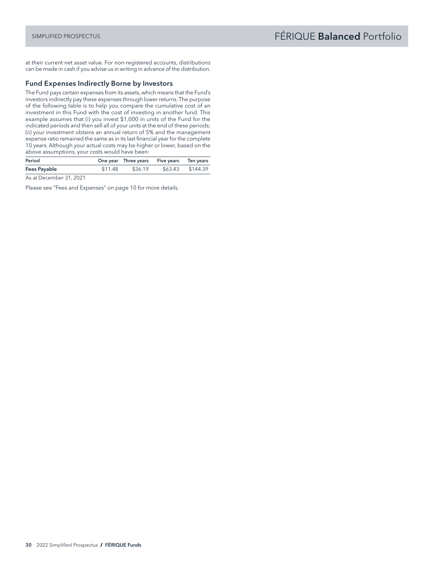at their current net asset value. For non-registered accounts, distributions can be made in cash if you advise us in writing in advance of the distribution.

## Fund Expenses Indirectly Borne by Investors

The Fund pays certain expenses from its assets, which means that the Fund's investors indirectly pay these expenses through lower returns. The purpose of the following table is to help you compare the cumulative cost of an investment in this Fund with the cost of investing in another fund. This example assumes that (i) you invest \$1,000 in units of the Fund for the indicated periods and then sell all of your units at the end of these periods; (ii) your investment obtains an annual return of 5% and the management expense ratio remained the same as in its last financial year for the complete 10 years. Although your actual costs may be higher or lower, based on the above assumptions, your costs would have been:

| Period              |         | One year Three years Five years Ten years |                  |
|---------------------|---------|-------------------------------------------|------------------|
| <b>Fees Payable</b> | \$11.48 | \$36.19                                   | \$63.43 \$144.39 |

As at December 31, 2021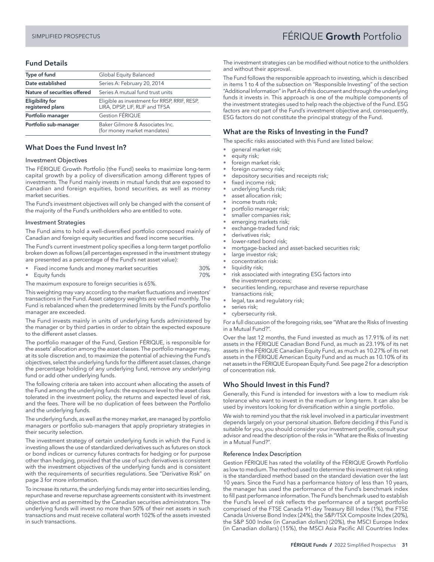# SIMPLIFIED PROSPECTUS FÉRIQUE Growth Portfolio

# Fund Details

| Type of fund                                                                                                                 | Global Equity Balanced                                         |
|------------------------------------------------------------------------------------------------------------------------------|----------------------------------------------------------------|
| Date established<br>Series A: February 20, 2014                                                                              |                                                                |
| Nature of securities offered                                                                                                 | Series A mutual fund trust units                               |
| Eligible as investment for RRSP, RRIF, RESP,<br><b>Eligibility for</b><br>registered plans<br>LIRA, DPSP, LIF, RLIF and TFSA |                                                                |
| Portfolio manager                                                                                                            | <b>Gestion FÉRIQUE</b>                                         |
| Portfolio sub-manager                                                                                                        | Baker Gilmore & Associates Inc.<br>(for money market mandates) |

## What Does the Fund Invest In?

#### Investment Objectives

The FÉRIQUE Growth Portfolio (the Fund) seeks to maximize long-term capital growth by a policy of diversification among different types of investments. The Fund mainly invests in mutual funds that are exposed to Canadian and foreign equities, bond securities, as well as money market securities.

The Fund's investment objectives will only be changed with the consent of the majority of the Fund's unitholders who are entitled to vote.

#### Investment Strategies

The Fund aims to hold a well-diversified portfolio composed mainly of Canadian and foreign equity securities and fixed income securities.

The Fund's current investment policy specifies a long-term target portfolio broken down as follows (all percentages expressed in the investment strategy are presented as a percentage of the Fund's net asset value):

|  | Fixed income funds and money market securities | 30% |
|--|------------------------------------------------|-----|
|  |                                                |     |

• Equity funds 70%

The maximum exposure to foreign securities is 65%.

This weighting may vary according to the market fluctuations and investors' transactions in the Fund. Asset category weights are verified monthly. The Fund is rebalanced when the predetermined limits by the Fund's portfolio manager are exceeded.

The Fund invests mainly in units of underlying funds administered by the manager or by third parties in order to obtain the expected exposure to the different asset classes.

The portfolio manager of the Fund, Gestion FÉRIQUE, is responsible for the assets' allocation among the asset classes. The portfolio manager may, at its sole discretion and, to maximize the potential of achieving the Fund's objectives, select the underlying funds for the different asset classes, change the percentage holding of any underlying fund, remove any underlying fund or add other underlying funds.

The following criteria are taken into account when allocating the assets of the Fund among the underlying funds: the exposure level to the asset class tolerated in the investment policy, the returns and expected level of risk, and the fees. There will be no duplication of fees between the Portfolio and the underlying funds.

The underlying funds, as well as the money market, are managed by portfolio managers or portfolio sub-managers that apply proprietary strategies in their security selection.

The investment strategy of certain underlying funds in which the Fund is investing allows the use of standardized derivatives such as futures on stock or bond indices or currency futures contracts for hedging or for purpose other than hedging, provided that the use of such derivatives is consistent with the investment objectives of the underlying funds and is consistent with the requirements of securities regulations. See "Derivative Risk" on page 3 for more information.

To increase its returns, the underlying funds may enter into securities lending, repurchase and reverse repurchase agreements consistent with its investment objective and as permitted by the Canadian securities administrators. The underlying funds will invest no more than 50% of their net assets in such transactions and must receive collateral worth 102% of the assets invested in such transactions.

The investment strategies can be modified without notice to the unitholders and without their approval.

The Fund follows the responsible approach to investing, which is described in items 1 to 4 of the subsection on "Responsible Investing" of the section "Additional Information" in Part A of this document and through the underlying funds it invests in. This approach is one of the multiple components of the investment strategies used to help reach the objective of the Fund. ESG factors are not part of the Fund's investment objective and, consequently, ESG factors do not constitute the principal strategy of the Fund.

# What are the Risks of Investing in the Fund?

The specific risks associated with this Fund are listed below:

- general market risk;
- equity risk;
- foreign market risk;
- foreign currency risk;
- depository securities and receipts risk;
- fixed income risk:
- underlying funds risk;
- asset allocation risk:
- income trusts risk;
- portfolio manager risk;
- smaller companies risk; emerging markets risk;
- exchange-traded fund risk;
- derivatives risk;
- lower-rated bond risk;
- mortgage-backed and asset-backed securities risk;
- large investor risk;
- concentration risk:
- liquidity risk;
- risk associated with integrating ESG factors into the investment process;
- securities lending, repurchase and reverse repurchase transactions risk;
- legal, tax and regulatory risk;
- series risk;
- cybersecurity risk.

For a full discussion of the foregoing risks, see "What are the Risks of Investing in a Mutual Fund?".

Over the last 12 months, the Fund invested as much as 17.91% of its net assets in the FÉRIQUE Canadian Bond Fund, as much as 23.19% of its net assets in the FÉRIQUE Canadian Equity Fund, as much as 10.27% of its net assets in the FÉRIQUE American Equity Fund and as much as 10.10% of its net assets in the FÉRIQUE European Equity Fund. See page 2 for a description of concentration risk.

## Who Should Invest in this Fund?

Generally, this Fund is intended for investors with a low to medium risk tolerance who want to invest in the medium or long-term. It can also be used by investors looking for diversification within a single portfolio.

We wish to remind you that the risk level involved in a particular investment depends largely on your personal situation. Before deciding if this Fund is suitable for you, you should consider your investment profile, consult your advisor and read the description of the risks in "What are the Risks of Investing in a Mutual Fund?".

#### Reference Index Description

Gestion FÉRIQUE has rated the volatility of the FÉRIQUE Growth Portfolio as low to medium. The method used to determine this investment risk rating is the standardized method based on the standard deviation over the last 10 years. Since the Fund has a performance history of less than 10 years, the manager has used the performance of the Fund's benchmark index to fill past performance information. The Fund's benchmark used to establish the Fund's level of risk reflects the performance of a target portfolio comprised of the FTSE Canada 91-day Treasury Bill Index (1%), the FTSE Canada Universe Bond Index (24%), the S&P/TSX Composite Index (20%), the S&P 500 Index (in Canadian dollars) (20%), the MSCI Europe Index (in Canadian dollars) (15%), the MSCI Asia Pacific All Countries Index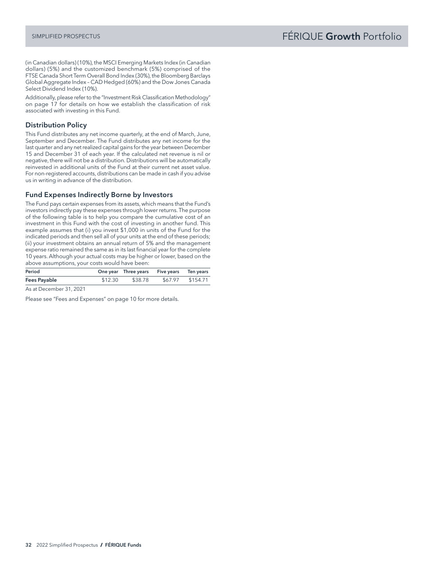(in Canadian dollars) (10%), the MSCI Emerging Markets Index (in Canadian dollars) (5%) and the customized benchmark (5%) comprised of the FTSE Canada Short Term Overall Bond Index (30%), the Bloomberg Barclays Global Aggregate Index – CAD Hedged (60%) and the Dow Jones Canada Select Dividend Index (10%).

Additionally, please refer to the "Investment Risk Classification Methodology" on page 17 for details on how we establish the classification of risk associated with investing in this Fund.

# Distribution Policy

This Fund distributes any net income quarterly, at the end of March, June, September and December. The Fund distributes any net income for the last quarter and any net realized capital gains for the year between December 15 and December 31 of each year. If the calculated net revenue is nil or negative, there will not be a distribution. Distributions will be automatically reinvested in additional units of the Fund at their current net asset value. For non-registered accounts, distributions can be made in cash if you advise us in writing in advance of the distribution.

## Fund Expenses Indirectly Borne by Investors

The Fund pays certain expenses from its assets, which means that the Fund's investors indirectly pay these expenses through lower returns. The purpose of the following table is to help you compare the cumulative cost of an investment in this Fund with the cost of investing in another fund. This example assumes that (i) you invest \$1,000 in units of the Fund for the indicated periods and then sell all of your units at the end of these periods; (ii) your investment obtains an annual return of 5% and the management expense ratio remained the same as in its last financial year for the complete 10 years. Although your actual costs may be higher or lower, based on the above assumptions, your costs would have been:

| Period       |  |         |         | One year Three years Five years Ten years |                  |
|--------------|--|---------|---------|-------------------------------------------|------------------|
| Fees Payable |  |         | \$12.30 | \$38.78                                   | \$67.97 \$154.71 |
| $\sim$       |  | 21.0001 |         |                                           |                  |

As at December 31, 2021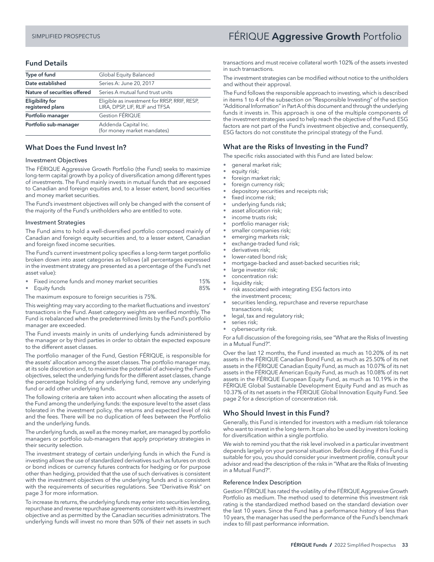#### Fund Details

| Type of fund                               | Global Equity Balanced                                                         |  |
|--------------------------------------------|--------------------------------------------------------------------------------|--|
| Date established                           | Series A: June 20, 2017                                                        |  |
| Nature of securities offered               | Series A mutual fund trust units                                               |  |
| <b>Eligibility for</b><br>registered plans | Eligible as investment for RRSP, RRIF, RESP,<br>LIRA, DPSP, LIF, RLIF and TFSA |  |
| Portfolio manager                          | Gestion FÉRIQUE                                                                |  |
| Portfolio sub-manager                      | Addenda Capital Inc.<br>(for money market mandates)                            |  |

#### What Does the Fund Invest In?

#### Investment Objectives

The FÉRIQUE Aggressive Growth Portfolio (the Fund) seeks to maximize long-term capital growth by a policy of diversification among different types of investments. The Fund mainly invests in mutual funds that are exposed to Canadian and foreign equities and, to a lesser extent, bond securities and money market securities.

The Fund's investment objectives will only be changed with the consent of the majority of the Fund's unitholders who are entitled to vote.

#### Investment Strategies

The Fund aims to hold a well-diversified portfolio composed mainly of Canadian and foreign equity securities and, to a lesser extent, Canadian and foreign fixed income securities.

The Fund's current investment policy specifies a long-term target portfolio broken down into asset categories as follows (all percentages expressed in the investment strategy are presented as a percentage of the Fund's net asset value):

- Fixed income funds and money market securities 15%
- Equity funds 85%

The maximum exposure to foreign securities is 75%.

This weighting may vary according to the market fluctuations and investors' transactions in the Fund. Asset category weights are verified monthly. The Fund is rebalanced when the predetermined limits by the Fund's portfolio manager are exceeded.

The Fund invests mainly in units of underlying funds administered by the manager or by third parties in order to obtain the expected exposure to the different asset classes.

The portfolio manager of the Fund, Gestion FÉRIQUE, is responsible for the assets' allocation among the asset classes. The portfolio manager may, at its sole discretion and, to maximize the potential of achieving the Fund's objectives, select the underlying funds for the different asset classes, change the percentage holding of any underlying fund, remove any underlying fund or add other underlying funds.

The following criteria are taken into account when allocating the assets of the Fund among the underlying funds: the exposure level to the asset class tolerated in the investment policy, the returns and expected level of risk and the fees. There will be no duplication of fees between the Portfolio and the underlying funds.

The underlying funds, as well as the money market, are managed by portfolio managers or portfolio sub-managers that apply proprietary strategies in their security selection.

The investment strategy of certain underlying funds in which the Fund is investing allows the use of standardized derivatives such as futures on stock or bond indices or currency futures contracts for hedging or for purpose other than hedging, provided that the use of such derivatives is consistent with the investment objectives of the underlying funds and is consistent with the requirements of securities regulations. See "Derivative Risk" on page 3 for more information.

To increase its returns, the underlying funds may enter into securities lending, repurchase and reverse repurchase agreements consistent with its investment objective and as permitted by the Canadian securities administrators. The underlying funds will invest no more than 50% of their net assets in such

# <span id="page-34-0"></span>SIMPLIFIED PROSPECTUS **FÉRIQUE Aggressive Growth** Portfolio

transactions and must receive collateral worth 102% of the assets invested in such transactions.

The investment strategies can be modified without notice to the unitholders and without their approval.

The Fund follows the responsible approach to investing, which is described in items 1 to 4 of the subsection on "Responsible Investing" of the section "Additional Information" in Part A of this document and through the underlying funds it invests in. This approach is one of the multiple components of the investment strategies used to help reach the objective of the Fund. ESG factors are not part of the Fund's investment objective and, consequently, ESG factors do not constitute the principal strategy of the Fund.

## What are the Risks of Investing in the Fund?

The specific risks associated with this Fund are listed below:

- general market risk;
- equity risk;
- foreign market risk;
- foreign currency risk;
- depository securities and receipts risk;
- fixed income risk;
- underlying funds risk;
- asset allocation risk;
- income trusts risk;
- portfolio manager risk;
- smaller companies risk;
- emerging markets risk; exchange-traded fund risk;
- derivatives risk;
- lower-rated bond risk;
- mortgage-backed and asset-backed securities risk;
- large investor risk;
- concentration risk:
- liquidity risk;
- risk associated with integrating ESG factors into the investment process;
- securities lending, repurchase and reverse repurchase transactions risk;
- legal, tax and regulatory risk;
- series risk;
- cybersecurity risk.

For a full discussion of the foregoing risks, see "What are the Risks of Investing in a Mutual Fund?".

Over the last 12 months, the Fund invested as much as 10.20% of its net assets in the FÉRIQUE Canadian Bond Fund, as much as 25.50% of its net assets in the FÉRIQUE Canadian Equity Fund, as much as 10.07% of its net assets in the FÉRIQUE American Equity Fund, as much as 10.08% of its net assets in the FÉRIQUE European Equity Fund, as much as 10.19% in the FÉRIQUE Global Sustainable Development Equity Fund and as much as 10.37% of its net assets in the FÉRIQUE Global Innovation Equity Fund. See page 2 for a description of concentration risk.

#### Who Should Invest in this Fund?

Generally, this Fund is intended for investors with a medium risk tolerance who want to invest in the long-term. It can also be used by investors looking for diversification within a single portfolio.

We wish to remind you that the risk level involved in a particular investment depends largely on your personal situation. Before deciding if this Fund is suitable for you, you should consider your investment profile, consult your advisor and read the description of the risks in "What are the Risks of Investing in a Mutual Fund?".

#### Reference Index Description

Gestion FÉRIQUE has rated the volatility of the FÉRIQUE Aggressive Growth Portfolio as medium. The method used to determine this investment risk rating is the standardized method based on the standard deviation over the last 10 years. Since the Fund has a performance history of less than 10 years, the manager has used the performance of the Fund's benchmark index to fill past performance information.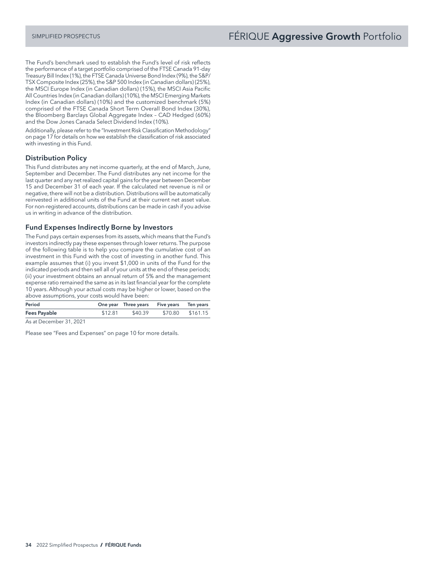The Fund's benchmark used to establish the Fund's level of risk reflects the performance of a target portfolio comprised of the FTSE Canada 91-day Treasury Bill Index (1%), the FTSE Canada Universe Bond Index (9%), the S&P/ TSX Composite Index (25%), the S&P 500 Index (in Canadian dollars) (25%), the MSCI Europe Index (in Canadian dollars) (15%), the MSCI Asia Pacific All Countries Index (in Canadian dollars) (10%), the MSCI Emerging Markets Index (in Canadian dollars) (10%) and the customized benchmark (5%) comprised of the FTSE Canada Short Term Overall Bond Index (30%), the Bloomberg Barclays Global Aggregate Index – CAD Hedged (60%) and the Dow Jones Canada Select Dividend Index (10%).

Additionally, please refer to the "Investment Risk Classification Methodology" on page 17 for details on how we establish the classification of risk associated with investing in this Fund.

# Distribution Policy

This Fund distributes any net income quarterly, at the end of March, June, September and December. The Fund distributes any net income for the last quarter and any net realized capital gains for the year between December 15 and December 31 of each year. If the calculated net revenue is nil or negative, there will not be a distribution. Distributions will be automatically reinvested in additional units of the Fund at their current net asset value. For non-registered accounts, distributions can be made in cash if you advise us in writing in advance of the distribution.

#### Fund Expenses Indirectly Borne by Investors

The Fund pays certain expenses from its assets, which means that the Fund's investors indirectly pay these expenses through lower returns. The purpose of the following table is to help you compare the cumulative cost of an investment in this Fund with the cost of investing in another fund. This example assumes that (i) you invest \$1,000 in units of the Fund for the indicated periods and then sell all of your units at the end of these periods; (ii) your investment obtains an annual return of 5% and the management expense ratio remained the same as in its last financial year for the complete 10 years. Although your actual costs may be higher or lower, based on the above assumptions, your costs would have been:

| Period       |         | One year Three years Five years Ten years |                  |
|--------------|---------|-------------------------------------------|------------------|
| Fees Payable | \$12.81 | \$40.39                                   | \$70.80 \$161.15 |

As at December 31, 2021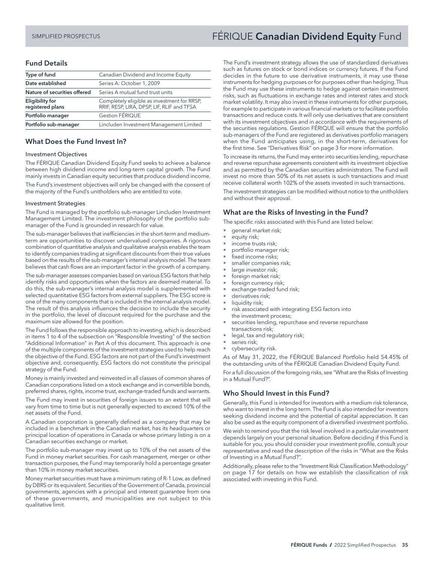# Fund Details

| Type of fund                               | Canadian Dividend and Income Equity                                                       |
|--------------------------------------------|-------------------------------------------------------------------------------------------|
| Date established                           | Series A: October 1, 2009                                                                 |
| Nature of securities offered               | Series A mutual fund trust units                                                          |
| <b>Eligibility for</b><br>registered plans | Completely eligible as investment for RRSP,<br>RRIF, RESP, LIRA, DPSP, LIF, RLIF and TFSA |
| Portfolio manager                          | Gestion FÉRIQUE                                                                           |
| Portfolio sub-manager                      | Lincluden Investment Management Limited                                                   |

#### What Does the Fund Invest In?

#### Investment Objectives

The FÉRIQUE Canadian Dividend Equity Fund seeks to achieve a balance between high dividend income and long-term capital growth. The Fund mainly invests in Canadian equity securities that produce dividend income.

The Fund's investment objectives will only be changed with the consent of the majority of the Fund's unitholders who are entitled to vote.

#### Investment Strategies

The Fund is managed by the portfolio sub-manager Lincluden Investment Management Limited. The investment philosophy of the portfolio submanager of the Fund is grounded in research for value.

The sub-manager believes that inefficiencies in the short-term and mediumterm are opportunities to discover undervalued companies. A rigorous combination of quantitative analysis and qualitative analysis enables the team to identify companies trading at significant discounts from their true values based on the results of the sub-manager's internal analysis model. The team believes that cash flows are an important factor in the growth of a company.

The sub-manager assesses companies based on various ESG factors that help identify risks and opportunities when the factors are deemed material. To do this, the sub-manager's internal analysis model is supplemented with selected quantitative ESG factors from external suppliers. The ESG score is one of the many components that is included in the internal analysis model. The result of this analysis influences the decision to include the security in the portfolio, the level of discount required for the purchase and the maximum size allowed for the position.

The Fund follows the responsible approach to investing, which is described in items 1 to 4 of the subsection on "Responsible Investing" of the section "Additional Information" in Part A of this document. This approach is one of the multiple components of the investment strategies used to help reach the objective of the Fund. ESG factors are not part of the Fund's investment objective and, consequently, ESG factors do not constitute the principal strategy of the Fund.

Money is mainly invested and reinvested in all classes of common shares of Canadian corporations listed on a stock exchange and in convertible bonds, preferred shares, rights, income trust, exchange-traded funds and warrants.

The Fund may invest in securities of foreign issuers to an extent that will vary from time to time but is not generally expected to exceed 10% of the net assets of the Fund.

A Canadian corporation is generally defined as a company that may be included in a benchmark in the Canadian market, has its headquarters or principal location of operations in Canada or whose primary listing is on a Canadian securities exchange or market.

The portfolio sub-manager may invest up to 10% of the net assets of the Fund in money market securities. For cash management, merger or other transaction purposes, the Fund may temporarily hold a percentage greater than 10% in money market securities.

Money market securities must have a minimum rating of R-1 Low, as defined by DBRS or its equivalent. Securities of the Government of Canada, provincial governments, agencies with a principal and interest guarantee from one of these governments, and municipalities are not subject to this qualitative limit.

# <span id="page-36-0"></span>SIMPLIFIED PROSPECTUS **FÉRIQUE Canadian Dividend Equity** Fund

The Fund's investment strategy allows the use of standardized derivatives such as futures on stock or bond indices or currency futures. If the Fund decides in the future to use derivative instruments, it may use these instruments for hedging purposes or for purposes other than hedging. Thus the Fund may use these instruments to hedge against certain investment risks, such as fluctuations in exchange rates and interest rates and stock market volatility. It may also invest in these instruments for other purposes, for example to participate in various financial markets or to facilitate portfolio transactions and reduce costs. It will only use derivatives that are consistent with its investment objectives and in accordance with the requirements of the securities regulations. Gestion FÉRIQUE will ensure that the portfolio sub-managers of the Fund are registered as derivatives portfolio managers when the Fund anticipates using, in the short-term, derivatives for the first time. See "Derivatives Risk" on page 3 for more information.

To increase its returns, the Fund may enter into securities lending, repurchase and reverse repurchase agreements consistent with its investment objective and as permitted by the Canadian securities administrators. The Fund will invest no more than 50% of its net assets is such transactions and must receive collateral worth 102% of the assets invested in such transactions.

The investment strategies can be modified without notice to the unitholders and without their approval.

# What are the Risks of Investing in the Fund?

The specific risks associated with this Fund are listed below:

- general market risk;
- equity risk;
- income trusts risk;
- portfolio manager risk;
- fixed income risks;
- smaller companies risk;
- large investor risk;
- foreign market risk; foreign currency risk;
- exchange-traded fund risk;
- derivatives risk;
- liquidity risk;
- risk associated with integrating ESG factors into the investment process;
- securities lending, repurchase and reverse repurchase transactions risk;
- legal, tax and regulatory risk;
- series risk;
- cybersecurity risk.

As of May 31, 2022, the FÉRIQUE Balanced Portfolio held 54.45% of the outstanding units of the FÉRIQUE Canadian Dividend Equity Fund.

For a full discussion of the foregoing risks, see "What are the Risks of Investing in a Mutual Fund?".

#### Who Should Invest in this Fund?

Generally, this Fund is intended for investors with a medium risk tolerance, who want to invest in the long-term. The Fund is also intended for investors seeking dividend income and the potential of capital appreciation. It can also be used as the equity component of a diversified investment portfolio.

We wish to remind you that the risk level involved in a particular investment depends largely on your personal situation. Before deciding if this Fund is suitable for you, you should consider your investment profile, consult your representative and read the description of the risks in "What are the Risks of Investing in a Mutual Fund?".

Additionally, please refer to the "Investment Risk Classification Methodology" on page 17 for details on how we establish the classification of risk associated with investing in this Fund.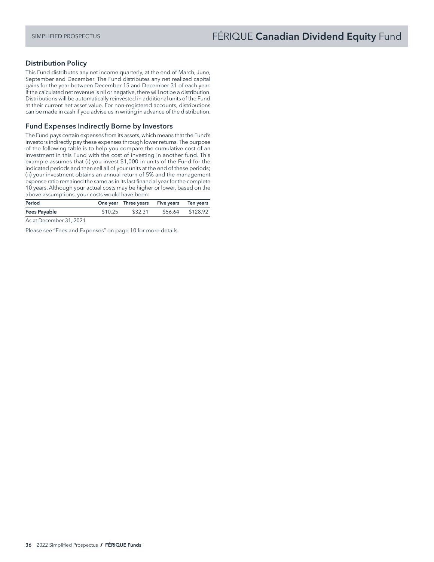### Distribution Policy

This Fund distributes any net income quarterly, at the end of March, June, September and December. The Fund distributes any net realized capital gains for the year between December 15 and December 31 of each year. If the calculated net revenue is nil or negative, there will not be a distribution. Distributions will be automatically reinvested in additional units of the Fund at their current net asset value. For non-registered accounts, distributions can be made in cash if you advise us in writing in advance of the distribution.

#### Fund Expenses Indirectly Borne by Investors

The Fund pays certain expenses from its assets, which means that the Fund's investors indirectly pay these expenses through lower returns. The purpose of the following table is to help you compare the cumulative cost of an investment in this Fund with the cost of investing in another fund. This example assumes that (i) you invest \$1,000 in units of the Fund for the indicated periods and then sell all of your units at the end of these periods; (ii) your investment obtains an annual return of 5% and the management expense ratio remained the same as in its last financial year for the complete 10 years. Although your actual costs may be higher or lower, based on the above assumptions, your costs would have been:

| Period       | One year Three years Five years Ten years |                  |  |
|--------------|-------------------------------------------|------------------|--|
| Fees Payable | \$10.25 \$32.31                           | \$56.64 \$128.92 |  |
|              |                                           |                  |  |

As at December 31, 2021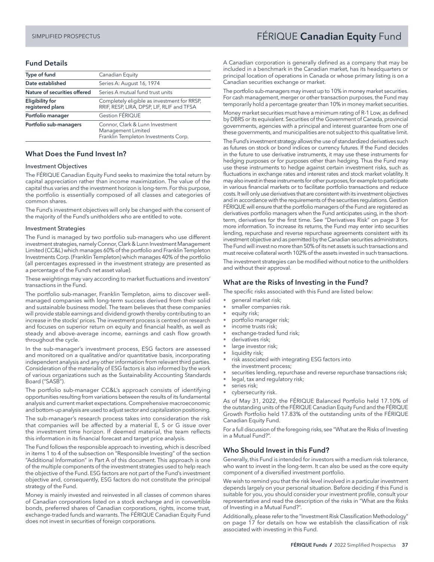# <span id="page-38-0"></span>SIMPLIFIED PROSPECTUS FERIQUE Canadian Equity Fund

# Fund Details

| Type of fund                               | Canadian Equity                                                                               |  |  |
|--------------------------------------------|-----------------------------------------------------------------------------------------------|--|--|
| Date established                           | Series A: August 16, 1974                                                                     |  |  |
| Nature of securities offered               | Series A mutual fund trust units                                                              |  |  |
| <b>Eligibility for</b><br>registered plans | Completely eligible as investment for RRSP,<br>RRIF, RESP, LIRA, DPSP, LIF, RLIF and TFSA     |  |  |
| Portfolio manager                          | Gestion FÉRIQUE                                                                               |  |  |
| Portfolio sub-managers                     | Connor, Clark & Lunn Investment<br>Management Limited<br>Franklin Templeton Investments Corp. |  |  |

#### What Does the Fund Invest In?

#### Investment Objectives

The FÉRIQUE Canadian Equity Fund seeks to maximize the total return by capital appreciation rather than income maximization. The value of the capital thus varies and the investment horizon is long-term. For this purpose, the portfolio is essentially composed of all classes and categories of common shares.

The Fund's investment objectives will only be changed with the consent of the majority of the Fund's unitholders who are entitled to vote.

#### Investment Strategies

The Fund is managed by two portfolio sub-managers who use different investment strategies, namely Connor, Clark & Lunn Investment Management Limited (CC&L) which manages 60% of the portfolio and Franklin Templeton Investments Corp. (Franklin Templeton) which manages 40% of the portfolio (all percentages expressed in the investment strategy are presented as a percentage of the Fund's net asset value).

These weightings may vary according to market fluctuations and investors' transactions in the Fund.

The portfolio sub-manager, Franklin Templeton, aims to discover wellmanaged companies with long-term success derived from their solid and sustainable business model. The team believes that these companies will provide stable earnings and dividend growth thereby contributing to an increase in the stocks' prices. The investment process is centred on research and focuses on superior return on equity and financial health, as well as steady and above-average income, earnings and cash flow growth throughout the cycle.

In the sub-manager's investment process, ESG factors are assessed and monitored on a qualitative and/or quantitative basis, incorporating independent analysis and any other information from relevant third parties. Consideration of the materiality of ESG factors is also informed by the work of various organizations such as the Sustainability Accounting Standards Board ("SASB").

The portfolio sub-manager CC&L's approach consists of identifying opportunities resulting from variations between the results of its fundamental analysis and current market expectations. Comprehensive macroeconomic and bottom-up analysis are used to adjust sector and capitalization positioning.

The sub-manager's research process takes into consideration the risk that companies will be affected by a material E, S or G issue over the investment time horizon. If deemed material, the team reflects this information in its financial forecast and target price analysis.

The Fund follows the responsible approach to investing, which is described in items 1 to 4 of the subsection on "Responsible Investing" of the section "Additional Information" in Part A of this document. This approach is one of the multiple components of the investment strategies used to help reach the objective of the Fund. ESG factors are not part of the Fund's investment objective and, consequently, ESG factors do not constitute the principal strategy of the Fund.

Money is mainly invested and reinvested in all classes of common shares of Canadian corporations listed on a stock exchange and in convertible bonds, preferred shares of Canadian corporations, rights, income trust, exchange-traded funds and warrants. The FÉRIQUE Canadian Equity Fund does not invest in securities of foreign corporations.

A Canadian corporation is generally defined as a company that may be included in a benchmark in the Canadian market, has its headquarters or principal location of operations in Canada or whose primary listing is on a Canadian securities exchange or market.

The portfolio sub-managers may invest up to 10% in money market securities. For cash management, merger or other transaction purposes, the Fund may temporarily hold a percentage greater than 10% in money market securities.

Money market securities must have a minimum rating of R-1 Low, as defined by DBRS or its equivalent. Securities of the Government of Canada, provincial governments, agencies with a principal and interest guarantee from one of these governments, and municipalities are not subject to this qualitative limit.

The Fund's investment strategy allows the use of standardized derivatives such as futures on stock or bond indices or currency futures. If the Fund decides in the future to use derivative instruments, it may use these instruments for hedging purposes or for purposes other than hedging. Thus the Fund may use these instruments to hedge against certain investment risks, such as fluctuations in exchange rates and interest rates and stock market volatility. It may also invest in these instruments for other purposes, for example to participate in various financial markets or to facilitate portfolio transactions and reduce costs. It will only use derivatives that are consistent with its investment objectives and in accordance with the requirements of the securities regulations. Gestion FÉRIQUE will ensure that the portfolio managers of the Fund are registered as derivatives portfolio managers when the Fund anticipates using, in the shortterm, derivatives for the first time. See "Derivatives Risk" on page 3 for more information. To increase its returns, the Fund may enter into securities lending, repurchase and reverse repurchase agreements consistent with its investment objective and as permitted by the Canadian securities administrators. The Fund will invest no more than 50% of its net assets is such transactions and must receive collateral worth 102% of the assets invested in such transactions.

The investment strategies can be modified without notice to the unitholders and without their approval.

#### What are the Risks of Investing in the Fund?

The specific risks associated with this Fund are listed below:

- general market risk;
- smaller companies risk.
- equity risk;
- portfolio manager risk;
- income trusts risk;
- exchange-traded fund risk;
- derivatives risk;
- large investor risk;
- liquidity risk;
- risk associated with integrating ESG factors into the investment process;
- securities lending, repurchase and reverse repurchase transactions risk;
- legal, tax and regulatory risk;
- series risk;
- cybersecurity risk.

As of May 31, 2022, the FÉRIQUE Balanced Portfolio held 17.10% of the outstanding units of the FÉRIQUE Canadian Equity Fund and the FÉRIQUE Growth Portfolio held 17.83% of the outstanding units of the FÉRIQUE Canadian Equity Fund.

For a full discussion of the foregoing risks, see "What are the Risks of Investing in a Mutual Fund?".

## Who Should Invest in this Fund?

Generally, this Fund is intended for investors with a medium risk tolerance, who want to invest in the long-term. It can also be used as the core equity component of a diversified investment portfolio.

We wish to remind you that the risk level involved in a particular investment depends largely on your personal situation. Before deciding if this Fund is suitable for you, you should consider your investment profile, consult your representative and read the description of the risks in "What are the Risks of Investing in a Mutual Fund?".

Additionally, please refer to the "Investment Risk Classification Methodology" on page 17 for details on how we establish the classification of risk associated with investing in this Fund.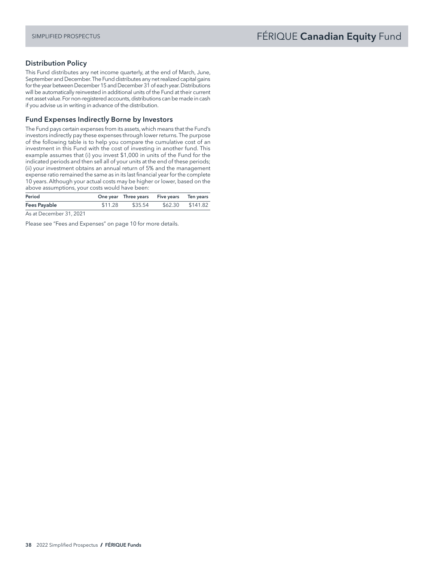# Distribution Policy

This Fund distributes any net income quarterly, at the end of March, June, September and December. The Fund distributes any net realized capital gains for the year between December 15 and December 31 of each year. Distributions will be automatically reinvested in additional units of the Fund at their current net asset value. For non-registered accounts, distributions can be made in cash if you advise us in writing in advance of the distribution.

#### Fund Expenses Indirectly Borne by Investors

The Fund pays certain expenses from its assets, which means that the Fund's investors indirectly pay these expenses through lower returns. The purpose of the following table is to help you compare the cumulative cost of an investment in this Fund with the cost of investing in another fund. This example assumes that (i) you invest \$1,000 in units of the Fund for the indicated periods and then sell all of your units at the end of these periods; (ii) your investment obtains an annual return of 5% and the management expense ratio remained the same as in its last financial year for the complete 10 years. Although your actual costs may be higher or lower, based on the above assumptions, your costs would have been:

| Period              |         | One year Three years Five years Ten years |                  |
|---------------------|---------|-------------------------------------------|------------------|
| <b>Fees Payable</b> | \$11.28 | \$35.54                                   | \$62.30 \$141.82 |

As at December 31, 2021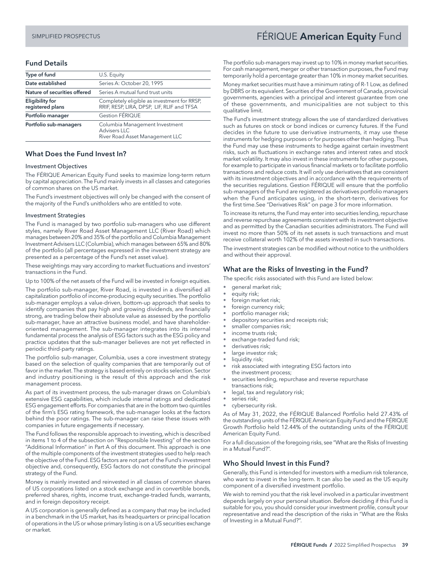# <span id="page-40-0"></span>SIMPLIFIED PROSPECTUS **FÉRIQUE American Equity** Fund

#### Fund Details

| Type of fund                               | U.S. Equity                                                                               |  |  |
|--------------------------------------------|-------------------------------------------------------------------------------------------|--|--|
| Date established                           | Series A: October 20, 1995                                                                |  |  |
| Nature of securities offered               | Series A mutual fund trust units                                                          |  |  |
| <b>Eligibility for</b><br>registered plans | Completely eligible as investment for RRSP,<br>RRIF, RESP, LIRA, DPSP, LIF, RLIF and TFSA |  |  |
| Portfolio manager                          | Gestion FÉRIQUE                                                                           |  |  |
| Portfolio sub-managers                     | Columbia Management Investment<br><b>Advisers LLC</b><br>River Road Asset Management LLC  |  |  |

#### What Does the Fund Invest In?

#### Investment Objectives

The FÉRIQUE American Equity Fund seeks to maximize long-term return by capital appreciation. The Fund mainly invests in all classes and categories of common shares on the US market.

The Fund's investment objectives will only be changed with the consent of the majority of the Fund's unitholders who are entitled to vote.

#### Investment Strategies

The Fund is managed by two portfolio sub-managers who use different styles, namely River Road Asset Management LLC (River Road) which manages between 20% and 35% of the portfolio and Columbia Management Investment Advisers LLC (Columbia), which manages between 65% and 80% of the portfolio (all percentages expressed in the investment strategy are presented as a percentage of the Fund's net asset value).

These weightings may vary according to market fluctuations and investors' transactions in the Fund.

Up to 100% of the net assets of the Fund will be invested in foreign equities.

The portfolio sub-manager, River Road, is invested in a diversified all capitalization portfolio of income-producing equity securities. The portfolio sub-manager employs a value-driven, bottom-up approach that seeks to identify companies that pay high and growing dividends, are financially strong, are trading below their absolute value as assessed by the portfolio sub-manager, have an attractive business model, and have shareholderoriented management. The sub-manager integrates into its internal fundamental process the analysis of ESG factors such as the ESG policy and practice updates that the sub-manager believes are not yet reflected in periodic third-party ratings.

The portfolio sub-manager, Columbia, uses a core investment strategy based on the selection of quality companies that are temporarily out of favor in the market. The strategy is based entirely on stocks selection. Sector and industry positioning is the result of this approach and the risk management process.

As part of its investment process, the sub-manager draws on Columbia's extensive ESG capabilities, which include internal ratings and dedicated ESG engagement efforts. For companies that are in the bottom two quintiles of the firm's ESG rating framework, the sub-manager looks at the factors behind the poor ratings. The sub-manager can raise these issues with companies in future engagements if necessary.

The Fund follows the responsible approach to investing, which is described in items 1 to 4 of the subsection on "Responsible Investing" of the section "Additional Information" in Part A of this document. This approach is one of the multiple components of the investment strategies used to help reach the objective of the Fund. ESG factors are not part of the Fund's investment objective and, consequently, ESG factors do not constitute the principal strategy of the Fund.

Money is mainly invested and reinvested in all classes of common shares of US corporations listed on a stock exchange and in convertible bonds, preferred shares, rights, income trust, exchange-traded funds, warrants, and in foreign depository receipt.

A US corporation is generally defined as a company that may be included in a benchmark in the US market, has its headquarters or principal location of operations in the US or whose primary listing is on a US securities exchange or market.

The portfolio sub-managers may invest up to 10% in money market securities. For cash management, merger or other transaction purposes, the Fund may temporarily hold a percentage greater than 10% in money market securities.

Money market securities must have a minimum rating of R-1 Low, as defined by DBRS or its equivalent. Securities of the Government of Canada, provincial governments, agencies with a principal and interest guarantee from one of these governments, and municipalities are not subject to this qualitative limit.

The Fund's investment strategy allows the use of standardized derivatives such as futures on stock or bond indices or currency futures. If the Fund decides in the future to use derivative instruments, it may use these instruments for hedging purposes or for purposes other than hedging. Thus the Fund may use these instruments to hedge against certain investment risks, such as fluctuations in exchange rates and interest rates and stock market volatility. It may also invest in these instruments for other purposes, for example to participate in various financial markets or to facilitate portfolio transactions and reduce costs. It will only use derivatives that are consistent with its investment objectives and in accordance with the requirements of the securities regulations. Gestion FÉRIQUE will ensure that the portfolio sub-managers of the Fund are registered as derivatives portfolio managers when the Fund anticipates using, in the short-term, derivatives for the first time.See "Derivatives Risk" on page 3 for more information.

To increase its returns, the Fund may enter into securities lending, repurchase and reverse repurchase agreements consistent with its investment objective and as permitted by the Canadian securities administrators. The Fund will invest no more than 50% of its net assets is such transactions and must receive collateral worth 102% of the assets invested in such transactions.

The investment strategies can be modified without notice to the unitholders and without their approval.

#### What are the Risks of Investing in the Fund?

- The specific risks associated with this Fund are listed below:
- general market risk;
- equity risk;
- foreign market risk;
- foreign currency risk; • portfolio manager risk;
- depository securities and receipts risk;
- smaller companies risk;
- income trusts risk;
- exchange-traded fund risk;
- derivatives risk;
- large investor risk;
- liquidity risk;
- risk associated with integrating ESG factors into the investment process;
- securities lending, repurchase and reverse repurchase transactions risk;
- legal, tax and regulatory risk;
- series risk;
- cybersecurity risk.

As of May 31, 2022, the FÉRIQUE Balanced Portfolio held 27.43% of the outstanding units of the FÉRIQUE American Equity Fund and the FÉRIQUE Growth Portfolio held 12.44% of the outstanding units of the FÉRIQUE American Equity Fund.

For a full discussion of the foregoing risks, see "What are the Risks of Investing in a Mutual Fund?".

## Who Should Invest in this Fund?

Generally, this Fund is intended for investors with a medium risk tolerance, who want to invest in the long-term. It can also be used as the US equity component of a diversified investment portfolio.

We wish to remind you that the risk level involved in a particular investment depends largely on your personal situation. Before deciding if this Fund is suitable for you, you should consider your investment profile, consult your representative and read the description of the risks in "What are the Risks of Investing in a Mutual Fund?".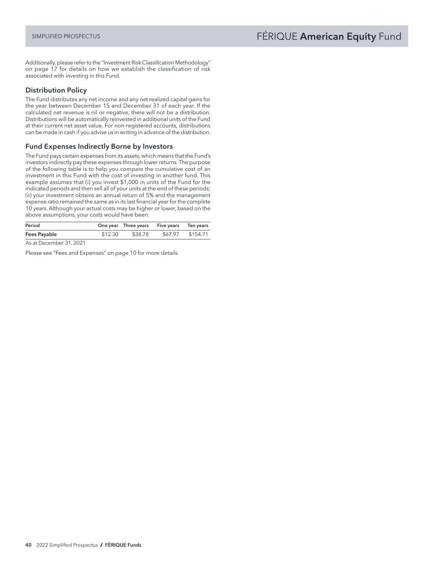Additionally, please refer to the "Investment Risk Classification Methodology" on page 17 for details on how we establish the classification of risk associated with investing in this Fund.

# Distribution Policy

The Fund distributes any net income and any net realized capital gains for the year between December 15 and December 31 of each year. If the calculated net revenue is nil or negative, there will not be a distribution. Distributions will be automatically reinvested in additional units of the Fund at their current net asset value. For non-registered accounts, distributions can be made in cash if you advise us in writing in advance of the distribution.

# Fund Expenses Indirectly Borne by Investors

The Fund pays certain expenses from its assets, which means that the Fund's investors indirectly pay these expenses through lower returns. The purpose of the following table is to help you compare the cumulative cost of an investment in this Fund with the cost of investing in another fund. This example assumes that (i) you invest \$1,000 in units of the Fund for the indicated periods and then sell all of your units at the end of these periods; (ii) your investment obtains an annual return of 5% and the management expense ratio remained the same as in its last financial year for the complete 10 years. Although your actual costs may be higher or lower, based on the above assumptions, your costs would have been:

| Period              |        |  |         | One year Three years Five years Ten years |                  |
|---------------------|--------|--|---------|-------------------------------------------|------------------|
| <b>Fees Payable</b> |        |  | \$12.30 | \$38.78                                   | \$67.97 \$154.71 |
|                     | $\sim$ |  |         |                                           |                  |

As at December 31, 2021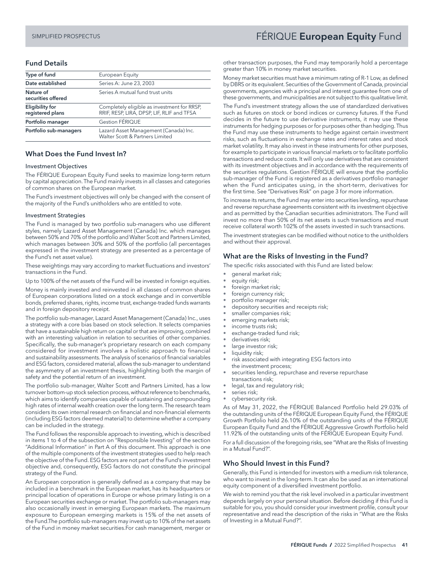# <span id="page-42-0"></span>SIMPLIFIED PROSPECTUS **FÉRIQUE European Equity** Fund

#### Fund Details

| Type of fund                               | European Equity                                                                           |
|--------------------------------------------|-------------------------------------------------------------------------------------------|
| Date established                           | Series A: June 23, 2003                                                                   |
| Nature of<br>securities offered            | Series A mutual fund trust units                                                          |
| <b>Eligibility for</b><br>registered plans | Completely eligible as investment for RRSP,<br>RRIF, RESP, LIRA, DPSP, LIF, RLIF and TFSA |
| Portfolio manager                          | Gestion FÉRIQUE                                                                           |
| Portfolio sub-managers                     | Lazard Asset Management (Canada) Inc.<br>Walter Scott & Partners Limited                  |

#### What Does the Fund Invest In?

#### Investment Objectives

The FÉRIQUE European Equity Fund seeks to maximize long-term return by capital appreciation. The Fund mainly invests in all classes and categories of common shares on the European market.

The Fund's investment objectives will only be changed with the consent of the majority of the Fund's unitholders who are entitled to vote.

#### Investment Strategies

The Fund is managed by two portfolio sub-managers who use different styles, namely Lazard Asset Management (Canada) Inc. which manages between 50% and 70% of the portfolio and Walter Scott and Partners Limited, which manages between 30% and 50% of the portfolio (all percentages expressed in the investment strategy are presented as a percentage of the Fund's net asset value).

These weightings may vary according to market fluctuations and investors' transactions in the Fund.

Up to 100% of the net assets of the Fund will be invested in foreign equities.

Money is mainly invested and reinvested in all classes of common shares of European corporations listed on a stock exchange and in convertible bonds, preferred shares, rights, income trust, exchange-traded funds warrants and in foreign depository receipt.

The portfolio sub-manager, Lazard Asset Management (Canada) Inc., uses a strategy with a core bias based on stock selection. It selects companies that have a sustainable high return on capital or that are improving, combined with an interesting valuation in relation to securities of other companies. Specifically, the sub-manager's proprietary research on each company considered for investment involves a holistic approach to financial and sustainability assessments. The analysis of scenarios of financial variables and ESG factors, considered material, allows the sub-manager to understand the asymmetry of an investment thesis, highlighting both the margin of safety and the potential return of an investment.

The portfolio sub-manager, Walter Scott and Partners Limited, has a low turnover bottom-up stock selection process, without reference to benchmarks, which aims to identify companies capable of sustaining and compounding high rates of internal wealth creation over the long term. The research team considers its own internal research on financial and non-financial elements (including ESG factors deemed material) to determine whether a company can be included in the strategy.

The Fund follows the responsible approach to investing, which is described in items 1 to 4 of the subsection on "Responsible Investing" of the section "Additional Information" in Part A of this document. This approach is one of the multiple components of the investment strategies used to help reach the objective of the Fund. ESG factors are not part of the Fund's investment objective and, consequently, ESG factors do not constitute the principal strategy of the Fund.

An European corporation is generally defined as a company that may be included in a benchmark in the European market, has its headquarters or principal location of operations in Europe or whose primary listing is on a European securities exchange or market. The portfolio sub-managers may also occasionally invest in emerging European markets. The maximum exposure to European emerging markets is 15% of the net assets of the Fund.The portfolio sub-managers may invest up to 10% of the net assets of the Fund in money market securities.For cash management, merger or

other transaction purposes, the Fund may temporarily hold a percentage greater than 10% in money market securities.

Money market securities must have a minimum rating of R-1 Low, as defined by DBRS or its equivalent. Securities of the Government of Canada, provincial governments, agencies with a principal and interest guarantee from one of these governments, and municipalities are not subject to this qualitative limit.

The Fund's investment strategy allows the use of standardized derivatives such as futures on stock or bond indices or currency futures. If the Fund decides in the future to use derivative instruments, it may use these instruments for hedging purposes or for purposes other than hedging. Thus the Fund may use these instruments to hedge against certain investment risks, such as fluctuations in exchange rates and interest rates and stock market volatility. It may also invest in these instruments for other purposes, for example to participate in various financial markets or to facilitate portfolio transactions and reduce costs. It will only use derivatives that are consistent with its investment objectives and in accordance with the requirements of the securities regulations. Gestion FÉRIQUE will ensure that the portfolio sub-manager of the Fund is registered as a derivatives portfolio manager when the Fund anticipates using, in the short-term, derivatives for the first time. See "Derivatives Risk" on page 3 for more information.

To increase its returns, the Fund may enter into securities lending, repurchase and reverse repurchase agreements consistent with its investment objective and as permitted by the Canadian securities administrators. The Fund will invest no more than 50% of its net assets is such transactions and must receive collateral worth 102% of the assets invested in such transactions.

The investment strategies can be modified without notice to the unitholders and without their approval.

#### What are the Risks of Investing in the Fund?

The specific risks associated with this Fund are listed below:

- general market risk;
- equity risk;
- foreign market risk;
- foreign currency risk;
- portfolio manager risk;
- depository securities and receipts risk; smaller companies risk;
- emerging markets risk;
- income trusts risk;
- exchange-traded fund risk;
- derivatives risk:
- large investor risk;
- liquidity risk;
- risk associated with integrating ESG factors into the investment process;
- securities lending, repurchase and reverse repurchase
- transactions risk;
- legal, tax and regulatory risk;
- series risk;
- cybersecurity risk.

As of May 31, 2022, the FÉRIQUE Balanced Portfolio held 29.03% of the outstanding units of the FÉRIQUE European Equity Fund, the FÉRIQUE Growth Portfolio held 26.10% of the outstanding units of the FÉRIQUE European Equity Fund and the FÉRIQUE Aggressive Growth Portfolio held 11.92% of the outstanding units of the FÉRIQUE European Equity Fund.

For a full discussion of the foregoing risks, see "What are the Risks of Investing in a Mutual Fund?".

#### Who Should Invest in this Fund?

Generally, this Fund is intended for investors with a medium risk tolerance, who want to invest in the long-term. It can also be used as an international equity component of a diversified investment portfolio.

We wish to remind you that the risk level involved in a particular investment depends largely on your personal situation. Before deciding if this Fund is suitable for you, you should consider your investment profile, consult your representative and read the description of the risks in "What are the Risks of Investing in a Mutual Fund?".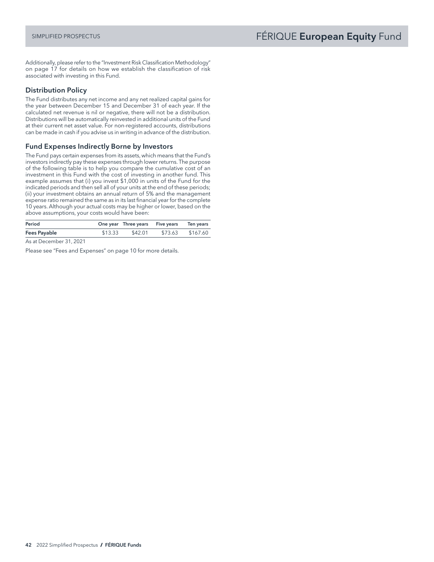Additionally, please refer to the "Investment Risk Classification Methodology" on page 17 for details on how we establish the classification of risk associated with investing in this Fund.

# Distribution Policy

The Fund distributes any net income and any net realized capital gains for the year between December 15 and December 31 of each year. If the calculated net revenue is nil or negative, there will not be a distribution. Distributions will be automatically reinvested in additional units of the Fund at their current net asset value. For non-registered accounts, distributions can be made in cash if you advise us in writing in advance of the distribution.

# Fund Expenses Indirectly Borne by Investors

The Fund pays certain expenses from its assets, which means that the Fund's investors indirectly pay these expenses through lower returns. The purpose of the following table is to help you compare the cumulative cost of an investment in this Fund with the cost of investing in another fund. This example assumes that (i) you invest \$1,000 in units of the Fund for the indicated periods and then sell all of your units at the end of these periods; (ii) your investment obtains an annual return of 5% and the management expense ratio remained the same as in its last financial year for the complete 10 years. Although your actual costs may be higher or lower, based on the above assumptions, your costs would have been:

| Period              |                                    |         |         | One year Three years Five years Ten years | \$73.63 \$167.60 |
|---------------------|------------------------------------|---------|---------|-------------------------------------------|------------------|
| <b>Fees Payable</b> |                                    | \$13.33 | \$42.01 |                                           |                  |
| $\sim$ $\sim$       | $\sim$ $\sim$ $\sim$ $\sim$ $\sim$ |         |         |                                           |                  |

As at December 31, 2021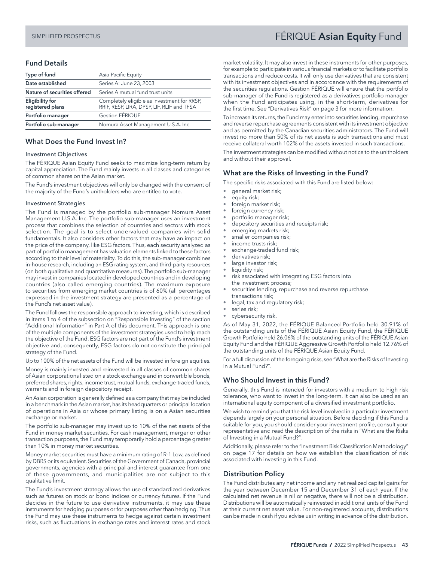# <span id="page-44-0"></span>SIMPLIFIED PROSPECTUS FERIQUE Asian Equity Fund

# Fund Details

| Type of fund                               | Asia-Pacific Equity                                                                       |
|--------------------------------------------|-------------------------------------------------------------------------------------------|
| Date established                           | Series A: June 23, 2003                                                                   |
| Nature of securities offered               | Series A mutual fund trust units                                                          |
| <b>Eligibility for</b><br>registered plans | Completely eligible as investment for RRSP,<br>RRIF, RESP, LIRA, DPSP, LIF, RLIF and TFSA |
| Portfolio manager                          | Gestion FÉRIQUE                                                                           |
| Portfolio sub-manager                      | Nomura Asset Management U.S.A. Inc.                                                       |

#### What Does the Fund Invest In?

#### Investment Objectives

The FÉRIQUE Asian Equity Fund seeks to maximize long-term return by capital appreciation. The Fund mainly invests in all classes and categories of common shares on the Asian market.

The Fund's investment objectives will only be changed with the consent of the majority of the Fund's unitholders who are entitled to vote.

#### Investment Strategies

The Fund is managed by the portfolio sub-manager Nomura Asset Management U.S.A. Inc. The portfolio sub-manager uses an investment process that combines the selection of countries and sectors with stock selection. The goal is to select undervalued companies with solid fundamentals. It also considers other factors that may have an impact on the price of the company, like ESG factors. Thus, each security analyzed as part of portfolio management has valuation elements linked to these factors according to their level of materiality. To do this, the sub-manager combines in-house research, including an ESG rating system, and third-party resources (on both qualitative and quantitative measures). The portfolio sub-manager may invest in companies located in developed countries and in developing countries (also called emerging countries). The maximum exposure to securities from emerging market countries is of 60% (all percentages expressed in the investment strategy are presented as a percentage of the Fund's net asset value).

The Fund follows the responsible approach to investing, which is described in items 1 to 4 of the subsection on "Responsible Investing" of the section "Additional Information" in Part A of this document. This approach is one of the multiple components of the investment strategies used to help reach the objective of the Fund. ESG factors are not part of the Fund's investment objective and, consequently, ESG factors do not constitute the principal strategy of the Fund.

Up to 100% of the net assets of the Fund will be invested in foreign equities.

Money is mainly invested and reinvested in all classes of common shares of Asian corporations listed on a stock exchange and in convertible bonds, preferred shares, rights, income trust, mutual funds, exchange-traded funds, warrants and in foreign depository receipt.

An Asian corporation is generally defined as a company that may be included in a benchmark in the Asian market, has its headquarters or principal location of operations in Asia or whose primary listing is on a Asian securities exchange or market.

The portfolio sub-manager may invest up to 10% of the net assets of the Fund in money market securities. For cash management, merger or other transaction purposes, the Fund may temporarily hold a percentage greater than 10% in money market securities.

Money market securities must have a minimum rating of R-1 Low, as defined by DBRS or its equivalent. Securities of the Government of Canada, provincial governments, agencies with a principal and interest guarantee from one of these governments, and municipalities are not subject to this qualitative limit.

The Fund's investment strategy allows the use of standardized derivatives such as futures on stock or bond indices or currency futures. If the Fund decides in the future to use derivative instruments, it may use these instruments for hedging purposes or for purposes other than hedging. Thus the Fund may use these instruments to hedge against certain investment risks, such as fluctuations in exchange rates and interest rates and stock market volatility. It may also invest in these instruments for other purposes, for example to participate in various financial markets or to facilitate portfolio transactions and reduce costs. It will only use derivatives that are consistent with its investment objectives and in accordance with the requirements of the securities regulations. Gestion FÉRIQUE will ensure that the portfolio sub-manager of the Fund is registered as a derivatives portfolio manager when the Fund anticipates using, in the short-term, derivatives for the first time. See "Derivatives Risk" on page 3 for more information.

To increase its returns, the Fund may enter into securities lending, repurchase and reverse repurchase agreements consistent with its investment objective and as permitted by the Canadian securities administrators. The Fund will invest no more than 50% of its net assets is such transactions and must receive collateral worth 102% of the assets invested in such transactions.

The investment strategies can be modified without notice to the unitholders and without their approval.

## What are the Risks of Investing in the Fund?

The specific risks associated with this Fund are listed below:

- general market risk;
- equity risk;
- foreign market risk;
- foreign currency risk;
- portfolio manager risk;
- depository securities and receipts risk;
- emerging markets risk;
- smaller companies risk;
- income trusts risk;
- exchange-traded fund risk;
- derivatives risk;
	- large investor risk;
	- liquidity risk;
	- risk associated with integrating ESG factors into the investment process;
	- securities lending, repurchase and reverse repurchase transactions risk;
	- legal, tax and regulatory risk;
	- series risk;
	- cybersecurity risk.

As of May 31, 2022, the FÉRIQUE Balanced Portfolio held 30.91% of the outstanding units of the FÉRIQUE Asian Equity Fund, the FÉRIQUE Growth Portfolio held 26.06% of the outstanding units of the FÉRIQUE Asian Equity Fund and the FÉRIQUE Aggressive Growth Portfolio held 12.76% of the outstanding units of the FÉRIQUE Asian Equity Fund.

For a full discussion of the foregoing risks, see "What are the Risks of Investing in a Mutual Fund?".

# Who Should Invest in this Fund?

Generally, this Fund is intended for investors with a medium to high risk tolerance, who want to invest in the long-term. It can also be used as an international equity component of a diversified investment portfolio.

We wish to remind you that the risk level involved in a particular investment depends largely on your personal situation. Before deciding if this Fund is suitable for you, you should consider your investment profile, consult your representative and read the description of the risks in "What are the Risks of Investing in a Mutual Fund?".

Additionally, please refer to the "Investment Risk Classification Methodology" on page 17 for details on how we establish the classification of risk associated with investing in this Fund.

## Distribution Policy

The Fund distributes any net income and any net realized capital gains for the year between December 15 and December 31 of each year. If the calculated net revenue is nil or negative, there will not be a distribution. Distributions will be automatically reinvested in additional units of the Fund at their current net asset value. For non-registered accounts, distributions can be made in cash if you advise us in writing in advance of the distribution.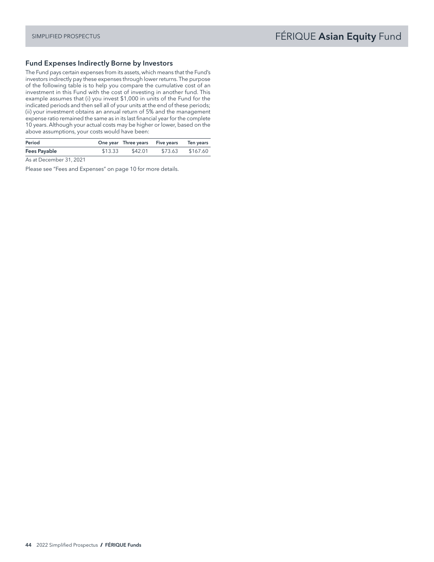# Fund Expenses Indirectly Borne by Investors

The Fund pays certain expenses from its assets, which means that the Fund's investors indirectly pay these expenses through lower returns. The purpose of the following table is to help you compare the cumulative cost of an investment in this Fund with the cost of investing in another fund. This example assumes that (i) you invest \$1,000 in units of the Fund for the indicated periods and then sell all of your units at the end of these periods; (ii) your investment obtains an annual return of 5% and the management expense ratio remained the same as in its last financial year for the complete 10 years. Although your actual costs may be higher or lower, based on the above assumptions, your costs would have been:

| Period       |         | One year Three years Five years | Ten years        |
|--------------|---------|---------------------------------|------------------|
| Fees Payable | \$13.33 | \$42.01                         | \$73.63 \$167.60 |

As at December 31, 2021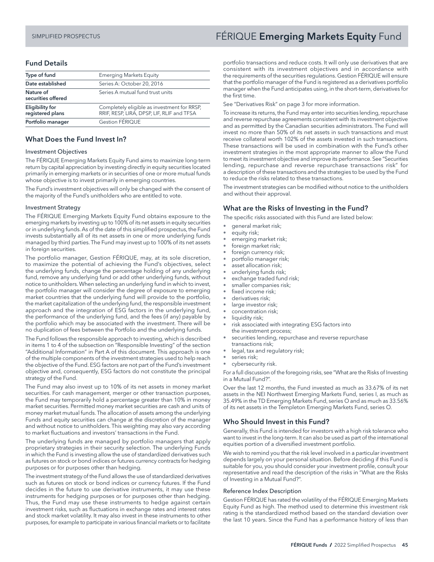# Fund Details

| Type of fund                               | <b>Emerging Markets Equity</b>                                                            |  |  |  |
|--------------------------------------------|-------------------------------------------------------------------------------------------|--|--|--|
| Date established                           | Series A: October 20, 2016                                                                |  |  |  |
| Nature of<br>securities offered            | Series A mutual fund trust units                                                          |  |  |  |
| <b>Eligibility for</b><br>registered plans | Completely eligible as investment for RRSP,<br>RRIF, RESP, LIRA, DPSP, LIF, RLIF and TFSA |  |  |  |
| Portfolio manager                          | Gestion FÉRIQUE                                                                           |  |  |  |
|                                            |                                                                                           |  |  |  |

#### What Does the Fund Invest In?

#### Investment Objectives

The FÉRIQUE Emerging Markets Equity Fund aims to maximize long-term return by capital appreciation by investing directly in equity securities located primarily in emerging markets or in securities of one or more mutual funds whose objective is to invest primarily in emerging countries.

The Fund's investment objectives will only be changed with the consent of the majority of the Fund's unitholders who are entitled to vote.

#### Investment Strategy

The FÉRIQUE Emerging Markets Equity Fund obtains exposure to the emerging markets by investing up to 100% of its net assets in equity securities or in underlying funds. As of the date of this simplified prospectus, the Fund invests substantially all of its net assets in one or more underlying funds managed by third parties. The Fund may invest up to 100% of its net assets in foreign securities.

The portfolio manager, Gestion FÉRIQUE, may, at its sole discretion, to maximize the potential of achieving the Fund's objectives, select the underlying funds, change the percentage holding of any underlying fund, remove any underlying fund or add other underlying funds, without notice to unitholders. When selecting an underlying fund in which to invest, the portfolio manager will consider the degree of exposure to emerging market countries that the underlying fund will provide to the portfolio, the market capitalization of the underlying fund, the responsible investment approach and the integration of ESG factors in the underlying fund, the performance of the underlying fund, and the fees (if any) payable by the portfolio which may be associated with the investment. There will be no duplication of fees between the Portfolio and the underlying funds.

The Fund follows the responsible approach to investing, which is described in items 1 to 4 of the subsection on "Responsible Investing" of the section "Additional Information" in Part A of this document. This approach is one of the multiple components of the investment strategies used to help reach the objective of the Fund. ESG factors are not part of the Fund's investment objective and, consequently, ESG factors do not constitute the principal strategy of the Fund.

The Fund may also invest up to 10% of its net assets in money market securities. For cash management, merger or other transaction purposes, the Fund may temporarily hold a percentage greater than 10% in money market securities. Permitted money market securities are cash and units of money market mutual funds. The allocation of assets among the underlying Funds and equity securities can change at the discretion of the manager and without notice to unitholders. This weighting may also vary according to market fluctuations and investors' transactions in the Fund.

The underlying funds are managed by portfolio managers that apply proprietary strategies in their security selection. The underlying Funds in which the Fund is investing allow the use of standardized derivatives such as futures on stock or bond indices or futures currency contracts for hedging purposes or for purposes other than hedging.

The investment strategy of the Fund allows the use of standardized derivatives such as futures on stock or bond indices or currency futures. If the Fund decides in the future to use derivative instruments, it may use these instruments for hedging purposes or for purposes other than hedging. Thus, the Fund may use these instruments to hedge against certain investment risks, such as fluctuations in exchange rates and interest rates and stock market volatility. It may also invest in these instruments to other purposes, for example to participate in various financial markets or to facilitate

# SIMPLIFIED PROSPECTUS **FÉRIQUE Emerging Markets Equity** Fund

portfolio transactions and reduce costs. It will only use derivatives that are consistent with its investment objectives and in accordance with the requirements of the securities regulations. Gestion FÉRIQUE will ensure that the portfolio manager of the Fund is registered as a derivatives portfolio manager when the Fund anticipates using, in the short-term, derivatives for the first time.

See "Derivatives Risk" on page 3 for more information.

To increase its returns, the Fund may enter into securities lending, repurchase and reverse repurchase agreements consistent with its investment objective and as permitted by the Canadian securities administrators. The Fund will invest no more than 50% of its net assets in such transactions and must receive collateral worth 102% of the assets invested in such transactions. These transactions will be used in combination with the Fund's other investment strategies in the most appropriate manner to allow the Fund to meet its investment objective and improve its performance. See "Securities lending, repurchase and reverse repurchase transactions risk" for a description of these transactions and the strategies to be used by the Fund to reduce the risks related to these transactions.

The investment strategies can be modified without notice to the unitholders and without their approval.

#### What are the Risks of Investing in the Fund?

The specific risks associated with this Fund are listed below:

- general market risk;
- equity risk;
- emerging market risk;
- foreign market risk;
- foreign currency risk;
- portfolio manager risk;
- asset allocation risk;
- underlying funds risk; exchange traded fund risk;
- smaller companies risk;
- fixed income risk;
- 
- derivatives risk;<br>• large investor ri large investor risk;
- concentration risk;
- liquidity risk;
- risk associated with integrating ESG factors into the investment process;
- securities lending, repurchase and reverse repurchase transactions risk;
- legal, tax and regulatory risk;
- series risk;
- cybersecurity risk.

For a full discussion of the foregoing risks, see "What are the Risks of Investing in a Mutual Fund?".

Over the last 12 months, the Fund invested as much as 33.67% of its net assets in the NEI Northwest Emerging Markets Fund, series I, as much as 35.49% in the TD Emerging Markets Fund, series O and as much as 33.56% of its net assets in the Templeton Emerging Markets Fund, series O.

## Who Should Invest in this Fund?

Generally, this Fund is intended for investors with a high risk tolerance who want to invest in the long-term. It can also be used as part of the international equities portion of a diversified investment portfolio.

We wish to remind you that the risk level involved in a particular investment depends largely on your personal situation. Before deciding if this Fund is suitable for you, you should consider your investment profile, consult your representative and read the description of the risks in "What are the Risks of Investing in a Mutual Fund?".

#### Reference Index Description

Gestion FÉRIQUE has rated the volatility of the FÉRIQUE Emerging Markets Equity Fund as high. The method used to determine this investment risk rating is the standardized method based on the standard deviation over the last 10 years. Since the Fund has a performance history of less than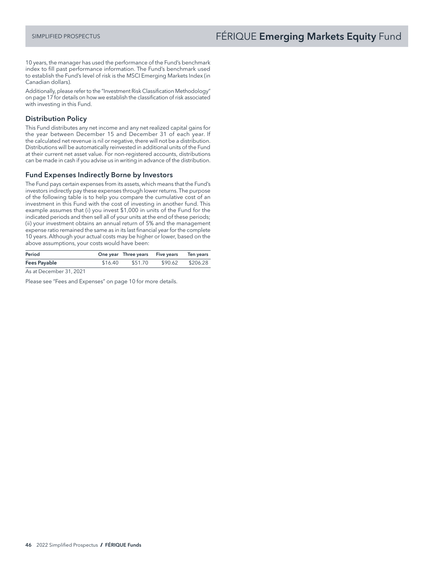10 years, the manager has used the performance of the Fund's benchmark index to fill past performance information. The Fund's benchmark used to establish the Fund's level of risk is the MSCI Emerging Markets Index (in Canadian dollars).

Additionally, please refer to the "Investment Risk Classification Methodology" on page 17 for details on how we establish the classification of risk associated with investing in this Fund.

## Distribution Policy

This Fund distributes any net income and any net realized capital gains for the year between December 15 and December 31 of each year. If the calculated net revenue is nil or negative, there will not be a distribution. Distributions will be automatically reinvested in additional units of the Fund at their current net asset value. For non-registered accounts, distributions can be made in cash if you advise us in writing in advance of the distribution.

# Fund Expenses Indirectly Borne by Investors

The Fund pays certain expenses from its assets, which means that the Fund's investors indirectly pay these expenses through lower returns. The purpose of the following table is to help you compare the cumulative cost of an investment in this Fund with the cost of investing in another fund. This example assumes that (i) you invest \$1,000 in units of the Fund for the indicated periods and then sell all of your units at the end of these periods; (ii) your investment obtains an annual return of 5% and the management expense ratio remained the same as in its last financial year for the complete 10 years. Although your actual costs may be higher or lower, based on the above assumptions, your costs would have been:

| Period              |         | One year Three years Five years Ten years |                  |
|---------------------|---------|-------------------------------------------|------------------|
| <b>Fees Payable</b> | \$16.40 | \$51.70                                   | \$90.62 \$206.28 |

As at December 31, 2021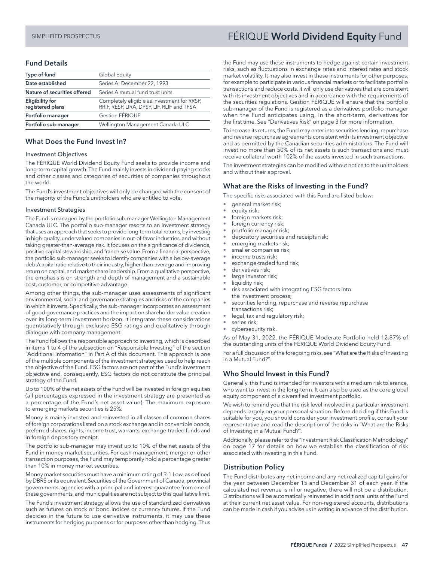# Fund Details

| Type of fund                        | Global Equity                                                                             |  |  |
|-------------------------------------|-------------------------------------------------------------------------------------------|--|--|
| Date established                    | Series A: December 22, 1993                                                               |  |  |
| Nature of securities offered        | Series A mutual fund trust units                                                          |  |  |
| Eligibility for<br>registered plans | Completely eligible as investment for RRSP,<br>RRIF, RESP, LIRA, DPSP, LIF, RLIF and TFSA |  |  |
| Portfolio manager                   | Gestion FÉRIQUE                                                                           |  |  |
| Portfolio sub-manager               | Wellington Management Canada ULC                                                          |  |  |

#### What Does the Fund Invest In?

#### Investment Objectives

The FÉRIQUE World Dividend Equity Fund seeks to provide income and long-term capital growth. The Fund mainly invests in dividend-paying stocks and other classes and categories of securities of companies throughout the world.

The Fund's investment objectives will only be changed with the consent of the majority of the Fund's unitholders who are entitled to vote.

#### Investment Strategies

The Fund is managed by the portfolio sub-manager Wellington Management Canada ULC. The portfolio sub-manager resorts to an investment strategy that uses an approach that seeks to provide long-term total returns, by investing in high-quality, undervalued companies in out-of-favor industries, and without taking greater-than-average risk. It focuses on the significance of dividends, positive capital stewardship, and franchise value. From a financial perspective, the portfolio sub-manager seeks to identify companies with a below-average debt/capital ratio relative to their industry, higher-than-average and improving return on capital, and market share leadership. From a qualitative perspective, the emphasis is on strength and depth of management and a sustainable cost, customer, or competitive advantage.

Among other things, the sub-manager uses assessments of significant environmental, social and governance strategies and risks of the companies in which it invests. Specifically, the sub-manager incorporates an assessment of good governance practices and the impact on shareholder value creation over its long-term investment horizon. It integrates these considerations quantitatively through exclusive ESG ratings and qualitatively through dialogue with company management.

The Fund follows the responsible approach to investing, which is described in items 1 to 4 of the subsection on "Responsible Investing" of the section "Additional Information" in Part A of this document. This approach is one of the multiple components of the investment strategies used to help reach the objective of the Fund. ESG factors are not part of the Fund's investment objective and, consequently, ESG factors do not constitute the principal strategy of the Fund.

Up to 100% of the net assets of the Fund will be invested in foreign equities (all percentages expressed in the investment strategy are presented as a percentage of the Fund's net asset value). The maximum exposure to emerging markets securities is 25%.

Money is mainly invested and reinvested in all classes of common shares of foreign corporations listed on a stock exchange and in convertible bonds, preferred shares, rights, income trust, warrants, exchange-traded funds and in foreign depository receipt.

The portfolio sub-manager may invest up to 10% of the net assets of the Fund in money market securities. For cash management, merger or other transaction purposes, the Fund may temporarily hold a percentage greater than 10% in money market securities.

Money market securities must have a minimum rating of R-1 Low, as defined by DBRS or its equivalent. Securities of the Government of Canada, provincial governments, agencies with a principal and interest guarantee from one of these governments, and municipalities are not subject to this qualitative limit.

The Fund's investment strategy allows the use of standardized derivatives such as futures on stock or bond indices or currency futures. If the Fund decides in the future to use derivative instruments, it may use these instruments for hedging purposes or for purposes other than hedging. Thus

# <span id="page-48-0"></span>SIMPLIFIED PROSPECTUS **FÉRIQUE World Dividend Equity** Fund

the Fund may use these instruments to hedge against certain investment risks, such as fluctuations in exchange rates and interest rates and stock market volatility. It may also invest in these instruments for other purposes, for example to participate in various financial markets or to facilitate portfolio transactions and reduce costs. It will only use derivatives that are consistent with its investment objectives and in accordance with the requirements of the securities regulations. Gestion FÉRIQUE will ensure that the portfolio sub-manager of the Fund is registered as a derivatives portfolio manager when the Fund anticipates using, in the short-term, derivatives for the first time. See "Derivatives Risk" on page 3 for more information.

To increase its returns, the Fund may enter into securities lending, repurchase and reverse repurchase agreements consistent with its investment objective and as permitted by the Canadian securities administrators. The Fund will invest no more than 50% of its net assets is such transactions and must receive collateral worth 102% of the assets invested in such transactions.

The investment strategies can be modified without notice to the unitholders and without their approval.

## What are the Risks of Investing in the Fund?

The specific risks associated with this Fund are listed below:

- general market risk;
- equity risk;
- foreign markets risk;
- foreign currency risk;
- portfolio manager risk; • depository securities and receipts risk;
- emerging markets risk;
- smaller companies risk;
- income trusts risk;
- exchange-traded fund risk;
- derivatives risk;
- large investor risk;
- liquidity risk;
- risk associated with integrating ESG factors into the investment process;
- securities lending, repurchase and reverse repurchase transactions risk;
- legal, tax and regulatory risk;
- series risk;
- cybersecurity risk.

As of May 31, 2022, the FÉRIQUE Moderate Portfolio held 12.87% of the outstanding units of the FÉRIQUE World Dividend Equity Fund.

For a full discussion of the foregoing risks, see "What are the Risks of Investing in a Mutual Fund?".

## Who Should Invest in this Fund?

Generally, this Fund is intended for investors with a medium risk tolerance, who want to invest in the long-term. It can also be used as the core global equity component of a diversified investment portfolio.

We wish to remind you that the risk level involved in a particular investment depends largely on your personal situation. Before deciding if this Fund is suitable for you, you should consider your investment profile, consult your representative and read the description of the risks in "What are the Risks of Investing in a Mutual Fund?".

Additionally, please refer to the "Investment Risk Classification Methodology" on page 17 for details on how we establish the classification of risk associated with investing in this Fund.

#### Distribution Policy

The Fund distributes any net income and any net realized capital gains for the year between December 15 and December 31 of each year. If the calculated net revenue is nil or negative, there will not be a distribution. Distributions will be automatically reinvested in additional units of the Fund at their current net asset value. For non-registered accounts, distributions can be made in cash if you advise us in writing in advance of the distribution.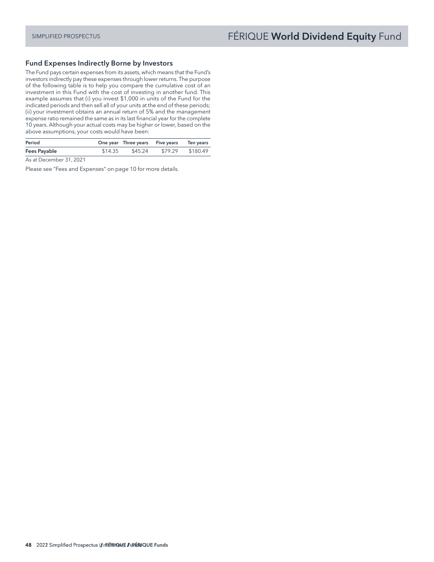### Fund Expenses Indirectly Borne by Investors

The Fund pays certain expenses from its assets, which means that the Fund's investors indirectly pay these expenses through lower returns. The purpose of the following table is to help you compare the cumulative cost of an investment in this Fund with the cost of investing in another fund. This example assumes that (i) you invest \$1,000 in units of the Fund for the indicated periods and then sell all of your units at the end of these periods; (ii) your investment obtains an annual return of 5% and the management expense ratio remained the same as in its last financial year for the complete 10 years. Although your actual costs may be higher or lower, based on the above assumptions, your costs would have been:

| Period              |         | One year Three years Five years Ten years |         |          |
|---------------------|---------|-------------------------------------------|---------|----------|
| <b>Fees Payable</b> | \$14.35 | \$45.24                                   | \$79.29 | \$180.49 |

As at December 31, 2021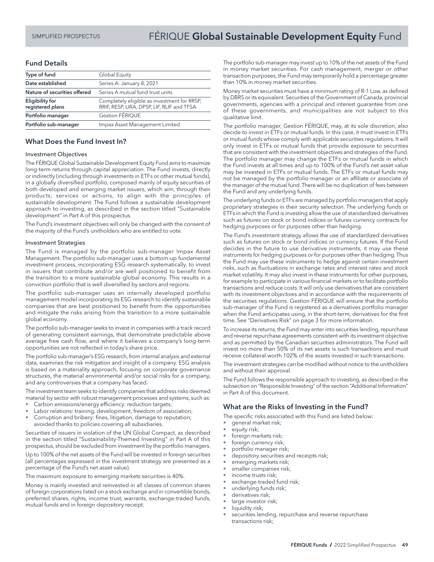# SIMPLIFIED PROSPECTUS **FÉRIQUE Global Sustainable Development Equity** Fund

# Fund Details

| Type of fund                               | Global Equity                                                                             |  |  |
|--------------------------------------------|-------------------------------------------------------------------------------------------|--|--|
| Date established                           | Series A: January 8, 2021                                                                 |  |  |
| Nature of securities offered               | Series A mutual fund trust units                                                          |  |  |
| <b>Eligibility for</b><br>registered plans | Completely eligible as investment for RRSP,<br>RRIF, RESP, LIRA, DPSP, LIF, RLIF and TFSA |  |  |
| Portfolio manager                          | Gestion FÉRIQUE                                                                           |  |  |
| Portfolio sub-manager                      | Impax Asset Management Limited                                                            |  |  |

#### What Does the Fund Invest In?

#### Investment Objectives

The FÉRIQUE Global Sustainable Development Equity Fund aims to maximize long-term returns through capital appreciation. The Fund invests, directly or indirectly (including through investments in ETFs or other mutual funds), in a globally diversified portfolio, composed mainly of equity securities of both developed and emerging market issuers, which aim, through their products, services or actions, to align with the principles of sustainable development. The Fund follows a sustainable development approach to investing, as described in the section titled "Sustainable development" in Part A of this prospectus.

The Fund's investment objectives will only be changed with the consent of the majority of the Fund's unitholders who are entitled to vote.

#### Investment Strategies

The Fund is managed by the portfolio sub-manager Impax Asset Management. The portfolio sub-manager uses a bottom-up fundamental investment process, incorporating ESG research systematically, to invest in issuers that contribute and/or are well positioned to benefit from the transition to a more sustainable global economy. This results in a conviction portfolio that is well diversified by sectors and regions.

The portfolio sub-manager uses an internally developed portfolio management model incorporating its ESG research to identify sustainable companies that are best positioned to benefit from the opportunities and mitigate the risks arising from the transition to a more sustainable global economy.

The portfolio sub-manager seeks to invest in companies with a track record of generating consistent earnings, that demonstrate predictable above average free cash flow, and where it believes a company's long-term opportunities are not reflected in today's share price.

The portfolio sub-manager's ESG research, from internal analysis and external data, examines the risk mitigation and insight of a company. ESG analysis is based on a materiality approach, focusing on corporate governance structures, the material environmental and/or social risks for a company, and any controversies that a company has faced.

The investment team seeks to identify companies that address risks deemed material by sector with robust management processes and systems, such as:

- Carbon emissions/energy efficiency: reduction targets;
- Labor relations: training, development, freedom of association;
- Corruption and bribery: fines, litigation, damage to reputation; avoided thanks to policies covering all subsidiaries.

Securities of issuers in violation of the UN Global Compact, as described in the section titled "Sustainability-Themed Investing" in Part A of this prospectus, should be excluded from investment by the portfolio managers.

Up to 100% of the net assets of the Fund will be invested in foreign securities (all percentages expressed in the investment strategy are presented as a percentage of the Fund's net asset value).

The maximum exposure to emerging markets securities is 40%.

Money is mainly invested and reinvested in all classes of common shares of foreign corporations listed on a stock exchange and in convertible bonds, preferred shares, rights, income trust, warrants, exchange-traded funds, mutual funds and in foreign depository receipt.

The portfolio sub-manager may invest up to 10% of the net assets of the Fund in money market securities. For cash management, merger or other transaction purposes, the Fund may temporarily hold a percentage greater than 10% in money market securities.

Money market securities must have a minimum rating of R-1 Low, as defined by DBRS or its equivalent. Securities of the Government of Canada, provincial governments, agencies with a principal and interest guarantee from one of these governments, and municipalities are not subject to this qualitative limit.

The portfolio manager, Gestion FÉRIQUE, may, at its sole discretion, also decide to invest in ETFs or mutual funds. In this case, it must invest in ETFs or mutual funds whose comply with applicable securities regulations. It will only invest in ETFs or mutual funds that provide exposure to securities that are consistent with the investment objectives and strategies of the Fund. The portfolio manager may change the ETFs or mutual funds in which the Fund invests at all times and up to 100% of the Fund's net asset value may be invested in ETFs or mutual funds. The ETFs or mutual funds may not be managed by the portfolio manager or an affiliate or associate of the manager of the mutual fund. There will be no duplication of fees between the Fund and any underlying funds.

The underlying funds or ETFs are managed by portfolio managers that apply proprietary strategies in their security selection. The underlying funds or ETFs in which the Fund is investing allow the use of standardized derivatives such as futures on stock or bond indices or futures currency contracts for hedging purposes or for purposes other than hedging.

The Fund's investment strategy allows the use of standardized derivatives such as futures on stock or bond indices or currency futures. If the Fund decides in the future to use derivative instruments, it may use these instruments for hedging purposes or for purposes other than hedging. Thus the Fund may use these instruments to hedge against certain investment risks, such as fluctuations in exchange rates and interest rates and stock market volatility. It may also invest in these instruments for other purposes, for example to participate in various financial markets or to facilitate portfolio transactions and reduce costs. It will only use derivatives that are consistent with its investment objectives and in accordance with the requirements of the securities regulations. Gestion FÉRIQUE will ensure that the portfolio sub-manager of the Fund is registered as a derivatives portfolio manager when the Fund anticipates using, in the short-term, derivatives for the first time. See "Derivatives Risk" on page 3 for more information.

To increase its returns, the Fund may enter into securities lending, repurchase and reverse repurchase agreements consistent with its investment objective and as permitted by the Canadian securities administrators. The Fund will invest no more than 50% of its net assets is such transactions and must receive collateral worth 102% of the assets invested in such transactions.

The investment strategies can be modified without notice to the unitholders and without their approval.

The Fund follows the responsible approach to investing, as described in the subsection on "Responsible Investing" of the section "Additional Information" in Part A of this document.

#### What are the Risks of Investing in the Fund?

The specific risks associated with this Fund are listed below:

- general market risk;
- equity risk;
- foreign markets risk;
- foreign currency risk;
- portfolio manager risk;
- depository securities and receipts risk;
- emerging markets risk;
- smaller companies risk;
- income trusts risk;
- exchange-traded fund risk;
- underlying funds risk;
- derivatives risk;
- large investor risk;
- liquidity risk;
- securities lending, repurchase and reverse repurchase transactions risk;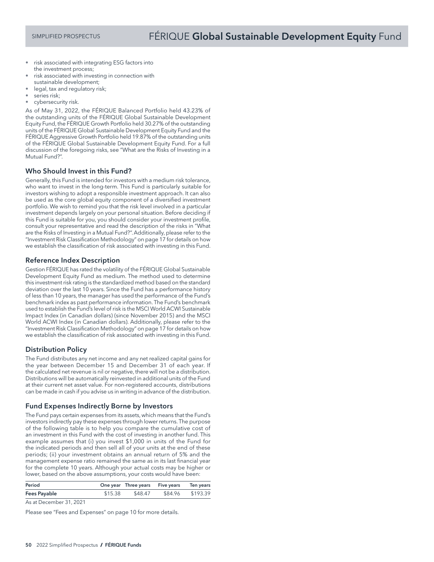- risk associated with integrating ESG factors into the investment process;
- risk associated with investing in connection with sustainable development;
- legal, tax and regulatory risk;
- series risk;
- cybersecurity risk.

As of May 31, 2022, the FÉRIQUE Balanced Portfolio held 43.23% of the outstanding units of the FÉRIQUE Global Sustainable Development Equity Fund, the FÉRIQUE Growth Portfolio held 30.27% of the outstanding units of the FÉRIQUE Global Sustainable Development Equity Fund and the FÉRIQUE Aggressive Growth Portfolio held 19.87% of the outstanding units of the FÉRIQUE Global Sustainable Development Equity Fund. For a full discussion of the foregoing risks, see "What are the Risks of Investing in a Mutual Fund?".

# Who Should Invest in this Fund?

Generally, this Fund is intended for investors with a medium risk tolerance, who want to invest in the long-term. This Fund is particularly suitable for investors wishing to adopt a responsible investment approach. It can also be used as the core global equity component of a diversified investment portfolio. We wish to remind you that the risk level involved in a particular investment depends largely on your personal situation. Before deciding if this Fund is suitable for you, you should consider your investment profile, consult your representative and read the description of the risks in "What are the Risks of Investing in a Mutual Fund?". Additionally, please refer to the "Investment Risk Classification Methodology" on page 17 for details on how we establish the classification of risk associated with investing in this Fund.

## Reference Index Description

Gestion FÉRIQUE has rated the volatility of the FÉRIQUE Global Sustainable Development Equity Fund as medium. The method used to determine this investment risk rating is the standardized method based on the standard deviation over the last 10 years. Since the Fund has a performance history of less than 10 years, the manager has used the performance of the Fund's benchmark index as past performance information. The Fund's benchmark used to establish the Fund's level of risk is the MSCI World ACWI Sustainable Impact Index (in Canadian dollars) (since November 2015) and the MSCI World ACWI Index (in Canadian dollars). Additionally, please refer to the "Investment Risk Classification Methodology" on page 17 for details on how we establish the classification of risk associated with investing in this Fund.

## Distribution Policy

The Fund distributes any net income and any net realized capital gains for the year between December 15 and December 31 of each year. If the calculated net revenue is nil or negative, there will not be a distribution. Distributions will be automatically reinvested in additional units of the Fund at their current net asset value. For non-registered accounts, distributions can be made in cash if you advise us in writing in advance of the distribution.

## Fund Expenses Indirectly Borne by Investors

The Fund pays certain expenses from its assets, which means that the Fund's investors indirectly pay these expenses through lower returns. The purpose of the following table is to help you compare the cumulative cost of an investment in this Fund with the cost of investing in another fund. This example assumes that (i) you invest \$1,000 in units of the Fund for the indicated periods and then sell all of your units at the end of these periods; (ii) your investment obtains an annual return of 5% and the management expense ratio remained the same as in its last financial year for the complete 10 years. Although your actual costs may be higher or lower, based on the above assumptions, your costs would have been:

| Period       | One year Three years Five years Ten years |                  |  |
|--------------|-------------------------------------------|------------------|--|
| Fees Payable | \$15.38 \$48.47                           | \$84.96 \$193.39 |  |
|              |                                           |                  |  |

As at December 31, 2021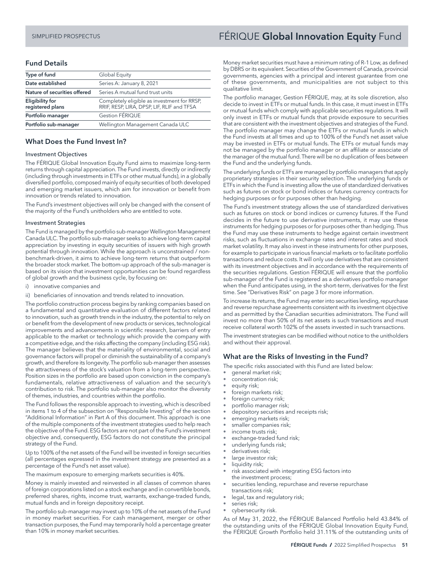# Fund Details

| Type of fund                               | Global Equity                                                                             |  |  |
|--------------------------------------------|-------------------------------------------------------------------------------------------|--|--|
| Date established                           | Series A: January 8, 2021                                                                 |  |  |
| Nature of securities offered               | Series A mutual fund trust units                                                          |  |  |
| <b>Eligibility for</b><br>registered plans | Completely eligible as investment for RRSP,<br>RRIF, RESP, LIRA, DPSP, LIF, RLIF and TFSA |  |  |
| Portfolio manager                          | Gestion FÉRIQUE                                                                           |  |  |
| Portfolio sub-manager                      | Wellington Management Canada ULC                                                          |  |  |

## What Does the Fund Invest In?

#### Investment Objectives

The FÉRIQUE Global Innovation Equity Fund aims to maximize long-term returns through capital appreciation. The Fund invests, directly or indirectly (including through investments in ETFs or other mutual funds), in a globally diversified portfolio, composed mainly of equity securities of both developed and emerging market issuers, which aim for innovation or benefit from innovation or trends related to innovation.

The Fund's investment objectives will only be changed with the consent of the majority of the Fund's unitholders who are entitled to vote.

#### Investment Strategies

The Fund is managed by the portfolio sub-manager Wellington Management Canada ULC. The portfolio sub-manager seeks to achieve long-term capital appreciation by investing in equity securities of issuers with high growth potential through innovation. While the approach is unconstrained / nonbenchmark-driven, it aims to achieve long-term returns that outperform the broader stock market. The bottom-up approach of the sub-manager is based on its vision that investment opportunities can be found regardless of global growth and the business cycle, by focusing on:

- i) innovative companies and
- ii) beneficiaries of innovation and trends related to innovation.

The portfolio construction process begins by ranking companies based on a fundamental and quantitative evaluation of different factors related to innovation, such as growth trends in the industry, the potential to rely on or benefit from the development of new products or services, technological improvements and advancements in scientific research, barriers of entry applicable to the market or technology which provide the company with a competitive edge, and the risks affecting the company (including ESG risk). The manager believes that the materiality of environmental, social and governance factors will propel or diminish the sustainability of a company's growth, and therefore its longevity. The portfolio sub-manager then assesses the attractiveness of the stock's valuation from a long-term perspective. Position sizes in the portfolio are based upon conviction in the company's fundamentals, relative attractiveness of valuation and the security's contribution to risk. The portfolio sub-manager also monitor the diversity of themes, industries, and countries within the portfolio.

The Fund follows the responsible approach to investing, which is described in items 1 to 4 of the subsection on "Responsible Investing" of the section "Additional Information" in Part A of this document. This approach is one of the multiple components of the investment strategies used to help reach the objective of the Fund. ESG factors are not part of the Fund's investment objective and, consequently, ESG factors do not constitute the principal strategy of the Fund.

Up to 100% of the net assets of the Fund will be invested in foreign securities (all percentages expressed in the investment strategy are presented as a percentage of the Fund's net asset value).

The maximum exposure to emerging markets securities is 40%.

Money is mainly invested and reinvested in all classes of common shares of foreign corporations listed on a stock exchange and in convertible bonds, preferred shares, rights, income trust, warrants, exchange-traded funds, mutual funds and in foreign depository receipt.

The portfolio sub-manager may invest up to 10% of the net assets of the Fund in money market securities. For cash management, merger or other transaction purposes, the Fund may temporarily hold a percentage greater than 10% in money market securities.

# SIMPLIFIED PROSPECTUS **FÉRIQUE <b>Global Innovation Equity** Fund

Money market securities must have a minimum rating of R-1 Low, as defined by DBRS or its equivalent. Securities of the Government of Canada, provincial governments, agencies with a principal and interest guarantee from one of these governments, and municipalities are not subject to this qualitative limit.

The portfolio manager, Gestion FÉRIQUE, may, at its sole discretion, also decide to invest in ETFs or mutual funds. In this case, it must invest in ETFs or mutual funds which comply with applicable securities regulations. It will only invest in ETFs or mutual funds that provide exposure to securities that are consistent with the investment objectives and strategies of the Fund. The portfolio manager may change the ETFs or mutual funds in which the Fund invests at all times and up to 100% of the Fund's net asset value may be invested in ETFs or mutual funds. The ETFs or mutual funds may not be managed by the portfolio manager or an affiliate or associate of the manager of the mutual fund. There will be no duplication of fees between the Fund and the underlying funds.

The underlying funds or ETFs are managed by portfolio managers that apply proprietary strategies in their security selection. The underlying funds or ETFs in which the Fund is investing allow the use of standardized derivatives such as futures on stock or bond indices or futures currency contracts for hedging purposes or for purposes other than hedging.

The Fund's investment strategy allows the use of standardized derivatives such as futures on stock or bond indices or currency futures. If the Fund decides in the future to use derivative instruments, it may use these instruments for hedging purposes or for purposes other than hedging. Thus the Fund may use these instruments to hedge against certain investment risks, such as fluctuations in exchange rates and interest rates and stock market volatility. It may also invest in these instruments for other purposes, for example to participate in various financial markets or to facilitate portfolio transactions and reduce costs. It will only use derivatives that are consistent with its investment objectives and in accordance with the requirements of the securities regulations. Gestion FÉRIQUE will ensure that the portfolio sub-manager of the Fund is registered as a derivatives portfolio manager when the Fund anticipates using, in the short-term, derivatives for the first time. See "Derivatives Risk" on page 3 for more information.

To increase its returns, the Fund may enter into securities lending, repurchase and reverse repurchase agreements consistent with its investment objective and as permitted by the Canadian securities administrators. The Fund will invest no more than 50% of its net assets is such transactions and must receive collateral worth 102% of the assets invested in such transactions.

The investment strategies can be modified without notice to the unitholders and without their approval.

## What are the Risks of Investing in the Fund?

The specific risks associated with this Fund are listed below:

- general market risk;
- concentration risk;
- equity risk;
- foreign markets risk;
- foreign currency risk;
- portfolio manager risk;
- depository securities and receipts risk;
- emerging markets risk;
- smaller companies risk;
- income trusts risk;
- exchange-traded fund risk;
- underlying funds risk;
- derivatives risk;
- large investor risk;
- liquidity risk;
- risk associated with integrating ESG factors into the investment process;
- securities lending, repurchase and reverse repurchase transactions risk;
- legal, tax and regulatory risk;
- series risk;
- cybersecurity risk.

As of May 31, 2022, the FÉRIQUE Balanced Portfolio held 43.84% of the outstanding units of the FÉRIQUE Global Innovation Equity Fund, the FÉRIQUE Growth Portfolio held 31.11% of the outstanding units of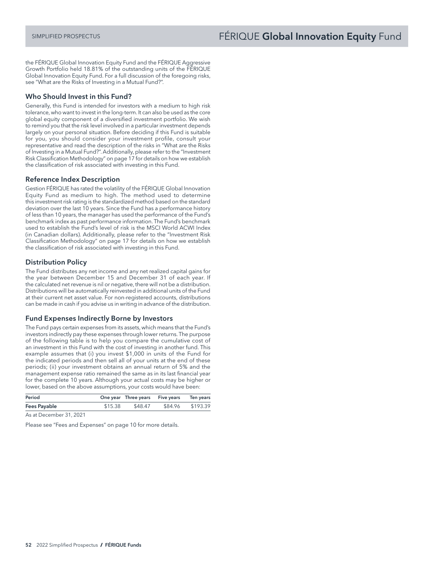the FÉRIQUE Global Innovation Equity Fund and the FÉRIQUE Aggressive Growth Portfolio held 18.81% of the outstanding units of the FÉRIQUE Global Innovation Equity Fund. For a full discussion of the foregoing risks, see "What are the Risks of Investing in a Mutual Fund?".

## Who Should Invest in this Fund?

Generally, this Fund is intended for investors with a medium to high risk tolerance, who want to invest in the long-term. It can also be used as the core global equity component of a diversified investment portfolio. We wish to remind you that the risk level involved in a particular investment depends largely on your personal situation. Before deciding if this Fund is suitable for you, you should consider your investment profile, consult your representative and read the description of the risks in "What are the Risks of Investing in a Mutual Fund?". Additionally, please refer to the "Investment Risk Classification Methodology" on page 17 for details on how we establish the classification of risk associated with investing in this Fund.

#### Reference Index Description

Gestion FÉRIQUE has rated the volatility of the FÉRIQUE Global Innovation Equity Fund as medium to high. The method used to determine this investment risk rating is the standardized method based on the standard deviation over the last 10 years. Since the Fund has a performance history of less than 10 years, the manager has used the performance of the Fund's benchmark index as past performance information. The Fund's benchmark used to establish the Fund's level of risk is the MSCI World ACWI Index (in Canadian dollars). Additionally, please refer to the "Investment Risk Classification Methodology" on page 17 for details on how we establish the classification of risk associated with investing in this Fund.

## Distribution Policy

The Fund distributes any net income and any net realized capital gains for the year between December 15 and December 31 of each year. If the calculated net revenue is nil or negative, there will not be a distribution. Distributions will be automatically reinvested in additional units of the Fund at their current net asset value. For non-registered accounts, distributions can be made in cash if you advise us in writing in advance of the distribution.

## Fund Expenses Indirectly Borne by Investors

The Fund pays certain expenses from its assets, which means that the Fund's investors indirectly pay these expenses through lower returns. The purpose of the following table is to help you compare the cumulative cost of an investment in this Fund with the cost of investing in another fund. This example assumes that (i) you invest \$1,000 in units of the Fund for the indicated periods and then sell all of your units at the end of these periods; (ii) your investment obtains an annual return of 5% and the management expense ratio remained the same as in its last financial year for the complete 10 years. Although your actual costs may be higher or lower, based on the above assumptions, your costs would have been:

| Period              |         | One year Three years Five years Ten years |                  |
|---------------------|---------|-------------------------------------------|------------------|
| <b>Fees Payable</b> | \$15.38 | \$48.47                                   | \$84.96 \$193.39 |

As at December 31, 2021